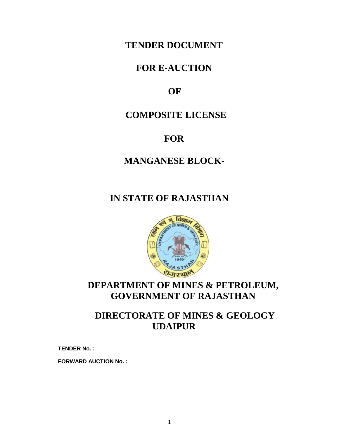# **TENDER DOCUMENT**

# **FOR E-AUCTION**

# **OF**

# **COMPOSITE LICENSE**

# **FOR**

# **MANGANESE BLOCK-**

# **IN STATE OF RAJASTHAN**



# **DEPARTMENT OF MINES & PETROLEUM, GOVERNMENT OF RAJASTHAN**

# **DIRECTORATE OF MINES & GEOLOGY UDAIPUR**

**TENDER No. :** 

**FORWARD AUCTION No. :**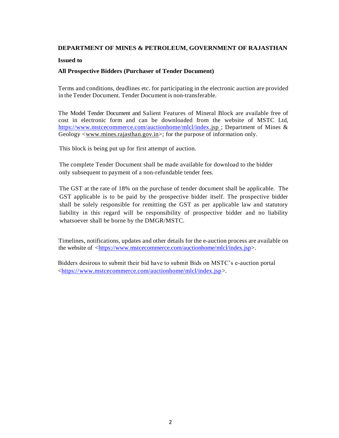## **DEPARTMENT OF MINES & PETROLEUM, GOVERNMENT OF RAJASTHAN**

### **Issued to**

## **All Prospective Bidders (Purchaser of Tender Document)**

Terms and conditions, deadlines etc. for participating in the electronic auction are provided in the Tender Document. Tender Document is non-transferable.

The Model Tender Document and Salient Features of Mineral Block are available free of cost in electronic form and can be downloaded from the website of MSTC Ltd, [https://www.mstcecommerce.com/auctionhome/mlcl/index.](https://www.mstcecommerce.com/auctionhome/mlcl/index)jsp ; Department of Mines & Geology <www.mines.rajasthan.gov.in>; for the purpose of information only.

This block is being put up for first attempt of auction.

The complete Tender Document shall be made available for download to the bidder only subsequent to payment of a non-refundable tender fees.

The GST at the rate of 18% on the purchase of tender document shall be applicable. The GST applicable is to be paid by the prospective bidder itself. The prospective bidder shall be solely responsible for remitting the GST as per applicable law and statutory liability in this regard will be responsibility of prospective bidder and no liability whatsoever shall be borne by the DMGR/MSTC.

Timelines, notifications, updates and other details for the e-auction process are available on the website of  $\langle \frac{https://www.mstcecommere.com/auctionhome/mlcl/index.jsp>}{https://www.mstcecommere.com/auctionhome/mlcl/index.jsp>}.$ 

Bidders desirous to submit their bid have to submit Bids on MSTC's e-auction portal [<https://www.mstcecommerce.com/auctionhome/mlcl/index.jsp>](https://www.mstcecommerce.com/auctionhome/mlcl/index.jsp).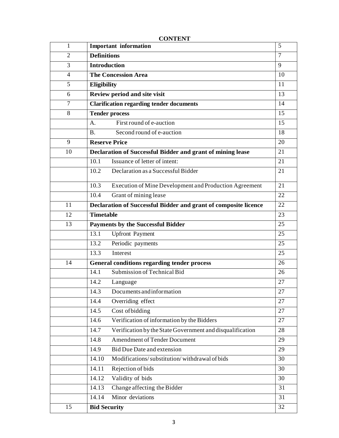| 1              | <b>Important information</b>                                      | 5      |
|----------------|-------------------------------------------------------------------|--------|
| $\overline{2}$ | <b>Definitions</b>                                                | $\tau$ |
| 3              | <b>Introduction</b>                                               | 9      |
| 4              | <b>The Concession Area</b>                                        | 10     |
| 5              | Eligibility                                                       | 11     |
| 6              | Review period and site visit                                      | 13     |
| $\overline{7}$ | <b>Clarification regarding tender documents</b>                   | 14     |
| 8              | <b>Tender process</b>                                             | 15     |
|                | First round of e-auction<br>A.                                    | 15     |
|                | Second round of e-auction<br><b>B.</b>                            | 18     |
| 9              | <b>Reserve Price</b>                                              | 20     |
| 10             | Declaration of Successful Bidder and grant of mining lease        | 21     |
|                | Issuance of letter of intent:<br>10.1                             | 21     |
|                | Declaration as a Successful Bidder<br>10.2                        | 21     |
|                | 10.3<br>Execution of Mine Development and Production Agreement    | 21     |
|                | Grant of mining lease<br>10.4                                     | 22     |
| 11             | Declaration of Successful Bidder and grant of composite licence   | 22     |
| 12             | <b>Timetable</b>                                                  | 23     |
| 13             | <b>Payments by the Successful Bidder</b>                          | 25     |
|                | 13.1<br><b>Upfront Payment</b>                                    | 25     |
|                | 13.2<br>Periodic payments                                         | 25     |
|                | 13.3<br>Interest                                                  | 25     |
| 14             | General conditions regarding tender process                       | 26     |
|                | Submission of Technical Bid<br>14.1                               | 26     |
|                | 14.2<br>Language                                                  | 27     |
|                | 14.3<br>Documents and information                                 | $27\,$ |
|                | Overriding effect<br>14.4                                         | 27     |
|                | Cost of bidding<br>14.5                                           | 27     |
|                | Verification of information by the Bidders<br>14.6                | 27     |
|                | Verification by the State Government and disqualification<br>14.7 | 28     |
|                | <b>Amendment of Tender Document</b><br>14.8                       | 29     |
|                | 14.9<br>Bid Due Date and extension                                | 29     |
|                | Modifications/substitution/withdrawal of bids<br>14.10            | 30     |
|                | Rejection of bids<br>14.11                                        | 30     |
|                | Validity of bids<br>14.12                                         | 30     |
|                | Change affecting the Bidder<br>14.13                              | 31     |
|                | Minor deviations<br>14.14                                         | 31     |
| 15             | <b>Bid Security</b>                                               | 32     |
|                |                                                                   |        |

# **CONTENT**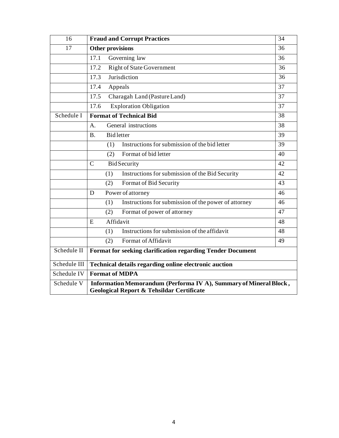| 16                                                                                                                                      | <b>Fraud and Corrupt Practices</b>                                | 34 |
|-----------------------------------------------------------------------------------------------------------------------------------------|-------------------------------------------------------------------|----|
| 17                                                                                                                                      | Other provisions<br>36                                            |    |
|                                                                                                                                         | 17.1<br>Governing law                                             | 36 |
|                                                                                                                                         | <b>Right of State Government</b><br>17.2                          | 36 |
|                                                                                                                                         | Jurisdiction<br>17.3                                              | 36 |
|                                                                                                                                         | 17.4<br>Appeals                                                   | 37 |
|                                                                                                                                         | 17.5<br>Charagah Land (Pasture Land)                              | 37 |
|                                                                                                                                         | <b>Exploration Obligation</b><br>17.6                             | 37 |
| Schedule I                                                                                                                              | <b>Format of Technical Bid</b><br>38                              |    |
|                                                                                                                                         | General instructions<br>A <sub>1</sub>                            | 38 |
|                                                                                                                                         | <b>Bidletter</b><br><b>B.</b>                                     | 39 |
|                                                                                                                                         | Instructions for submission of the bid letter<br>(1)              | 39 |
|                                                                                                                                         | Format of bid letter<br>(2)                                       | 40 |
|                                                                                                                                         | $\mathcal{C}$<br><b>BidSecurity</b>                               | 42 |
|                                                                                                                                         | Instructions for submission of the Bid Security<br>(1)            | 42 |
|                                                                                                                                         | Format of Bid Security<br>(2)                                     | 43 |
|                                                                                                                                         | Power of attorney<br>D                                            | 46 |
|                                                                                                                                         | Instructions for submission of the power of attorney<br>(1)       | 46 |
|                                                                                                                                         | Format of power of attorney<br>(2)                                | 47 |
|                                                                                                                                         | Affidavit<br>E                                                    | 48 |
|                                                                                                                                         | Instructions for submission of the affidavit<br>(1)               | 48 |
|                                                                                                                                         | Format of Affidavit<br>(2)                                        | 49 |
| Schedule II                                                                                                                             | <b>Format for seeking clarification regarding Tender Document</b> |    |
| Schedule III                                                                                                                            | Technical details regarding online electronic auction             |    |
| Schedule IV                                                                                                                             | <b>Format of MDPA</b>                                             |    |
| Schedule V<br>Information Memorandum (Performa IV A), Summary of Mineral Block,<br><b>Geological Report &amp; Tehsildar Certificate</b> |                                                                   |    |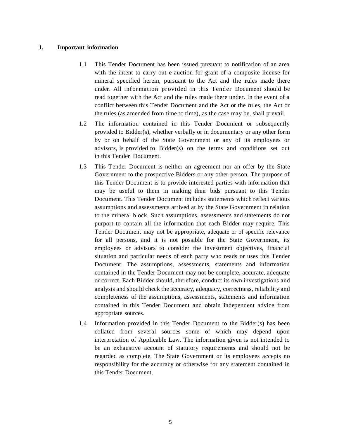### **1. Important information**

- 1.1 This Tender Document has been issued pursuant to notification of an area with the intent to carry out e-auction for grant of a composite license for mineral specified herein, pursuant to the Act and the rules made there under. All information provided in this Tender Document should be read together with the Act and the rules made there under. In the event of a conflict between this Tender Document and the Act or the rules, the Act or the rules (as amended from time to time), as the case may be, shall prevail.
- 1.2 The information contained in this Tender Document or subsequently provided to Bidder(s), whether verbally or in documentary or any other form by or on behalf of the State Government or any of its employees or advisors, is provided to Bidder(s) on the terms and conditions set out in this Tender Document.
- 1.3 This Tender Document is neither an agreement nor an offer by the State Government to the prospective Bidders or any other person. The purpose of this Tender Document is to provide interested parties with information that may be useful to them in making their bids pursuant to this Tender Document. This Tender Document includes statements which reflect various assumptions and assessments arrived at by the State Government in relation to the mineral block. Such assumptions, assessments and statements do not purport to contain all the information that each Bidder may require. This Tender Document may not be appropriate, adequate or of specific relevance for all persons, and it is not possible for the State Government, its employees or advisors to consider the investment objectives, financial situation and particular needs of each party who reads or uses this Tender Document. The assumptions, assessments, statements and information contained in the Tender Document may not be complete, accurate, adequate or correct. Each Bidder should, therefore, conduct its own investigations and analysis and should check the accuracy, adequacy, correctness, reliability and completeness of the assumptions, assessments, statements and information contained in this Tender Document and obtain independent advice from appropriate sources.
- 1.4 Information provided in this Tender Document to the Bidder(s) has been collated from several sources some of which may depend upon interpretation of Applicable Law. The information given is not intended to be an exhaustive account of statutory requirements and should not be regarded as complete. The State Government or its employees accepts no responsibility for the accuracy or otherwise for any statement contained in this Tender Document.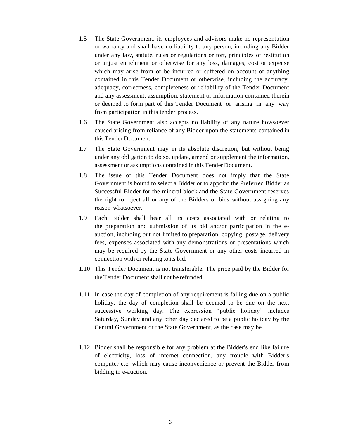- 1.5 The State Government, its employees and advisors make no representation or warranty and shall have no liability to any person, including any Bidder under any law, statute, rules or regulations or tort, principles of restitution or unjust enrichment or otherwise for any loss, damages, cost or expense which may arise from or be incurred or suffered on account of anything contained in this Tender Document or otherwise, including the accuracy, adequacy, correctness, completeness or reliability of the Tender Document and any assessment, assumption, statement or information contained therein or deemed to form part of this Tender Document or arising in any way from participation in this tender process.
- 1.6 The State Government also accepts no liability of any nature howsoever caused arising from reliance of any Bidder upon the statements contained in this Tender Document.
- 1.7 The State Government may in its absolute discretion, but without being under any obligation to do so, update, amend or supplement the information, assessment or assumptions contained in this Tender Document.
- 1.8 The issue of this Tender Document does not imply that the State Government is bound to select a Bidder or to appoint the Preferred Bidder as Successful Bidder for the mineral block and the State Government reserves the right to reject all or any of the Bidders or bids without assigning any reason whatsoever.
- 1.9 Each Bidder shall bear all its costs associated with or relating to the preparation and submission of its bid and/or participation in the eauction, including but not limited to preparation, copying, postage, delivery fees, expenses associated with any demonstrations or presentations which may be required by the State Government or any other costs incurred in connection with or relating to its bid.
- 1.10 This Tender Document is not transferable. The price paid by the Bidder for the Tender Document shall not be refunded.
- 1.11 In case the day of completion of any requirement is falling due on a public holiday, the day of completion shall be deemed to be due on the next successive working day. The expression "public holiday" includes Saturday, Sunday and any other day declared to be a public holiday by the Central Government or the State Government, as the case may be.
- 1.12 Bidder shall be responsible for any problem at the Bidder's end like failure of electricity, loss of internet connection, any trouble with Bidder's computer etc. which may cause inconvenience or prevent the Bidder from bidding in e-auction.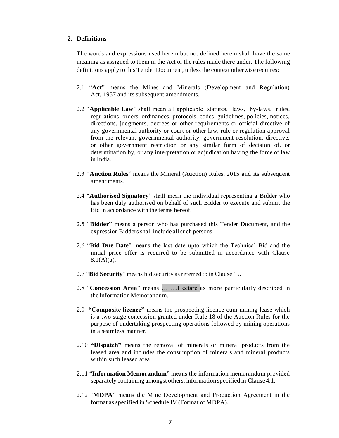## **2. Definitions**

The words and expressions used herein but not defined herein shall have the same meaning as assigned to them in the Act or the rules made there under. The following definitions apply to this Tender Document, unless the context otherwise requires:

- 2.1 "**Act**" means the Mines and Minerals (Development and Regulation) Act, 1957 and its subsequent amendments.
- 2.2 "**Applicable Law**" shall mean all applicable statutes, laws, by-laws, rules, regulations, orders, ordinances, protocols, codes, guidelines, policies, notices, directions, judgments, decrees or other requirements or official directive of any governmental authority or court or other law, rule or regulation approval from the relevant governmental authority, government resolution, directive, or other government restriction or any similar form of decision of, or determination by, or any interpretation or adjudication having the force of law in India.
- 2.3 "**Auction Rules**" means the Mineral (Auction) Rules, 2015 and its subsequent amendments.
- 2.4 "**Authorised Signatory**" shall mean the individual representing a Bidder who has been duly authorised on behalf of such Bidder to execute and submit the Bid in accordance with the terms hereof.
- 2.5 "**Bidder**" means a person who has purchased this Tender Document, and the expression Bidders shall include all such persons.
- 2.6 "**Bid Due Date**" means the last date upto which the Technical Bid and the initial price offer is required to be submitted in accordance with Clause  $8.1(A)(a)$ .
- 2.7 "**Bid Security**" means bid security as referred to in Clause 15.
- 2.8 "**Concession Area**" means ……..Hectare as more particularly described in the Information Memorandum.
- 2.9 **"Composite licence"** means the prospecting licence-cum-mining lease which is a two stage concession granted under Rule 18 of the Auction Rules for the purpose of undertaking prospecting operations followed by mining operations in a seamless manner.
- 2.10 **"Dispatch"** means the removal of minerals or mineral products from the leased area and includes the consumption of minerals and mineral products within such leased area.
- 2.11 "**Information Memorandum**" means the information memorandum provided separately containing amongst others, information specified in Clause 4.1.
- 2.12 "**MDPA**" means the Mine Development and Production Agreement in the format as specified in Schedule IV (Format of MDPA).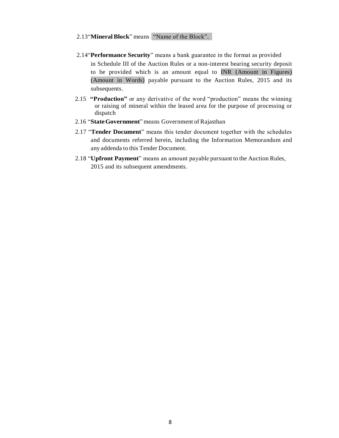### 2.13"**MineralBlock**" means "Name of the Block".

- 2.14"**Performance Security**" means a bank guarantee in the format as provided in Schedule III of the Auction Rules or a non-interest bearing security deposit to be provided which is an amount equal to INR (Amount in Figures) (Amount in Words) payable pursuant to the Auction Rules, 2015 and its subsequents.
- 2.15 **"Production"** or any derivative of the word "production" means the winning or raising of mineral within the leased area for the purpose of processing or dispatch
- 2.16 "**StateGovernment**" means Government of Rajasthan
- 2.17 "**Tender Document**" means this tender document together with the schedules and documents referred herein, including the Information Memorandum and any addenda to this Tender Document.
- 2.18 "**Upfront Payment**" means an amount payable pursuant to the Auction Rules, 2015 and its subsequent amendments.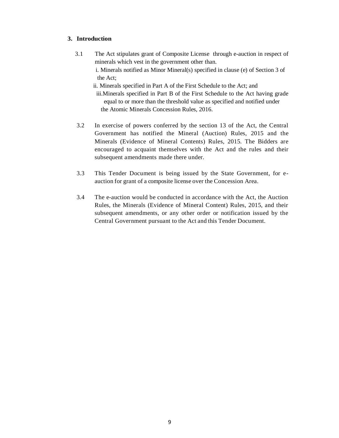## **3. Introduction**

 3.1 The Act stipulates grant of Composite License through e-auction in respect of minerals which vest in the government other than. i. Minerals notified as Minor Mineral(s) specified in clause (e) of Section 3 of the Act;

 ii. Minerals specified in Part A of the First Schedule to the Act; and iii.Minerals specified in Part B of the First Schedule to the Act having grade equal to or more than the threshold value as specified and notified under the Atomic Minerals Concession Rules, 2016.

- 3.2 In exercise of powers conferred by the section 13 of the Act, the Central Government has notified the Mineral (Auction) Rules, 2015 and the Minerals (Evidence of Mineral Contents) Rules, 2015. The Bidders are encouraged to acquaint themselves with the Act and the rules and their subsequent amendments made there under.
- 3.3 This Tender Document is being issued by the State Government, for eauction for grant of a composite license over the Concession Area.
- 3.4 The e-auction would be conducted in accordance with the Act, the Auction Rules, the Minerals (Evidence of Mineral Content) Rules, 2015, and their subsequent amendments, or any other order or notification issued by the Central Government pursuant to the Act and this Tender Document.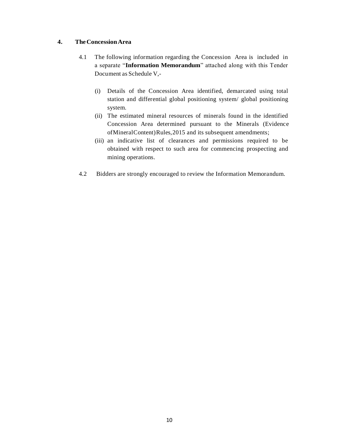## **4. TheConcessionArea**

- 4.1 The following information regarding the Concession Area is included in a separate "**Information Memorandum**" attached along with this Tender Document as Schedule V,-
	- (i) Details of the Concession Area identified, demarcated using total station and differential global positioning system/ global positioning system.
	- (ii) The estimated mineral resources of minerals found in the identified Concession Area determined pursuant to the Minerals (Evidence of Mineral Content) Rules, 2015 and its subsequent amendments;
	- (iii) an indicative list of clearances and permissions required to be obtained with respect to such area for commencing prospecting and mining operations.
- 4.2 Bidders are strongly encouraged to review the Information Memorandum.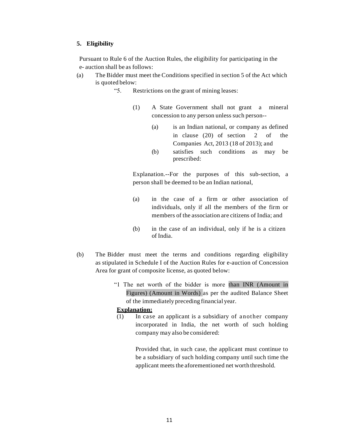### **5. Eligibility**

Pursuant to Rule 6 of the Auction Rules, the eligibility for participating in the e- auction shall be as follows:

- (a) The Bidder must meet the Conditions specified in section 5 of the Act which is quoted below:
	- "5. Restrictions on the grant of mining leases:
		- (1) A State Government shall not grant a mineral concession to any person unless such person--
			- (a) is an Indian national, or company as defined in clause (20) of section 2 of the Companies Act, 2013 (18 of 2013); and
			- (b) satisfies such conditions as may be prescribed:

Explanation.--For the purposes of this sub-section, a person shall be deemed to be an Indian national,

- (a) in the case of a firm or other association of individuals, only if all the members of the firm or members of the association are citizens of India; and
- (b) in the case of an individual, only if he is a citizen of India.
- (b) The Bidder must meet the terms and conditions regarding eligibility as stipulated in Schedule I of the Auction Rules for e-auction of Concession Area for grant of composite license, as quoted below:
	- "1 The net worth of the bidder is more than INR (Amount in Figures) (Amount in Words) as per the audited Balance Sheet of the immediately preceding financial year.

## **Explanation:**

(1) In case an applicant is a subsidiary of another company incorporated in India, the net worth of such holding company may also be considered:

> Provided that, in such case, the applicant must continue to be a subsidiary of such holding company until such time the applicant meets the aforementioned net worth threshold.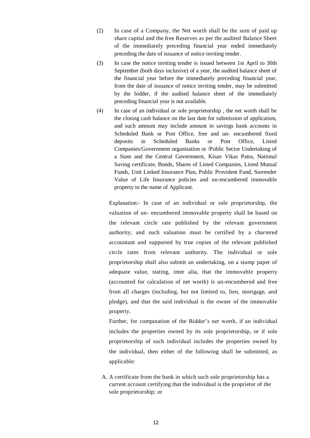- (2) In case of a Company, the Net worth shall be the sum of paid up share capital and the free Reserves as per the audited Balance Sheet of the immediately preceding financial year ended immediately preceding the date of issuance of notice inviting tender.
- (3) In case the notice inviting tender is issued between 1st April to 30th September (both days inclusive) of a year, the audited balance sheet of the financial year before the immediately preceding financial year, from the date of issuance of notice inviting tender, may be submitted by the bidder, if the audited balance sheet of the immediately preceding financial year is not available.
- (4) In case of an individual or sole proprietorship , the net worth shall be the closing cash balance on the last date for submission of application, and such amount may include amount in savings bank accounts in Scheduled Bank or Post Office, free and un- encumbered fixed deposits in Scheduled Banks or Post Office, Listed Companies/Government organisation or /Public Sector Undertaking of a State and the Central Government, Kisan Vikas Patra, National Saving certificate, Bonds, Shares of Listed Companies, Listed Mutual Funds, Unit Linked Insurance Plan, Public Provident Fund, Surrender Value of Life Insurance policies and un-encumbered immovable property in the name of Applicant.

Explanation:- In case of an individual or sole proprietorship, the valuation of un- encumbered immovable property shall be based on the relevant circle rate published by the relevant government authority, and such valuation must be certified by a chartered accountant and supported by true copies of the relevant published circle rates from relevant authority. The individual or sole proprietorship shall also submit an undertaking, on a stamp paper of adequate value, stating, inter alia, that the immovable property (accounted for calculation of net worth) is un-encumbered and free from all charges (including, but not limited to, lien, mortgage, and pledge), and that the said individual is the owner of the immovable property.

Further, for computation of the Bidder's net worth, if an individual includes the properties owned by its sole proprietorship, or if sole proprietorship of such individual includes the properties owned by the individual, then either of the following shall be submitted, as applicable:

A. A certificate from the bank in which such sole proprietorship has a current account certifying that the individual is the proprietor of the sole proprietorship; or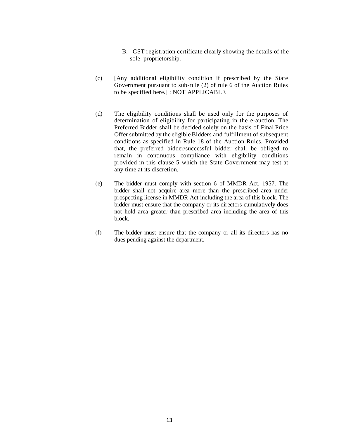- B. GST registration certificate clearly showing the details of the sole proprietorship.
- (c) [Any additional eligibility condition if prescribed by the State Government pursuant to sub-rule (2) of rule 6 of the Auction Rules to be specified here.] : NOT APPLICABLE
- (d) The eligibility conditions shall be used only for the purposes of determination of eligibility for participating in the e-auction. The Preferred Bidder shall be decided solely on the basis of Final Price Offer submitted by the eligible Bidders and fulfillment of subsequent conditions as specified in Rule 18 of the Auction Rules. Provided that, the preferred bidder/successful bidder shall be obliged to remain in continuous compliance with eligibility conditions provided in this clause 5 which the State Government may test at any time at its discretion.
- (e) The bidder must comply with section 6 of MMDR Act, 1957. The bidder shall not acquire area more than the prescribed area under prospecting license in MMDR Act including the area of this block. The bidder must ensure that the company or its directors cumulatively does not hold area greater than prescribed area including the area of this block.
- (f) The bidder must ensure that the company or all its directors has no dues pending against the department.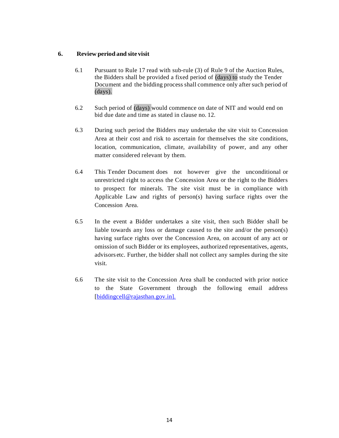## **6. Review period and site visit**

- 6.1 Pursuant to Rule 17 read with sub-rule (3) of Rule 9 of the Auction Rules, the Bidders shall be provided a fixed period of (days) to study the Tender Document and the bidding process shall commence only after such period of (days).
- 6.2 Such period of (days) would commence on date of NIT and would end on bid due date and time as stated in clause no. 12.
- 6.3 During such period the Bidders may undertake the site visit to Concession Area at their cost and risk to ascertain for themselves the site conditions, location, communication, climate, availability of power, and any other matter considered relevant by them.
- 6.4 This Tender Document does not however give the unconditional or unrestricted right to access the Concession Area or the right to the Bidders to prospect for minerals. The site visit must be in compliance with Applicable Law and rights of person(s) having surface rights over the Concession Area.
- 6.5 In the event a Bidder undertakes a site visit, then such Bidder shall be liable towards any loss or damage caused to the site and/or the person(s) having surface rights over the Concession Area, on account of any act or omission of such Bidder or its employees, authorized representatives, agents, advisors etc. Further, the bidder shall not collect any samples during the site visit.
- 6.6 The site visit to the Concession Area shall be conducted with prior notice to the State Government through the following email address [\[biddingcell@rajasthan.gov.in\].](mailto:biddingcell@rajasthan.gov.in].)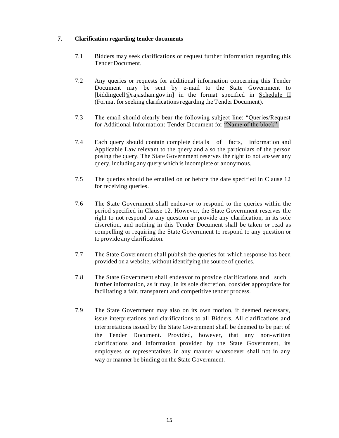## **7. Clarification regarding tender documents**

- 7.1 Bidders may seek clarifications or request further information regarding this Tender Document.
- 7.2 Any queries or requests for additional information concerning this Tender Document may be sent by e-mail to the State Government to [\[biddingcell@rajasthan.gov.in\]](mailto:biddingcell@dmg-raj.org) in the format specified in Schedule II (Format for seeking clarificationsregarding the Tender Document).
- 7.3 The email should clearly bear the following subject line: "Queries/Request for Additional Information: Tender Document for "Name of the block".
- 7.4 Each query should contain complete details of facts, information and Applicable Law relevant to the query and also the particulars of the person posing the query. The State Government reserves the right to not answer any query, including any query which is incomplete or anonymous.
- 7.5 The queries should be emailed on or before the date specified in Clause 12 for receiving queries.
- 7.6 The State Government shall endeavor to respond to the queries within the period specified in Clause 12. However, the State Government reserves the right to not respond to any question or provide any clarification, in its sole discretion, and nothing in this Tender Document shall be taken or read as compelling or requiring the State Government to respond to any question or to provide any clarification.
- 7.7 The State Government shall publish the queries for which response has been provided on a website, without identifying the source of queries.
- 7.8 The State Government shall endeavor to provide clarifications and such further information, as it may, in its sole discretion, consider appropriate for facilitating a fair, transparent and competitive tender process.
- 7.9 The State Government may also on its own motion, if deemed necessary, issue interpretations and clarifications to all Bidders. All clarifications and interpretations issued by the State Government shall be deemed to be part of the Tender Document. Provided, however, that any non-written clarifications and information provided by the State Government, its employees or representatives in any manner whatsoever shall not in any way or manner be binding on the State Government.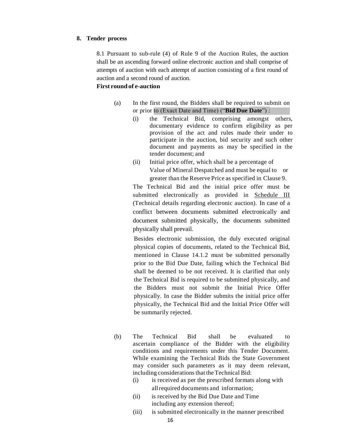#### **8. Tender process**

8.1 Pursuant to sub-rule (4) of Rule 9 of the Auction Rules, the auction shall be an ascending forward online electronic auction and shall comprise of attempts of auction with each attempt of auction consisting of a first round of auction and a second round of auction.

## **First roundof e-auction**

- (a) In the first round, the Bidders shall be required to submit on or prior to (Exact Date and Time) ("**Bid Due Date**") :
	- (i) the Technical Bid, comprising amongst others, documentary evidence to confirm eligibility as per provision of the act and rules made their under to participate in the auction, bid security and such other document and payments as may be specified in the tender document; and
	- (ii) Initial price offer, which shall be a percentage of Value of Mineral Despatched and must be equal to or greater than the Reserve Price as specified in Clause 9.

The Technical Bid and the initial price offer must be submitted electronically as provided in Schedule III (Technical details regarding electronic auction). In case of a conflict between documents submitted electronically and document submitted physically, the documents submitted physically shall prevail.

Besides electronic submission, the duly executed original physical copies of documents, related to the Technical Bid, mentioned in Clause 14.1.2 must be submitted personally prior to the Bid Due Date, failing which the Technical Bid shall be deemed to be not received. It is clarified that only the Technical Bid is required to be submitted physically, and the Bidders must not submit the Initial Price Offer physically. In case the Bidder submits the initial price offer physically, the Technical Bid and the Initial Price Offer will be summarily rejected.

- (b) The Technical Bid shall be evaluated to ascertain compliance of the Bidder with the eligibility conditions and requirements under this Tender Document. While examining the Technical Bids the State Government may consider such parameters as it may deem relevant, including considerations that the Technical Bid:
	- (i) is received as per the prescribed formats along with allrequired documents and information;
	- (ii) is received by the Bid Due Date and Time including any extension thereof;
	- (iii) is submitted electronically in the manner prescribed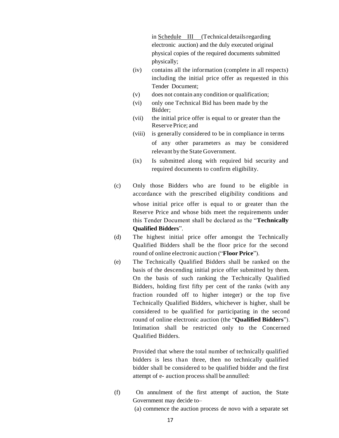in Schedule III (Technicaldetailsregarding electronic auction) and the duly executed original physical copies of the required documents submitted physically;

- (iv) contains all the information (complete in all respects) including the initial price offer as requested in this Tender Document;
- (v) does not contain any condition or qualification;
- (vi) only one Technical Bid has been made by the Bidder;
- (vii) the initial price offer is equal to or greater than the Reserve Price; and
- (viii) is generally considered to be in compliance in terms of any other parameters as may be considered relevant by the State Government.
- (ix) Is submitted along with required bid security and required documents to confirm eligibility.
- (c) Only those Bidders who are found to be eligible in accordance with the prescribed eligibility conditions and whose initial price offer is equal to or greater than the Reserve Price and whose bids meet the requirements under this Tender Document shall be declared as the "**Technically Qualified Bidders**".
- (d) The highest initial price offer amongst the Technically Qualified Bidders shall be the floor price for the second round of online electronic auction ("**Floor Price**").
- (e) The Technically Qualified Bidders shall be ranked on the basis of the descending initial price offer submitted by them. On the basis of such ranking the Technically Qualified Bidders, holding first fifty per cent of the ranks (with any fraction rounded off to higher integer) or the top five Technically Qualified Bidders, whichever is higher, shall be considered to be qualified for participating in the second round of online electronic auction (the "**Qualified Bidders**"). Intimation shall be restricted only to the Concerned Qualified Bidders.

Provided that where the total number of technically qualified bidders is less than three, then no technically qualified bidder shall be considered to be qualified bidder and the first attempt of e- auction process shall be annulled:

(f) On annulment of the first attempt of auction, the State Government may decide to–

(a) commence the auction process de novo with a separate set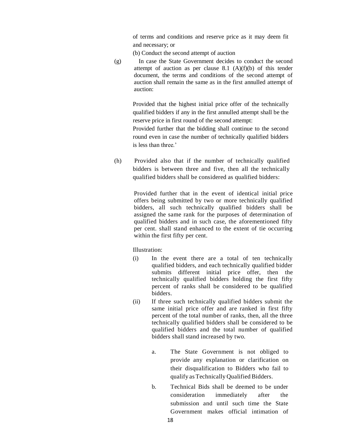of terms and conditions and reserve price as it may deem fit and necessary; or

(b) Conduct the second attempt of auction

(g) In case the State Government decides to conduct the second attempt of auction as per clause  $8.1$  (A)(f)(b) of this tender document, the terms and conditions of the second attempt of auction shall remain the same as in the first annulled attempt of auction:

> Provided that the highest initial price offer of the technically qualified bidders if any in the first annulled attempt shall be the reserve price in first round of the second attempt:

> Provided further that the bidding shall continue to the second round even in case the number of technically qualified bidders is less than three.'

(h) Provided also that if the number of technically qualified bidders is between three and five, then all the technically qualified bidders shall be considered as qualified bidders:

> Provided further that in the event of identical initial price offers being submitted by two or more technically qualified bidders, all such technically qualified bidders shall be assigned the same rank for the purposes of determination of qualified bidders and in such case, the aforementioned fifty per cent. shall stand enhanced to the extent of tie occurring within the first fifty per cent.

Illustration:

- (i) In the event there are a total of ten technically qualified bidders, and each technically qualified bidder submits different initial price offer, then the technically qualified bidders holding the first fifty percent of ranks shall be considered to be qualified bidders.
- (ii) If three such technically qualified bidders submit the same initial price offer and are ranked in first fifty percent of the total number of ranks, then, all the three technically qualified bidders shall be considered to be qualified bidders and the total number of qualified bidders shall stand increased by two.
	- a. The State Government is not obliged to provide any explanation or clarification on their disqualification to Bidders who fail to qualify as Technically Qualified Bidders.
	- b. Technical Bids shall be deemed to be under consideration immediately after the submission and until such time the State Government makes official intimation of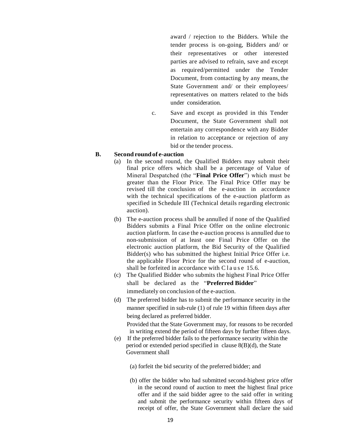award / rejection to the Bidders. While the tender process is on-going, Bidders and/ or their representatives or other interested parties are advised to refrain, save and except as required/permitted under the Tender Document, from contacting by any means, the State Government and/ or their employees/ representatives on matters related to the bids under consideration.

c. Save and except as provided in this Tender Document, the State Government shall not entertain any correspondence with any Bidder in relation to acceptance or rejection of any bid or the tender process.

#### **B. Second roundof e-auction**

- (a) In the second round, the Qualified Bidders may submit their final price offers which shall be a percentage of Value of Mineral Despatched (the "**Final Price Offer**") which must be greater than the Floor Price. The Final Price Offer may be revised till the conclusion of the e-auction in accordance with the technical specifications of the e-auction platform as specified in Schedule III (Technical details regarding electronic auction).
- (b) The e-auction process shall be annulled if none of the Qualified Bidders submits a Final Price Offer on the online electronic auction platform. In case the e-auction process is annulled due to non-submission of at least one Final Price Offer on the electronic auction platform, the Bid Security of the Qualified Bidder(s) who has submitted the highest Initial Price Offer i.e. the applicable Floor Price for the second round of e-auction, shall be forfeited in accordance with C l a u s e 15.6.
- (c) The Qualified Bidder who submits the highest Final Price Offer shall be declared as the "**Preferred Bidder**" immediately on conclusion of the e-auction.
- (d) The preferred bidder has to submit the performance security in the manner specified in sub-rule (1) of rule 19 within fifteen days after being declared as preferred bidder.

Provided that the State Government may, for reasons to be recorded in writing extend the period of fifteen days by further fifteen days.

- (e) If the preferred bidder fails to the performance security within the period or extended period specified in clause 8(B)(d), the State Government shall
	- (a) forfeit the bid security of the preferred bidder; and
	- (b) offer the bidder who had submitted second-highest price offer in the second round of auction to meet the highest final price offer and if the said bidder agree to the said offer in writing and submit the performance security within fifteen days of receipt of offer, the State Government shall declare the said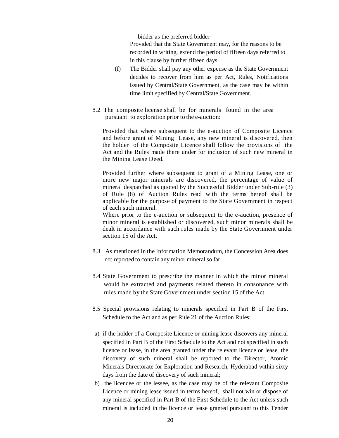bidder as the preferred bidder Provided that the State Government may, for the reasons to be recorded in writing, extend the period of fifteen days referred to in this clause by further fifteen days.

- (f) The Bidder shall pay any other expense as the State Government decides to recover from him as per Act, Rules, Notifications issued by Central/State Government, as the case may be within time limit specified by Central/State Government.
- 8.2 The composite license shall be for minerals found in the area pursuant to exploration prior to the e-auction:

Provided that where subsequent to the e-auction of Composite Licence and before grant of Mining Lease, any new mineral is discovered, then the holder of the Composite Licence shall follow the provisions of the Act and the Rules made there under for inclusion of such new mineral in the Mining Lease Deed.

Provided further where subsequent to grant of a Mining Lease, one or more new major minerals are discovered, the percentage of value of mineral despatched as quoted by the Successful Bidder under Sub-rule (3) of Rule (8) of Auction Rules read with the terms hereof shall be applicable for the purpose of payment to the State Government in respect of each such mineral.

Where prior to the e-auction or subsequent to the e-auction, presence of minor mineral is established or discovered, such minor minerals shall be dealt in accordance with such rules made by the State Government under section 15 of the Act.

- 8.3 As mentioned in the Information Memorandum, the Concession Area does not reported to contain any minor mineralso far.
- 8.4 State Government to prescribe the manner in which the minor mineral would be extracted and payments related thereto in consonance with rules made by the State Government under section 15 of the Act.
- 8.5 Special provisions relating to minerals specified in Part B of the First Schedule to the Act and as per Rule 21 of the Auction Rules:
- a) if the holder of a Composite Licence or mining lease discovers any mineral specified in Part B of the First Schedule to the Act and not specified in such licence or lease, in the area granted under the relevant licence or lease, the discovery of such mineral shall be reported to the Director, Atomic Minerals Directorate for Exploration and Research, Hyderabad within sixty days from the date of discovery of such mineral;
- b) the licencee or the lessee, as the case may be of the relevant Composite Licence or mining lease issued in terms hereof, shall not win or dispose of any mineral specified in Part B of the First Schedule to the Act unless such mineral is included in the licence or lease granted pursuant to this Tender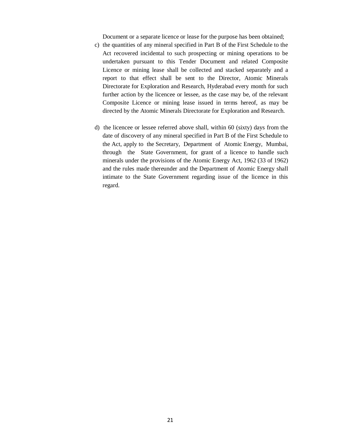Document or a separate licence or lease for the purpose has been obtained;

- c) the quantities of any mineral specified in Part B of the First Schedule to the Act recovered incidental to such prospecting or mining operations to be undertaken pursuant to this Tender Document and related Composite Licence or mining lease shall be collected and stacked separately and a report to that effect shall be sent to the Director, Atomic Minerals Directorate for Exploration and Research, Hyderabad every month for such further action by the licencee or lessee, as the case may be, of the relevant Composite Licence or mining lease issued in terms hereof, as may be directed by the Atomic Minerals Directorate for Exploration and Research.
- d) the licencee or lessee referred above shall, within 60 (sixty) days from the date of discovery of any mineral specified in Part B of the First Schedule to the Act, apply to the Secretary, Department of Atomic Energy, Mumbai, through the State Government, for grant of a licence to handle such minerals under the provisions of the Atomic Energy Act, 1962 (33 of 1962) and the rules made thereunder and the Department of Atomic Energy shall intimate to the State Government regarding issue of the licence in this regard.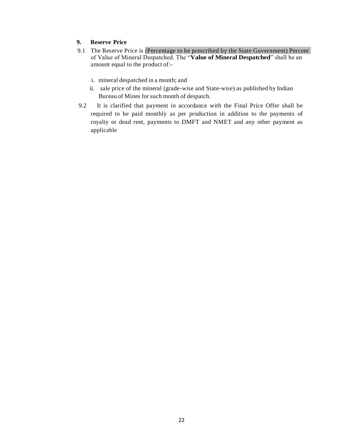# **9. Reserve Price**

- 9.1 The Reserve Price is (Percentage to be prescribed by the State Government) Percent of Value of Mineral Despatched. The "**Value of Mineral Despatched**" shall be an amount equal to the product of:
	- i. mineral despatched in a month; and
	- ii. sale price of the mineral (grade-wise and State-wise) as published by Indian Bureau of Mines for such month of despatch.
- 9.2 It is clarified that payment in accordance with the Final Price Offer shall be required to be paid monthly as per production in addition to the payments of royalty or dead rent, payments to DMFT and NMET and any other payment as applicable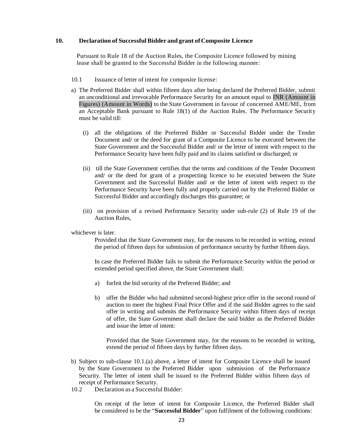### **10. Declaration of SuccessfulBidder and grant ofComposite Licence**

Pursuant to Rule 18 of the Auction Rules, the Composite Licence followed by mining lease shall be granted to the Successful Bidder in the following manner:

- 10.1 Issuance of letter of intent for composite license:
- a) The Preferred Bidder shall within fifteen days after being declared the Preferred Bidder, submit an unconditional and irrevocable Performance Security for an amount equal to INR (Amount in Figures) (Amount in Words) to the State Government in favour of concerned AME/ME, from an Acceptable Bank pursuant to Rule 18(1) of the Auction Rules. The Performance Security must be valid till:
	- (i) all the obligations of the Preferred Bidder or Successful Bidder under the Tender Document and/ or the deed for grant of a Composite Licence to be executed between the State Government and the Successful Bidder and/ or the letter of intent with respect to the Performance Security have been fully paid and its claims satisfied or discharged; or
	- (ii) till the State Government certifies that the terms and conditions of the Tender Document and/ or the deed for grant of a prospecting licence to be executed between the State Government and the Successful Bidder and/ or the letter of intent with respect to the Performance Security have been fully and properly carried out by the Preferred Bidder or Successful Bidder and accordingly discharges this guarantee; or
	- (iii) on provision of a revised Performance Security under sub-rule (2) of Rule 19 of the Auction Rules,

#### whichever is later.

Provided that the State Government may, for the reasons to be recorded in writing, extend the period of fifteen days for submission of performance security by further fifteen days.

In case the Preferred Bidder fails to submit the Performance Security within the period or extended period specified above, the State Government shall:

- a) forfeit the bid security of the Preferred Bidder; and
- b) offer the Bidder who had submitted second-highest price offer in the second round of auction to meet the highest Final Price Offer and if the said Bidder agrees to the said offer in writing and submits the Performance Security within fifteen days of receipt of offer, the State Government shall declare the said bidder as the Preferred Bidder and issue the letter of intent:

Provided that the State Government may, for the reasons to be recorded in writing, extend the period of fifteen days by further fifteen days.

- b) Subject to sub-clause 10.1.(a) above, a letter of intent for Composite Licence shall be issued by the State Government to the Preferred Bidder upon submission of the Performance Security. The letter of intent shall be issued to the Preferred Bidder within fifteen days of receipt of Performance Security.
- 10.2 Declaration as a Successful Bidder:

On receipt of the letter of intent for Composite Licence, the Preferred Bidder shall be considered to be the "**Successful Bidder**" upon fulfilment of the following conditions: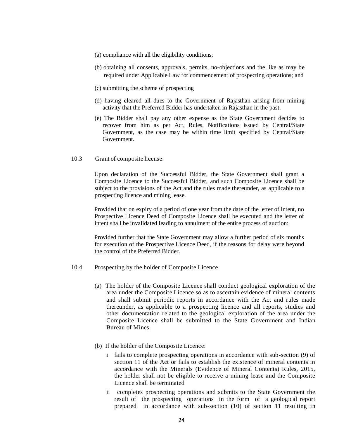- (a) compliance with all the eligibility conditions;
- (b) obtaining all consents, approvals, permits, no-objections and the like as may be required under Applicable Law for commencement of prospecting operations; and
- (c) submitting the scheme of prospecting
- (d) having cleared all dues to the Government of Rajasthan arising from mining activity that the Preferred Bidder has undertaken in Rajasthan in the past.
- (e) The Bidder shall pay any other expense as the State Government decides to recover from him as per Act, Rules, Notifications issued by Central/State Government, as the case may be within time limit specified by Central/State Government.
- 10.3 Grant of composite license:

Upon declaration of the Successful Bidder, the State Government shall grant a Composite Licence to the Successful Bidder, and such Composite Licence shall be subject to the provisions of the Act and the rules made thereunder, as applicable to a prospecting licence and mining lease.

Provided that on expiry of a period of one year from the date of the letter of intent, no Prospective Licence Deed of Composite Licence shall be executed and the letter of intent shall be invalidated leading to annulment of the entire process of auction:

Provided further that the State Government may allow a further period of six months for execution of the Prospective Licence Deed, if the reasons for delay were beyond the control of the Preferred Bidder.

- 10.4 Prospecting by the holder of Composite Licence
	- (a) The holder of the Composite Licence shall conduct geological exploration of the area under the Composite Licence so as to ascertain evidence of mineral contents and shall submit periodic reports in accordance with the Act and rules made thereunder, as applicable to a prospecting licence and all reports, studies and other documentation related to the geological exploration of the area under the Composite Licence shall be submitted to the State Government and Indian Bureau of Mines.
	- (b) If the holder of the Composite Licence:
		- i fails to complete prospecting operations in accordance with sub-section (9) of section 11 of the Act or fails to establish the existence of mineral contents in accordance with the Minerals (Evidence of Mineral Contents) Rules, 2015, the holder shall not be eligible to receive a mining lease and the Composite Licence shall be terminated
		- ii completes prospecting operations and submits to the State Government the result of the prospecting operations in the form of a geological report prepared in accordance with sub-section (10) of section 11 resulting in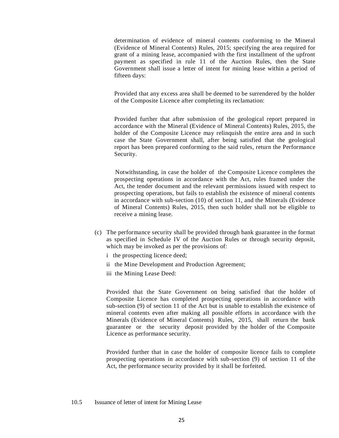determination of evidence of mineral contents conforming to the Mineral (Evidence of Mineral Contents) Rules, 2015; specifying the area required for grant of a mining lease, accompanied with the first installment of the upfront payment as specified in rule 11 of the Auction Rules, then the State Government shall issue a letter of intent for mining lease within a period of fifteen days:

Provided that any excess area shall be deemed to be surrendered by the holder of the Composite Licence after completing its reclamation:

Provided further that after submission of the geological report prepared in accordance with the Mineral (Evidence of Mineral Contents) Rules, 2015, the holder of the Composite Licence may relinquish the entire area and in such case the State Government shall, after being satisfied that the geological report has been prepared conforming to the said rules, return the Performance Security.

Notwithstanding, in case the holder of the Composite Licence completes the prospecting operations in accordance with the Act, rules framed under the Act, the tender document and the relevant permissions issued with respect to prospecting operations, but fails to establish the existence of mineral contents in accordance with sub-section (10) of section 11, and the Minerals (Evidence of Mineral Contents) Rules, 2015, then such holder shall not be eligible to receive a mining lease.

- (c) The performance security shall be provided through bank guarantee in the format as specified in Schedule IV of the Auction Rules or through security deposit, which may be invoked as per the provisions of:
	- i the prospecting licence deed;
	- ii the Mine Development and Production Agreement;
	- iii the Mining Lease Deed:

Provided that the State Government on being satisfied that the holder of Composite Licence has completed prospecting operations in accordance with sub-section (9) of section 11 of the Act but is unable to establish the existence of mineral contents even after making all possible efforts in accordance with the Minerals (Evidence of Mineral Contents) Rules, 2015, shall return the bank guarantee or the security deposit provided by the holder of the Composite Licence as performance security.

Provided further that in case the holder of composite licence fails to complete prospecting operations in accordance with sub-section (9) of section 11 of the Act, the performance security provided by it shall be forfeited.

#### 10.5 Issuance of letter of intent for Mining Lease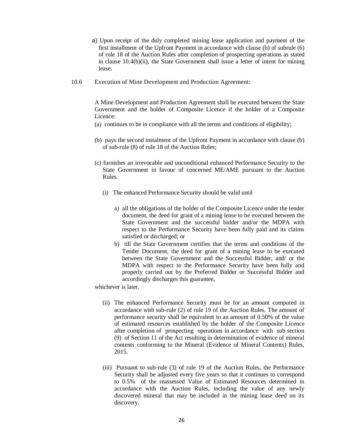- a) Upon receipt of the duly completed mining lease application and payment of the first installment of the Upfront Payment in accordance with clause (b) of subrule (6) of rule 18 of the Auction Rules after completion of prospecting operations as stated in clause 10.4(b)(ii), the State Government shall issue a letter of intent for mining lease.
- 10.6 Execution of Mine Development and Production Agreement:

A Mine Development and Production Agreement shall be executed between the State Government and the holder of Composite Licence if the holder of a Composite Licence:

- (a) continues to be in compliance with all the terms and conditions of eligibility;
- (b) pays the second instalment of the Upfront Payment in accordance with clause (b) of sub-rule (8) of rule 18 of the Auction Rules;
- (c) furnishes an irrevocable and unconditional enhanced Performance Security to the State Government in favour of concerned ME/AME pursuant to the Auction Rules.
	- (i) The enhanced Performance Security should be valid until
		- a) all the obligations of the holder of the Composite Licence under the tender document, the deed for grant of a mining lease to be executed between the State Government and the successful bidder and/or the MDPA with respect to the Performance Security have been fully paid and its claims satisfied or discharged; or
		- b) till the State Government certifies that the terms and conditions of the Tender Document, the deed for grant of a mining lease to be executed between the State Government and the Successful Bidder, and/ or the MDPA with respect to the Performance Security have been fully and properly carried out by the Preferred Bidder or Successful Bidder and accordingly discharges this guarantee,

whichever is later.

- (ii) The enhanced Performance Security must be for an amount computed in accordance with sub-rule (2) of rule 19 of the Auction Rules. The amount of performance security shall be equivalent to an amount of 0.50% of the value of estimated resources established by the holder of the Composite Licence after completion of prospecting operations in accordance with sub section (9) of Section 11 of the Act resulting in determination of evidence of mineral contents conforming to the Mineral (Evidence of Mineral Contents) Rules, 2015.
- (iii) Pursuant to sub-rule (3) of rule 19 of the Auction Rules, the Performance Security shall be adjusted every five years so that it continues to correspond to 0.5% of the reassessed Value of Estimated Resources determined in accordance with the Auction Rules, including the value of any newly discovered mineral that may be included in the mining lease deed on its discovery.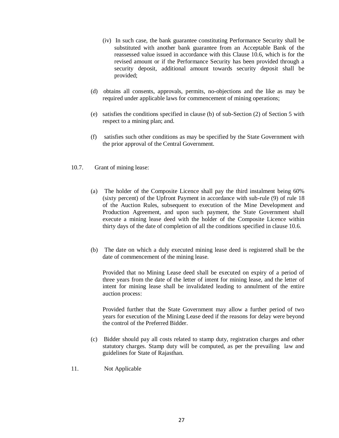- (iv) In such case, the bank guarantee constituting Performance Security shall be substituted with another bank guarantee from an Acceptable Bank of the reassessed value issued in accordance with this Clause 10.6, which is for the revised amount or if the Performance Security has been provided through a security deposit, additional amount towards security deposit shall be provided;
- (d) obtains all consents, approvals, permits, no-objections and the like as may be required under applicable laws for commencement of mining operations;
- (e) satisfies the conditions specified in clause (b) of sub-Section (2) of Section 5 with respect to a mining plan; and.
- (f) satisfies such other conditions as may be specified by the State Government with the prior approval of the Central Government.
- 10.7. Grant of mining lease:
	- (a) The holder of the Composite Licence shall pay the third instalment being 60% (sixty percent) of the Upfront Payment in accordance with sub-rule (9) of rule 18 of the Auction Rules, subsequent to execution of the Mine Development and Production Agreement, and upon such payment, the State Government shall execute a mining lease deed with the holder of the Composite Licence within thirty days of the date of completion of all the conditions specified in clause 10.6.
	- (b) The date on which a duly executed mining lease deed is registered shall be the date of commencement of the mining lease.

Provided that no Mining Lease deed shall be executed on expiry of a period of three years from the date of the letter of intent for mining lease, and the letter of intent for mining lease shall be invalidated leading to annulment of the entire auction process:

Provided further that the State Government may allow a further period of two years for execution of the Mining Lease deed if the reasons for delay were beyond the control of the Preferred Bidder.

- (c) Bidder should pay all costs related to stamp duty, registration charges and other statutory charges. Stamp duty will be computed, as per the prevailing law and guidelines for State of Rajasthan.
- 11. Not Applicable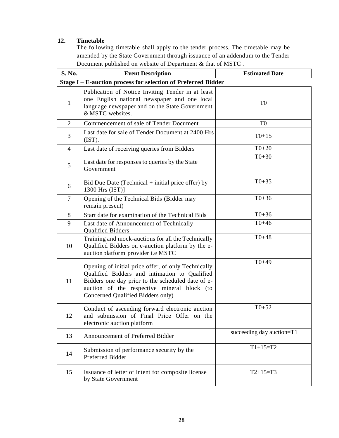# **12. Timetable**

The following timetable shall apply to the tender process. The timetable may be amended by the State Government through issuance of an addendum to the Tender Document published on website of Department & that of MSTC .

| S. No.                                                        | <b>Event Description</b>                                                                                                                                                                                                                      | <b>Estimated Date</b>     |  |  |
|---------------------------------------------------------------|-----------------------------------------------------------------------------------------------------------------------------------------------------------------------------------------------------------------------------------------------|---------------------------|--|--|
| Stage I - E-auction process for selection of Preferred Bidder |                                                                                                                                                                                                                                               |                           |  |  |
| 1                                                             | Publication of Notice Inviting Tender in at least<br>one English national newspaper and one local<br>language newspaper and on the State Government<br>& MSTC websites.                                                                       | T <sub>0</sub>            |  |  |
| $\overline{2}$                                                | Commencement of sale of Tender Document                                                                                                                                                                                                       | T <sub>0</sub>            |  |  |
| 3                                                             | Last date for sale of Tender Document at 2400 Hrs<br>(IST).                                                                                                                                                                                   | $T0+15$                   |  |  |
| $\overline{4}$                                                | Last date of receiving queries from Bidders                                                                                                                                                                                                   | $T0+20$                   |  |  |
| 5                                                             | Last date for responses to queries by the State<br>Government                                                                                                                                                                                 | $T0+30$                   |  |  |
| 6                                                             | Bid Due Date (Technical $+$ initial price offer) by<br>1300 Hrs $(IST)$ ]                                                                                                                                                                     | $T0+35$                   |  |  |
| $\overline{7}$                                                | Opening of the Technical Bids (Bidder may<br>remain present)                                                                                                                                                                                  | $T0+36$                   |  |  |
| 8                                                             | Start date for examination of the Technical Bids                                                                                                                                                                                              | $T0+36$                   |  |  |
| 9                                                             | Last date of Announcement of Technically<br><b>Qualified Bidders</b>                                                                                                                                                                          | $T0+46$                   |  |  |
| 10                                                            | Training and mock-auctions for all the Technically<br>Qualified Bidders on e-auction platform by the e-<br>auction platform provider i.e MSTC                                                                                                 | $T0 + 48$                 |  |  |
| 11                                                            | Opening of initial price offer, of only Technically<br>Qualified Bidders and intimation to Qualified<br>Bidders one day prior to the scheduled date of e-<br>auction of the respective mineral block (to<br>Concerned Qualified Bidders only) | $T0+49$                   |  |  |
| 12                                                            | Conduct of ascending forward electronic auction<br>and submission of Final Price Offer on the<br>electronic auction platform                                                                                                                  | $T0+52$                   |  |  |
| 13                                                            | Announcement of Preferred Bidder                                                                                                                                                                                                              | succeeding day auction=T1 |  |  |
| 14                                                            | Submission of performance security by the<br>Preferred Bidder                                                                                                                                                                                 | $T1+15=T2$                |  |  |
| 15                                                            | Issuance of letter of intent for composite license<br>by State Government                                                                                                                                                                     | $T2+15=T3$                |  |  |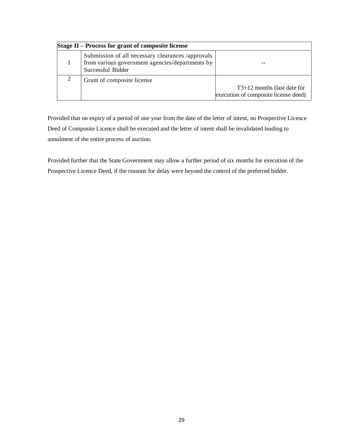| Stage II – Process for grant of composite license |                                                                                                                           |                                                                       |  |
|---------------------------------------------------|---------------------------------------------------------------------------------------------------------------------------|-----------------------------------------------------------------------|--|
|                                                   | Submission of all necessary clearances /approvals<br>from various government agencies/departments by<br>Successful Bidder |                                                                       |  |
| 2                                                 | Grant of composite license                                                                                                | $T3+12$ months (last date for<br>execution of composite license deed) |  |

Provided that on expiry of a period of one year from the date of the letter of intent, no Prospective Licence Deed of Composite Licence shall be executed and the letter of intent shall be invalidated leading to annulment of the entire process of auction.

Provided further that the State Government may allow a further period of six months for execution of the Prospective Licence Deed, if the reasons for delay were beyond the control of the preferred bidder.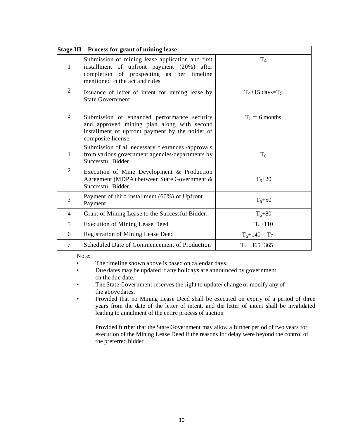| Stage III – Process for grant of mining lease |                                                                                                                                                                               |                              |
|-----------------------------------------------|-------------------------------------------------------------------------------------------------------------------------------------------------------------------------------|------------------------------|
| $\mathbf{1}$                                  | Submission of mining lease application and first<br>installment of upfront payment (20%) after<br>completion of prospecting as per timeline<br>mentioned in the act and rules | T <sub>4</sub>               |
| $\overline{2}$                                | Issuance of letter of intent for mining lease by<br><b>State Government</b>                                                                                                   | $T_4+15$ days=T <sub>5</sub> |
| 3                                             | Submission of enhanced performance security<br>and approved mining plan along with second<br>installment of upfront payment by the holder of<br>composite license             | $T_5 + 6$ months             |
| 1                                             | Submission of all necessary clearances /approvals<br>from various government agencies/departments by<br>Successful Bidder                                                     | T <sub>6</sub>               |
| $\overline{2}$                                | Execution of Mine Development & Production<br>Agreement (MDPA) between State Government &<br>Successful Bidder.                                                               | $T_6 + 20$                   |
| 3                                             | Payment of third installment (60%) of Upfront<br>Payment                                                                                                                      | $T_6 + 50$                   |
| $\overline{4}$                                | Grant of Mining Lease to the Successful Bidder.                                                                                                                               | $T_6 + 80$                   |
| 5 <sup>5</sup>                                | <b>Execution of Mining Lease Deed</b>                                                                                                                                         | $T_6 + 110$                  |
| 6                                             | <b>Registration of Mining Lease Deed</b>                                                                                                                                      | $T_6 + 140 = T_7$            |
| $\overline{7}$                                | Scheduled Date of Commencement of Production                                                                                                                                  | $T_7 + 365 + 365$            |
|                                               | Note:                                                                                                                                                                         |                              |

- The timeline shown above is based on calendar days.
- Due dates may be updated if any holidays are announced by government on the due date.
- The State Government reserves the right to update/ change or modify any of the abovedates.
- Provided that no Mining Lease Deed shall be executed on expiry of a period of three years from the date of the letter of intent, and the letter of intent shall be invalidated leading to annulment of the entire process of auction

Provided further that the State Government may allow a further period of two years for execution of the Mining Lease Deed if the reasons for delay were beyond the control of the preferred bidder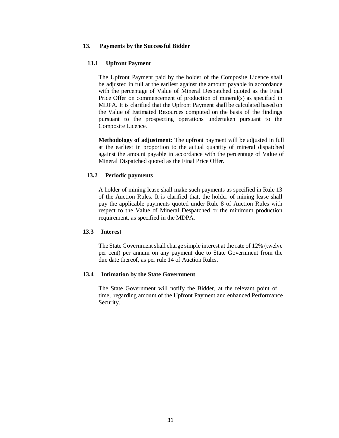### **13. Payments by the Successful Bidder**

#### **13.1 Upfront Payment**

The Upfront Payment paid by the holder of the Composite Licence shall be adjusted in full at the earliest against the amount payable in accordance with the percentage of Value of Mineral Despatched quoted as the Final Price Offer on commencement of production of mineral(s) as specified in MDPA. It is clarified that the Upfront Payment shall be calculated based on the Value of Estimated Resources computed on the basis of the findings pursuant to the prospecting operations undertaken pursuant to the Composite Licence.

**Methodology of adjustment:** The upfront payment will be adjusted in full at the earliest in proportion to the actual quantity of mineral dispatched against the amount payable in accordance with the percentage of Value of Mineral Dispatched quoted as the Final Price Offer.

### **13.2 Periodic payments**

A holder of mining lease shall make such payments as specified in Rule 13 of the Auction Rules. It is clarified that, the holder of mining lease shall pay the applicable payments quoted under Rule 8 of Auction Rules with respect to the Value of Mineral Despatched or the minimum production requirement, as specified in the MDPA.

#### **13.3 Interest**

The State Government shall charge simple interest at the rate of 12% (twelve per cent) per annum on any payment due to State Government from the due date thereof, as per rule 14 of Auction Rules.

## **13.4 Intimation by the State Government**

The State Government will notify the Bidder, at the relevant point of time, regarding amount of the Upfront Payment and enhanced Performance Security.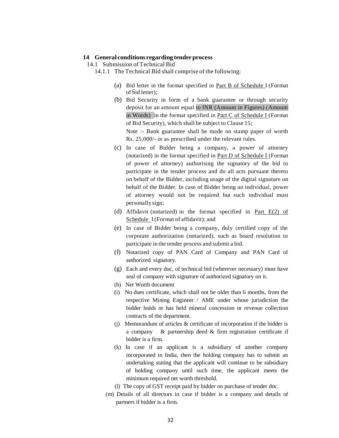#### **14 General conditions regarding tenderprocess**

14.1 Submission of Technical Bid

- 14.1.1 The Technical Bid shall comprise of the following:
	- (a) Bid letter in the format specified in Part B of Schedule I (Format of  $\overline{b}$ id letter):
	- (b) Bid Security in form of a bank guarantee or through security deposit for an amount equal to INR (Amount in Figures) (Amount in Words) in the format specified in Part C of Schedule I (Format of Bid Security), which shall be subject to Clause 15; Note :- Bank guarantee shall be made on stamp paper of worth Rs. 25,000/- or as prescribed under the relevant rules.
	- (c) In case of Bidder being a company, a power of attorney (notarized) in the format specified in Part D of Schedule I (Format of power of attorney) authorising the signatory of the bid to participate in the tender process and do all acts pursuant thereto on behalf of the Bidder, including usage of the digital signature on behalf of the Bidder. In case of Bidder being an individual, power of attorney would not be required but such individual must personally sign;
	- (d) Affidavit (notarized) in the format specified in Part  $E(2)$  of Schedule I (Format of affidavit); and
	- (e) In case of Bidder being a company, duly certified copy of the corporate authorization (notarized), such as board resolution to participate in the tender process and submit a bid.
	- (f) Notarized copy of PAN Card of Company and PAN Card of authorized signatory.
	- (g) Each and every doc, of technical bid (wherever necessary) must have seal of company with signature of authorized signatory on it.
	- (h) Net Worth document
	- (i) No dues certificate, which shall not be older than 6 months, from the respective Mining Engineer / AME under whose jurisdiction the bidder holds or has held mineral concession or revenue collection contracts of the department.
	- (j) Memorandum of articles & certificate of incorporation if the bidder is a company & partnership deed & firm registration certificate if bidder is a firm.
	- (k) In case if an applicant is a subsidiary of another company incorporated in India, then the holding company has to submit an undertaking stating that the applicant will continue to be subsidiary of holding company until such time, the applicant meets the minimum required net worth threshold.
	- (l) The copy of GST receipt paid by bidder on purchase of tender doc.
	- (m) Details of all directors in case if bidder is a company and details of partners if bidder is a firm.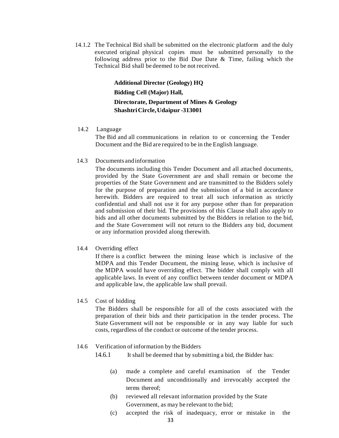14.1.2 The Technical Bid shall be submitted on the electronic platform and the duly executed original physical copies must be submitted personally to the following address prior to the Bid Due Date & Time, failing which the Technical Bid shall be deemed to be not received.

> **Additional Director (Geology) HQ Bidding Cell (Major) Hall, Directorate, Department of Mines & Geology ShashtriCircle,Udaipur -313001**

14.2 Language

The Bid and all communications in relation to or concerning the Tender Document and the Bid are required to be in the English language.

14.3 Documents andinformation

The documents including this Tender Document and all attached documents, provided by the State Government are and shall remain or become the properties of the State Government and are transmitted to the Bidders solely for the purpose of preparation and the submission of a bid in accordance herewith. Bidders are required to treat all such information as strictly confidential and shall not use it for any purpose other than for preparation and submission of their bid. The provisions of this Clause shall also apply to bids and all other documents submitted by the Bidders in relation to the bid, and the State Government will not return to the Bidders any bid, document or any information provided along therewith.

14.4 Overriding effect

If there is a conflict between the mining lease which is inclusive of the MDPA and this Tender Document, the mining lease, which is inclusive of the MDPA would have overriding effect. The bidder shall comply with all applicable laws. In event of any conflict between tender document or MDPA and applicable law, the applicable law shall prevail.

14.5 Cost of bidding

The Bidders shall be responsible for all of the costs associated with the preparation of their bids and their participation in the tender process. The State Government will not be responsible or in any way liable for such costs, regardless of the conduct or outcome of the tender process.

### 14.6 Verification of information by the Bidders

14.6.1 It shall be deemed that by submitting a bid, the Bidder has:

- (a) made a complete and careful examination of the Tender Document and unconditionally and irrevocably accepted the terms thereof;
- (b) reviewed all relevant information provided by the State Government, as may be relevant to the bid;
- (c) accepted the risk of inadequacy, error or mistake in the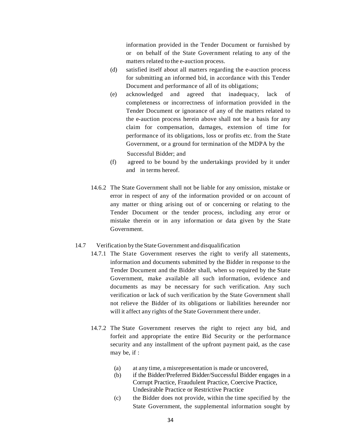information provided in the Tender Document or furnished by or on behalf of the State Government relating to any of the matters related to the e-auction process.

- (d) satisfied itself about all matters regarding the e-auction process for submitting an informed bid, in accordance with this Tender Document and performance of all of its obligations;
- (e) acknowledged and agreed that inadequacy, lack of completeness or incorrectness of information provided in the Tender Document or ignorance of any of the matters related to the e-auction process herein above shall not be a basis for any claim for compensation, damages, extension of time for performance of its obligations, loss or profits etc. from the State Government, or a ground for termination of the MDPA by the

Successful Bidder; and

- (f) agreed to be bound by the undertakings provided by it under and in terms hereof.
- 14.6.2 The State Government shall not be liable for any omission, mistake or error in respect of any of the information provided or on account of any matter or thing arising out of or concerning or relating to the Tender Document or the tender process, including any error or mistake therein or in any information or data given by the State Government.
- 14.7 Verification by the State Government and disqualification
	- 14.7.1 The State Government reserves the right to verify all statements, information and documents submitted by the Bidder in response to the Tender Document and the Bidder shall, when so required by the State Government, make available all such information, evidence and documents as may be necessary for such verification. Any such verification or lack of such verification by the State Government shall not relieve the Bidder of its obligations or liabilities hereunder nor will it affect any rights of the State Government there under.
	- 14.7.2 The State Government reserves the right to reject any bid, and forfeit and appropriate the entire Bid Security or the performance security and any installment of the upfront payment paid, as the case may be, if :
		- (a) at any time, a misrepresentation is made or uncovered,
		- (b) if the Bidder/Preferred Bidder/Successful Bidder engages in a Corrupt Practice, Fraudulent Practice, Coercive Practice, Undesirable Practice or Restrictive Practice
		- (c) the Bidder does not provide, within the time specified by the State Government, the supplemental information sought by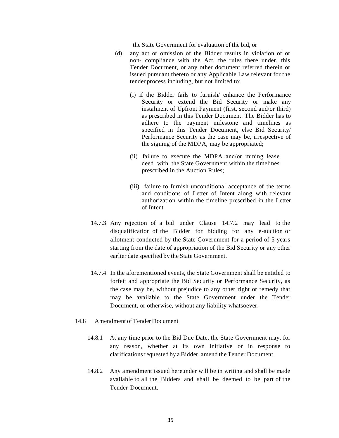the State Government for evaluation of the bid, or

- (d) any act or omission of the Bidder results in violation of or non- compliance with the Act, the rules there under, this Tender Document, or any other document referred therein or issued pursuant thereto or any Applicable Law relevant for the tender process including, but not limited to:
	- (i) if the Bidder fails to furnish/ enhance the Performance Security or extend the Bid Security or make any instalment of Upfront Payment (first, second and/or third) as prescribed in this Tender Document. The Bidder has to adhere to the payment milestone and timelines as specified in this Tender Document, else Bid Security/ Performance Security as the case may be, irrespective of the signing of the MDPA, may be appropriated;
	- (ii) failure to execute the MDPA and/or mining lease deed with the State Government within the timelines prescribed in the Auction Rules;
	- (iii) failure to furnish unconditional acceptance of the terms and conditions of Letter of Intent along with relevant authorization within the timeline prescribed in the Letter of Intent.
- 14.7.3 Any rejection of a bid under Clause 14.7.2 may lead to the disqualification of the Bidder for bidding for any e-auction or allotment conducted by the State Government for a period of 5 years starting from the date of appropriation of the Bid Security or any other earlier date specified by the State Government.
- 14.7.4 In the aforementioned events, the State Government shall be entitled to forfeit and appropriate the Bid Security or Performance Security, as the case may be, without prejudice to any other right or remedy that may be available to the State Government under the Tender Document, or otherwise, without any liability whatsoever.
- 14.8 Amendment ofTender Document
	- 14.8.1 At any time prior to the Bid Due Date, the State Government may, for any reason, whether at its own initiative or in response to clarifications requested by a Bidder, amend the Tender Document.
	- 14.8.2 Any amendment issued hereunder will be in writing and shall be made available to all the Bidders and shall be deemed to be part of the Tender Document.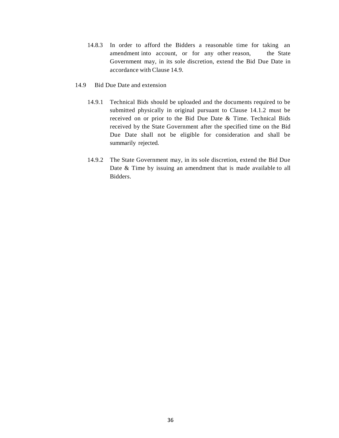- 14.8.3 In order to afford the Bidders a reasonable time for taking an amendment into account, or for any other reason, the State Government may, in its sole discretion, extend the Bid Due Date in accordance with Clause 14.9.
- 14.9 Bid Due Date and extension
	- 14.9.1 Technical Bids should be uploaded and the documents required to be submitted physically in original pursuant to Clause 14.1.2 must be received on or prior to the Bid Due Date & Time. Technical Bids received by the State Government after the specified time on the Bid Due Date shall not be eligible for consideration and shall be summarily rejected.
	- 14.9.2 The State Government may, in its sole discretion, extend the Bid Due Date & Time by issuing an amendment that is made available to all Bidders.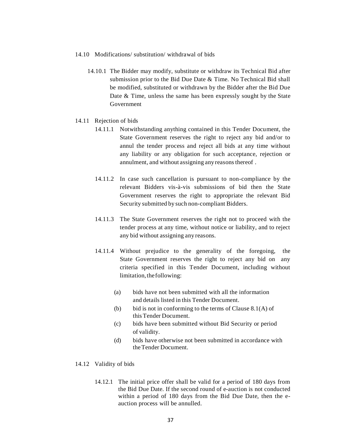- 14.10 Modifications/ substitution/ withdrawal of bids
	- 14.10.1 The Bidder may modify, substitute or withdraw its Technical Bid after submission prior to the Bid Due Date & Time. No Technical Bid shall be modified, substituted or withdrawn by the Bidder after the Bid Due Date & Time, unless the same has been expressly sought by the State Government
- 14.11 Rejection of bids
	- 14.11.1 Notwithstanding anything contained in this Tender Document, the State Government reserves the right to reject any bid and/or to annul the tender process and reject all bids at any time without any liability or any obligation for such acceptance, rejection or annulment, and without assigning any reasonsthereof .
	- 14.11.2 In case such cancellation is pursuant to non-compliance by the relevant Bidders vis-à-vis submissions of bid then the State Government reserves the right to appropriate the relevant Bid Security submitted by such non-compliant Bidders.
	- 14.11.3 The State Government reserves the right not to proceed with the tender process at any time, without notice or liability, and to reject any bid without assigning any reasons.
	- 14.11.4 Without prejudice to the generality of the foregoing, the State Government reserves the right to reject any bid on any criteria specified in this Tender Document, including without limitation, the following:
		- (a) bids have not been submitted with all the information and details listed in this Tender Document.
		- (b) bid is not in conforming to the terms of Clause  $8.1(A)$  of this Tender Document.
		- (c) bids have been submitted without Bid Security or period of validity.
		- (d) bids have otherwise not been submitted in accordance with theTender Document.
- 14.12 Validity of bids
	- 14.12.1 The initial price offer shall be valid for a period of 180 days from the Bid Due Date. If the second round of e-auction is not conducted within a period of 180 days from the Bid Due Date, then the eauction process will be annulled.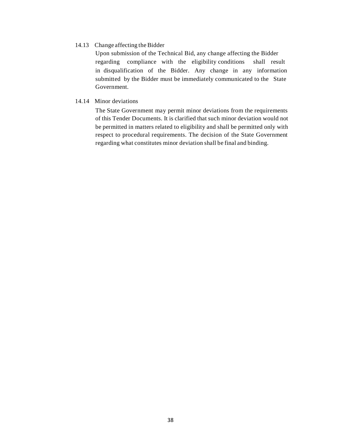#### 14.13 Change affecting the Bidder

Upon submission of the Technical Bid, any change affecting the Bidder regarding compliance with the eligibility conditions shall result in disqualification of the Bidder. Any change in any information submitted by the Bidder must be immediately communicated to the State Government.

#### 14.14 Minor deviations

The State Government may permit minor deviations from the requirements of this Tender Documents. It is clarified that such minor deviation would not be permitted in matters related to eligibility and shall be permitted only with respect to procedural requirements. The decision of the State Government regarding what constitutes minor deviation shall be final and binding.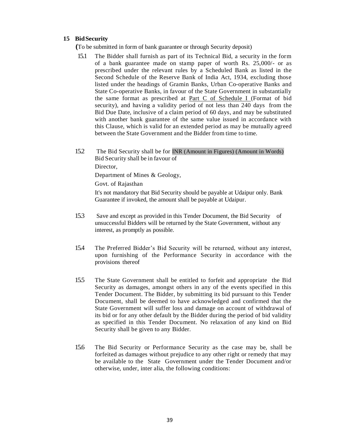#### **15 BidSecurity**

 **(**To be submitted in form of bank guarantee or through Security deposit)

- 15.1 The Bidder shall furnish as part of its Technical Bid, a security in the form of a bank guarantee made on stamp paper of worth Rs. 25,000/- or as prescribed under the relevant rules by a Scheduled Bank as listed in the Second Schedule of the Reserve Bank of India Act, 1934, excluding those listed under the headings of Gramin Banks, Urban Co-operative Banks and State Co-operative Banks, in favour of the State Government in substantially the same format as prescribed at Part C of Schedule I (Format of bid security), and having a validity period of not less than 240 days from the Bid Due Date, inclusive of a claim period of 60 days, and may be substituted with another bank guarantee of the same value issued in accordance with this Clause, which is valid for an extended period as may be mutually agreed between the State Government and the Bidder from time to time.
- 15.2 The Bid Security shall be for INR (Amount in Figures) (Amount in Words) Bid Security shall be in favour of Director, Department of Mines & Geology, Govt. of Rajasthan It's not mandatory that Bid Security should be payable at Udaipur only. Bank
- 15.3 Save and except as provided in this Tender Document, the Bid Security of unsuccessful Bidders will be returned by the State Government, without any interest, as promptly as possible.

Guarantee if invoked, the amount shall be payable at Udaipur.

- 15.4 The Preferred Bidder's Bid Security will be returned, without any interest, upon furnishing of the Performance Security in accordance with the provisions thereof
- 15.5 The State Government shall be entitled to forfeit and appropriate the Bid Security as damages, amongst others in any of the events specified in this Tender Document. The Bidder, by submitting its bid pursuant to this Tender Document, shall be deemed to have acknowledged and confirmed that the State Government will suffer loss and damage on account of withdrawal of its bid or for any other default by the Bidder during the period of bid validity as specified in this Tender Document. No relaxation of any kind on Bid Security shall be given to any Bidder.
- 15.6 The Bid Security or Performance Security as the case may be, shall be forfeited as damages without prejudice to any other right or remedy that may be available to the State Government under the Tender Document and/or otherwise, under, inter alia, the following conditions: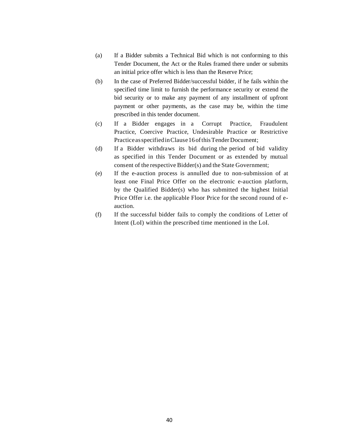- (a) If a Bidder submits a Technical Bid which is not conforming to this Tender Document, the Act or the Rules framed there under or submits an initial price offer which is less than the Reserve Price;
- (b) In the case of Preferred Bidder/successful bidder, if he fails within the specified time limit to furnish the performance security or extend the bid security or to make any payment of any installment of upfront payment or other payments, as the case may be, within the time prescribed in this tender document.
- (c) If a Bidder engages in a Corrupt Practice, Fraudulent Practice, Coercive Practice, Undesirable Practice or Restrictive Practice as specified in Clause 16 of this Tender Document;
- (d) If a Bidder withdraws its bid during the period of bid validity as specified in this Tender Document or as extended by mutual consent of the respective Bidder(s) and the State Government;
- (e) If the e-auction process is annulled due to non-submission of at least one Final Price Offer on the electronic e-auction platform, by the Qualified Bidder(s) who has submitted the highest Initial Price Offer i.e. the applicable Floor Price for the second round of eauction.
- (f) If the successful bidder fails to comply the conditions of Letter of Intent (LoI) within the prescribed time mentioned in the LoI.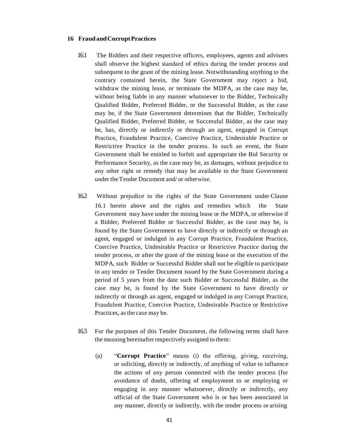#### **16 FraudandCorruptPractices**

- 16.1 The Bidders and their respective officers, employees, agents and advisers shall observe the highest standard of ethics during the tender process and subsequent to the grant of the mining lease. Notwithstanding anything to the contrary contained herein, the State Government may reject a bid, withdraw the mining lease, or terminate the MDPA, as the case may be, without being liable in any manner whatsoever to the Bidder, Technically Qualified Bidder, Preferred Bidder, or the Successful Bidder, as the case may be, if the State Government determines that the Bidder, Technically Qualified Bidder, Preferred Bidder, or Successful Bidder, as the case may be, has, directly or indirectly or through an agent, engaged in Corrupt Practice, Fraudulent Practice, Coercive Practice, Undesirable Practice or Restrictive Practice in the tender process. In such an event, the State Government shall be entitled to forfeit and appropriate the Bid Security or Performance Security, as the case may be, as damages, without prejudice to any other right or remedy that may be available to the State Government under the Tender Document and/ or otherwise.
- 16.2 Without prejudice to the rights of the State Government under Clause 16.1 herein above and the rights and remedies which the State Government may have under the mining lease or the MDPA, or otherwise if a Bidder, Preferred Bidder or Successful Bidder, as the case may be, is found by the State Government to have directly or indirectly or through an agent, engaged or indulged in any Corrupt Practice, Fraudulent Practice, Coercive Practice, Undesirable Practice or Restrictive Practice during the tender process, or after the grant of the mining lease or the execution of the MDPA, such Bidder or Successful Bidder shall not be eligible to participate in any tender or Tender Document issued by the State Government during a period of 5 years from the date such Bidder or Successful Bidder, as the case may be, is found by the State Government to have directly or indirectly or through an agent, engaged or indulged in any Corrupt Practice, Fraudulent Practice, Coercive Practice, Undesirable Practice or Restrictive Practices, as the case may be.
- 16.3 For the purposes of this Tender Document, the following terms shall have the meaning hereinafter respectively assigned to them:
	- (a) "**Corrupt Practice**" means (i) the offering, giving, receiving, or soliciting, directly or indirectly, of anything of value to influence the actions of any person connected with the tender process (for avoidance of doubt, offering of employment to or employing or engaging in any manner whatsoever, directly or indirectly, any official of the State Government who is or has been associated in any manner, directly or indirectly, with the tender process or arising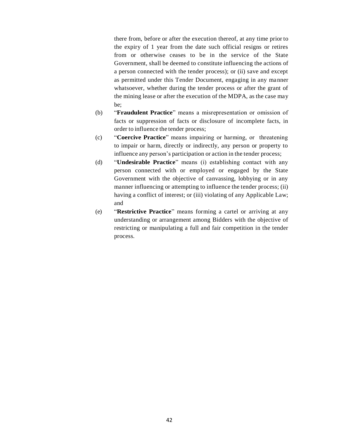there from, before or after the execution thereof, at any time prior to the expiry of 1 year from the date such official resigns or retires from or otherwise ceases to be in the service of the State Government, shall be deemed to constitute influencing the actions of a person connected with the tender process); or (ii) save and except as permitted under this Tender Document, engaging in any manner whatsoever, whether during the tender process or after the grant of the mining lease or after the execution of the MDPA, as the case may be;

- (b) "**Fraudulent Practice**" means a misrepresentation or omission of facts or suppression of facts or disclosure of incomplete facts, in order to influence the tender process;
- (c) "**Coercive Practice**" means impairing or harming, or threatening to impair or harm, directly or indirectly, any person or property to influence any person's participation or action in the tender process;
- (d) "**Undesirable Practice**" means (i) establishing contact with any person connected with or employed or engaged by the State Government with the objective of canvassing, lobbying or in any manner influencing or attempting to influence the tender process; (ii) having a conflict of interest; or (iii) violating of any Applicable Law; and
- (e) "**Restrictive Practice**" means forming a cartel or arriving at any understanding or arrangement among Bidders with the objective of restricting or manipulating a full and fair competition in the tender process.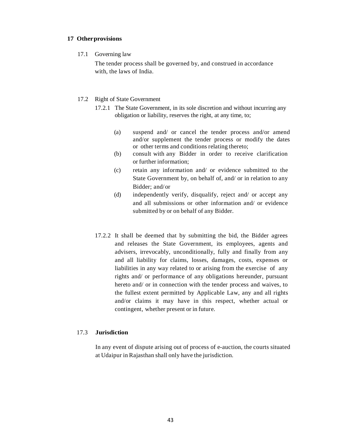#### **17 Otherprovisions**

17.1 Governing law

The tender process shall be governed by, and construed in accordance with, the laws of India.

#### 17.2 Right of State Government

- 17.2.1 The State Government, in its sole discretion and without incurring any obligation or liability, reserves the right, at any time, to;
	- (a) suspend and/ or cancel the tender process and/or amend and/or supplement the tender process or modify the dates or other terms and conditions relating thereto;
	- (b) consult with any Bidder in order to receive clarification or further information;
	- (c) retain any information and/ or evidence submitted to the State Government by, on behalf of, and/ or in relation to any Bidder; and/or
	- (d) independently verify, disqualify, reject and/ or accept any and all submissions or other information and/ or evidence submitted by or on behalf of any Bidder.
- 17.2.2 It shall be deemed that by submitting the bid, the Bidder agrees and releases the State Government, its employees, agents and advisers, irrevocably, unconditionally, fully and finally from any and all liability for claims, losses, damages, costs, expenses or liabilities in any way related to or arising from the exercise of any rights and/ or performance of any obligations hereunder, pursuant hereto and/ or in connection with the tender process and waives, to the fullest extent permitted by Applicable Law, any and all rights and/or claims it may have in this respect, whether actual or contingent, whether present or in future.

#### 17.3 **Jurisdiction**

In any event of dispute arising out of process of e-auction, the courts situated at Udaipur in Rajasthan shall only have the jurisdiction.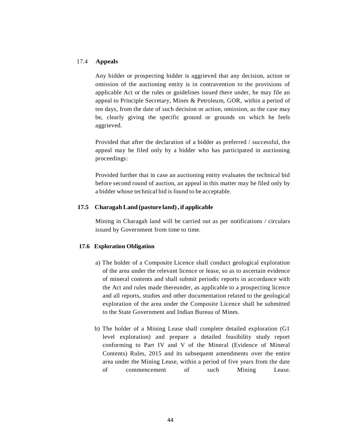#### 17.4 **Appeals**

Any bidder or prospecting bidder is aggrieved that any decision, action or omission of the auctioning entity is in contravention to the provisions of applicable Act or the rules or guidelines issued there under, he may file an appeal to Principle Secretary, Mines & Petroleum, GOR, within a period of ten days, from the date of such decision or action, omission, as the case may be, clearly giving the specific ground or grounds on which he feels aggrieved.

Provided that after the declaration of a bidder as preferred / successful, the appeal may be filed only by a bidder who has participated in auctioning proceedings:

Provided further that in case an auctioning entity evaluates the technical bid before second round of auction, an appeal in this matter may be filed only by a bidder whose technical bid is found to be acceptable.

#### **17.5 CharagahLand (pasture land), if applicable**

Mining in Charagah land will be carried out as per notifications / circulars issued by Government from time to time.

#### **17.6 Exploration Obligation**

- a) The holder of a Composite Licence shall conduct geological exploration of the area under the relevant licence or lease, so as to ascertain evidence of mineral contents and shall submit periodic reports in accordance with the Act and rules made thereunder, as applicable to a prospecting licence and all reports, studies and other documentation related to the geological exploration of the area under the Composite Licence shall be submitted to the State Government and Indian Bureau of Mines.
- b) The holder of a Mining Lease shall complete detailed exploration (G1 level exploration) and prepare a detailed feasibility study report conforming to Part IV and V of the Mineral (Evidence of Mineral Contents) Rules, 2015 and its subsequent amendments over the entire area under the Mining Lease, within a period of five years from the date of commencement of such Mining Lease.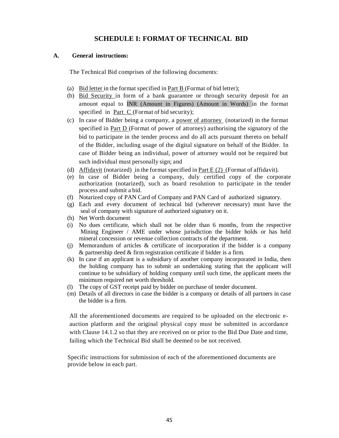## **SCHEDULE I: FORMAT OF TECHNICAL BID**

#### **A. General instructions:**

The Technical Bid comprises of the following documents:

- (a) Bid letter in the format specified in <u>Part B</u> (Format of bid letter);
- (b) Bid Security in form of a bank guarantee or through security deposit for an amount equal to INR (Amount in Figures) (Amount in Words) in the format specified in Part C (Format of bid security);
- (c) In case of Bidder being a company, a power of attorney (notarized) in the format specified in Part D (Format of power of attorney) authorising the signatory of the bid to participate in the tender process and do all acts pursuant thereto on behalf of the Bidder, including usage of the digital signature on behalf of the Bidder. In case of Bidder being an individual, power of attorney would not be required but such individual must personally sign; and
- (d) Affidavit (notarized) in the format specified in Part E  $(2)$  (Format of affidavit).
- (e) In case of Bidder being a company, duly certified copy of the corporate authorization (notarized), such as board resolution to participate in the tender process and submit a bid.
- (f) Notarized copy of PAN Card of Company and PAN Card of authorized signatory.
- (g) Each and every document of technical bid (wherever necessary) must have the seal of company with signature of authorized signatory on it.
- (h) Net Worth document
- (i) No dues certificate, which shall not be older than 6 months, from the respective Mining Engineer / AME under whose jurisdiction the bidder holds or has held mineral concession or revenue collection contracts of the department.
- (j) Memorandum of articles & certificate of incorporation if the bidder is a company & partnership deed & firm registration certificate if bidder is a firm.
- (k) In case if an applicant is a subsidiary of another company incorporated in India, then the holding company has to submit an undertaking stating that the applicant will continue to be subsidiary of holding company until such time, the applicant meets the minimum required net worth threshold.
- (l) The copy of GST receipt paid by bidder on purchase of tender document.
- (m) Details of all directors in case the bidder is a company or details of all partners in case the bidder is a firm.

All the aforementioned documents are required to be uploaded on the electronic eauction platform and the original physical copy must be submitted in accordance with Clause 14.1.2 so that they are received on or prior to the Bid Due Date and time, failing which the Technical Bid shall be deemed to be not received.

Specific instructions for submission of each of the aforementioned documents are provide below in each part.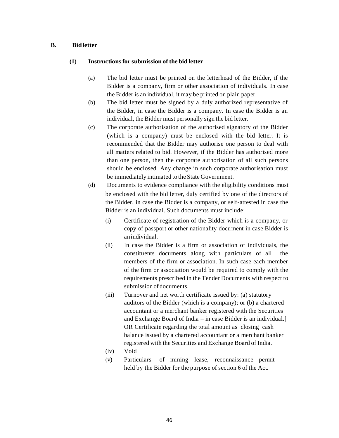#### **B. Bidletter**

#### **(1) Instructionsfor submission ofthe bid letter**

- (a) The bid letter must be printed on the letterhead of the Bidder, if the Bidder is a company, firm or other association of individuals. In case the Bidder is an individual, it may be printed on plain paper.
- (b) The bid letter must be signed by a duly authorized representative of the Bidder, in case the Bidder is a company. In case the Bidder is an individual, the Bidder must personally sign the bid letter.
- (c) The corporate authorisation of the authorised signatory of the Bidder (which is a company) must be enclosed with the bid letter. It is recommended that the Bidder may authorise one person to deal with all matters related to bid. However, if the Bidder has authorised more than one person, then the corporate authorisation of all such persons should be enclosed. Any change in such corporate authorisation must be immediately intimated to the State Government.
- (d) Documents to evidence compliance with the eligibility conditions must be enclosed with the bid letter, duly certified by one of the directors of the Bidder, in case the Bidder is a company, or self-attested in case the Bidder is an individual. Such documents must include:
	- (i) Certificate of registration of the Bidder which is a company, or copy of passport or other nationality document in case Bidder is anindividual.
	- (ii) In case the Bidder is a firm or association of individuals, the constituents documents along with particulars of all the members of the firm or association. In such case each member of the firm or association would be required to comply with the requirements prescribed in the Tender Documents with respect to submission of documents.
	- (iii) Turnover and net worth certificate issued by: (a) statutory auditors of the Bidder (which is a company); or (b) a chartered accountant or a merchant banker registered with the Securities and Exchange Board of India – in case Bidder is an individual.] OR Certificate regarding the total amount as closing cash balance issued by a chartered accountant or a merchant banker registered with the Securities and Exchange Board of India.
	- (iv) Void
	- (v) Particulars of mining lease, reconnaissance permit held by the Bidder for the purpose of section 6 of the Act.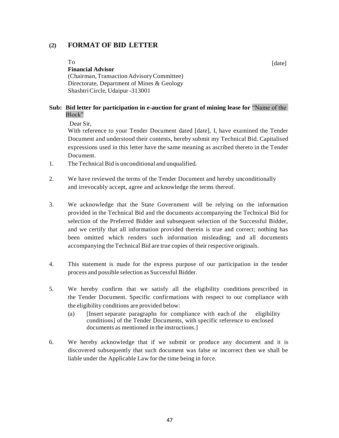## **(2) FORMAT OF BID LETTER**

To

#### **Financial Advisor**

(Chairman,Transaction AdvisoryCommittee) Directorate, Department of Mines & Geology ShashtriCircle, Udaipur -313001

#### **Sub: Bid letter for participation in e-auction for grant of mining lease for** "Name of the Block"

Dear Sir,

With reference to your Tender Document dated [date], I, have examined the Tender Document and understood their contents, hereby submit my Technical Bid. Capitalised expressions used in this letter have the same meaning as ascribed thereto in the Tender Document.

- 1. TheTechnical Bid is unconditional and unqualified.
- 2. We have reviewed the terms of the Tender Document and hereby unconditionally and irrevocably accept, agree and acknowledge the terms thereof.
- 3. We acknowledge that the State Government will be relying on the information provided in the Technical Bid and the documents accompanying the Technical Bid for selection of the Preferred Bidder and subsequent selection of the Successful Bidder, and we certify that all information provided therein is true and correct; nothing has been omitted which renders such information misleading; and all documents accompanying the Technical Bid are true copies of their respective originals.
- 4. This statement is made for the express purpose of our participation in the tender process and possible selection as Successful Bidder.
- 5. We hereby confirm that we satisfy all the eligibility conditions prescribed in the Tender Document. Specific confirmations with respect to our compliance with the eligibility conditions are provided below:
	- (a) [Insert separate paragraphs for compliance with each of the eligibility conditions] of the Tender Documents, with specific reference to enclosed documents as mentioned in the instructions.]
- 6. We hereby acknowledge that if we submit or produce any document and it is discovered subsequently that such document was false or incorrect then we shall be liable under the Applicable Law for the time being in force.

[date]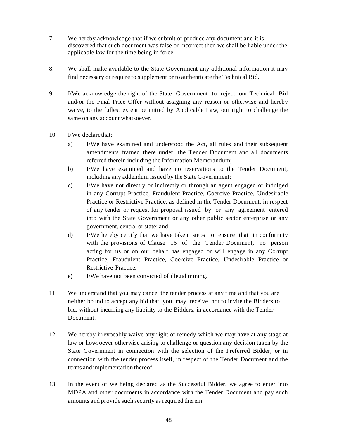- 7. We hereby acknowledge that if we submit or produce any document and it is discovered that such document was false or incorrect then we shall be liable under the applicable law for the time being in force.
- 8. We shall make available to the State Government any additional information it may find necessary or require to supplement or to authenticate the Technical Bid.
- 9. I/We acknowledge the right of the State Government to reject our Technical Bid and/or the Final Price Offer without assigning any reason or otherwise and hereby waive, to the fullest extent permitted by Applicable Law, our right to challenge the same on any account whatsoever.
- 10. I/We declarethat:
	- a) I/We have examined and understood the Act, all rules and their subsequent amendments framed there under, the Tender Document and all documents referred therein including the Information Memorandum;
	- b) I/We have examined and have no reservations to the Tender Document, including any addendum issued by the State Government;
	- c) I/We have not directly or indirectly or through an agent engaged or indulged in any Corrupt Practice, Fraudulent Practice, Coercive Practice, Undesirable Practice or Restrictive Practice, as defined in the Tender Document, in respect of any tender or request for proposal issued by or any agreement entered into with the State Government or any other public sector enterprise or any government, central orstate; and
	- d) I/We hereby certify that we have taken steps to ensure that in conformity with the provisions of Clause 16 of the Tender Document, no person acting for us or on our behalf has engaged or will engage in any Corrupt Practice, Fraudulent Practice, Coercive Practice, Undesirable Practice or Restrictive Practice.
	- e) I/We have not been convicted of illegal mining.
- 11. We understand that you may cancel the tender process at any time and that you are neither bound to accept any bid that you may receive nor to invite the Bidders to bid, without incurring any liability to the Bidders, in accordance with the Tender Document.
- 12. We hereby irrevocably waive any right or remedy which we may have at any stage at law or howsoever otherwise arising to challenge or question any decision taken by the State Government in connection with the selection of the Preferred Bidder, or in connection with the tender process itself, in respect of the Tender Document and the terms and implementation thereof.
- 13. In the event of we being declared as the Successful Bidder, we agree to enter into MDPA and other documents in accordance with the Tender Document and pay such amounts and provide such security as required therein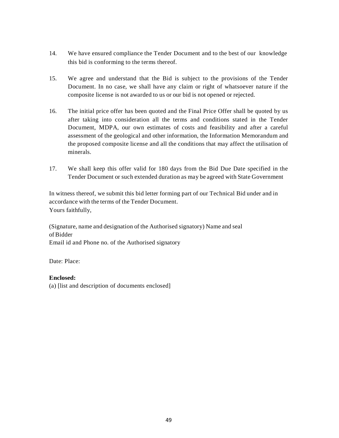- 14. We have ensured compliance the Tender Document and to the best of our knowledge this bid is conforming to the terms thereof.
- 15. We agree and understand that the Bid is subject to the provisions of the Tender Document. In no case, we shall have any claim or right of whatsoever nature if the composite license is not awarded to us or our bid is not opened or rejected.
- 16. The initial price offer has been quoted and the Final Price Offer shall be quoted by us after taking into consideration all the terms and conditions stated in the Tender Document, MDPA, our own estimates of costs and feasibility and after a careful assessment of the geological and other information, the Information Memorandum and the proposed composite license and all the conditions that may affect the utilisation of minerals.
- 17. We shall keep this offer valid for 180 days from the Bid Due Date specified in the Tender Document or such extended duration as may be agreed with State Government

In witness thereof, we submit this bid letter forming part of our Technical Bid under and in accordance with the terms of the Tender Document. Yours faithfully,

(Signature, name and designation of the Authorised signatory) Name and seal of Bidder Email id and Phone no. of the Authorised signatory

Date: Place:

#### **Enclosed:**

(a) [list and description of documents enclosed]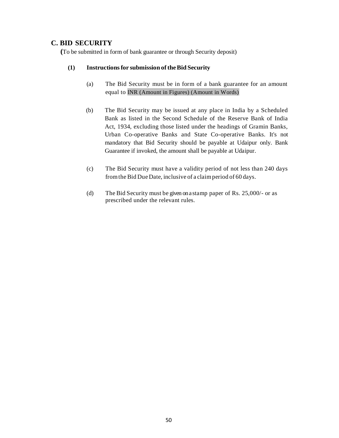## **C. BID SECURITY**

 **(**To be submitted in form of bank guarantee or through Security deposit)

#### **(1) Instructionsfor submission oftheBid Security**

- (a) The Bid Security must be in form of a bank guarantee for an amount equal to INR (Amount in Figures) (Amount in Words)
- (b) The Bid Security may be issued at any place in India by a Scheduled Bank as listed in the Second Schedule of the Reserve Bank of India Act, 1934, excluding those listed under the headings of Gramin Banks, Urban Co-operative Banks and State Co-operative Banks. It's not mandatory that Bid Security should be payable at Udaipur only. Bank Guarantee if invoked, the amount shall be payable at Udaipur.
- (c) The Bid Security must have a validity period of not less than 240 days from the Bid Due Date, inclusive of a claim period of 60 days.
- (d) The Bid Security must be given on a stamp paper of Rs. 25,000/- or as prescribed under the relevant rules.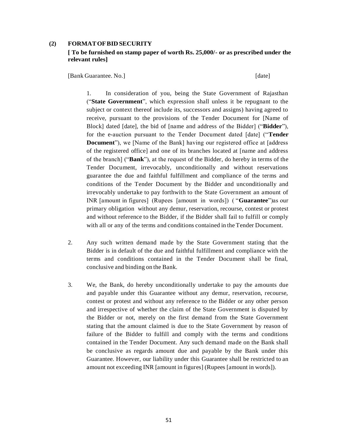#### **(2) FORMATOFBID SECURITY**

#### **[ To be furnished on stamp paper of worth Rs. 25,000/- or as prescribed under the relevant rules]**

[Bank Guarantee. No.] [date]

1. In consideration of you, being the State Government of Rajasthan ("**State Government**", which expression shall unless it be repugnant to the subject or context thereof include its, successors and assigns) having agreed to receive, pursuant to the provisions of the Tender Document for [Name of Block] dated [date], the bid of [name and address of the Bidder] ("**Bidder**"), for the e-auction pursuant to the Tender Document dated [date] ("**Tender Document**"), we [Name of the Bank] having our registered office at [address of the registered office] and one of its branches located at [name and address of the branch] ("**Bank**"), at the request of the Bidder, do hereby in terms of the Tender Document, irrevocably, unconditionally and without reservations guarantee the due and faithful fulfillment and compliance of the terms and conditions of the Tender Document by the Bidder and unconditionally and irrevocably undertake to pay forthwith to the State Government an amount of INR [amount in figures] (Rupees [amount in words]) ( "**Guarantee**")as our primary obligation without any demur, reservation, recourse, contest or protest and without reference to the Bidder, if the Bidder shall fail to fulfill or comply with all or any of the terms and conditions contained in the Tender Document.

- 2. Any such written demand made by the State Government stating that the Bidder is in default of the due and faithful fulfillment and compliance with the terms and conditions contained in the Tender Document shall be final, conclusive and binding on the Bank.
- 3. We, the Bank, do hereby unconditionally undertake to pay the amounts due and payable under this Guarantee without any demur, reservation, recourse, contest or protest and without any reference to the Bidder or any other person and irrespective of whether the claim of the State Government is disputed by the Bidder or not, merely on the first demand from the State Government stating that the amount claimed is due to the State Government by reason of failure of the Bidder to fulfill and comply with the terms and conditions contained in the Tender Document. Any such demand made on the Bank shall be conclusive as regards amount due and payable by the Bank under this Guarantee. However, our liability under this Guarantee shall be restricted to an amount not exceeding INR [amount in figures] (Rupees [amount in words]).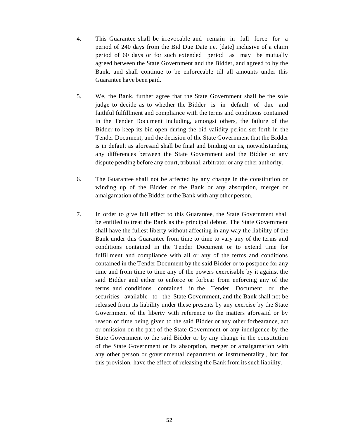- 4. This Guarantee shall be irrevocable and remain in full force for a period of 240 days from the Bid Due Date i.e. [date] inclusive of a claim period of 60 days or for such extended period as may be mutually agreed between the State Government and the Bidder, and agreed to by the Bank, and shall continue to be enforceable till all amounts under this Guarantee have been paid.
- 5. We, the Bank, further agree that the State Government shall be the sole judge to decide as to whether the Bidder is in default of due and faithful fulfillment and compliance with the terms and conditions contained in the Tender Document including, amongst others, the failure of the Bidder to keep its bid open during the bid validity period set forth in the Tender Document, and the decision of the State Government that the Bidder is in default as aforesaid shall be final and binding on us, notwithstanding any differences between the State Government and the Bidder or any dispute pending before any court, tribunal, arbitrator or any other authority.
- 6. The Guarantee shall not be affected by any change in the constitution or winding up of the Bidder or the Bank or any absorption, merger or amalgamation of the Bidder or the Bank with any other person.
- 7. In order to give full effect to this Guarantee, the State Government shall be entitled to treat the Bank as the principal debtor. The State Government shall have the fullest liberty without affecting in any way the liability of the Bank under this Guarantee from time to time to vary any of the terms and conditions contained in the Tender Document or to extend time for fulfillment and compliance with all or any of the terms and conditions contained in the Tender Document by the said Bidder or to postpone for any time and from time to time any of the powers exercisable by it against the said Bidder and either to enforce or forbear from enforcing any of the terms and conditions contained in the Tender Document or the securities available to the State Government, and the Bank shall not be released from its liability under these presents by any exercise by the State Government of the liberty with reference to the matters aforesaid or by reason of time being given to the said Bidder or any other forbearance, act or omission on the part of the State Government or any indulgence by the State Government to the said Bidder or by any change in the constitution of the State Government or its absorption, merger or amalgamation with any other person or governmental department or instrumentality,, but for this provision, have the effect of releasing the Bank from its such liability.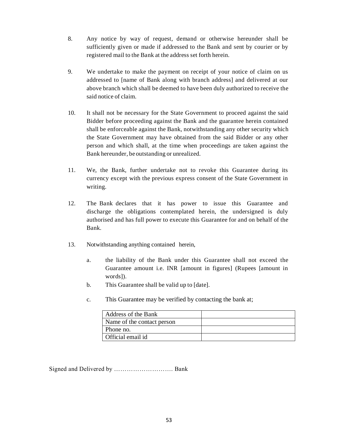- 8. Any notice by way of request, demand or otherwise hereunder shall be sufficiently given or made if addressed to the Bank and sent by courier or by registered mail to the Bank at the address set forth herein.
- 9. We undertake to make the payment on receipt of your notice of claim on us addressed to [name of Bank along with branch address] and delivered at our above branch which shall be deemed to have been duly authorized to receive the said notice of claim.
- 10. It shall not be necessary for the State Government to proceed against the said Bidder before proceeding against the Bank and the guarantee herein contained shall be enforceable against the Bank, notwithstanding any other security which the State Government may have obtained from the said Bidder or any other person and which shall, at the time when proceedings are taken against the Bank hereunder, be outstanding or unrealized.
- 11. We, the Bank, further undertake not to revoke this Guarantee during its currency except with the previous express consent of the State Government in writing.
- 12. The Bank declares that it has power to issue this Guarantee and discharge the obligations contemplated herein, the undersigned is duly authorised and has full power to execute this Guarantee for and on behalf of the Bank.
- 13. Notwithstanding anything contained herein,
	- a. the liability of the Bank under this Guarantee shall not exceed the Guarantee amount i.e. INR [amount in figures] (Rupees [amount in words]).
	- b. This Guarantee shall be valid up to [date].
	- c. This Guarantee may be verified by contacting the bank at;

| Address of the Bank        |  |
|----------------------------|--|
| Name of the contact person |  |
| Phone no.                  |  |
| Official email id          |  |

Signed and Delivered by ………………………. Bank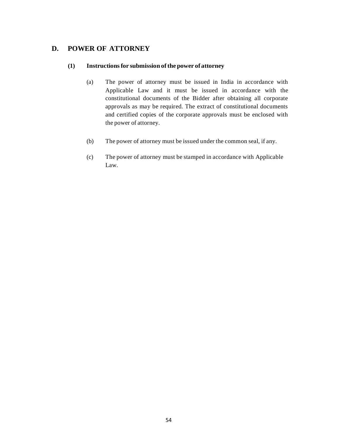## **D. POWER OF ATTORNEY**

#### **(1) Instructionsfor submission ofthe power ofattorney**

- (a) The power of attorney must be issued in India in accordance with Applicable Law and it must be issued in accordance with the constitutional documents of the Bidder after obtaining all corporate approvals as may be required. The extract of constitutional documents and certified copies of the corporate approvals must be enclosed with the power of attorney.
- (b) The power of attorney must be issued under the common seal, if any.
- (c) The power of attorney must be stamped in accordance with Applicable Law.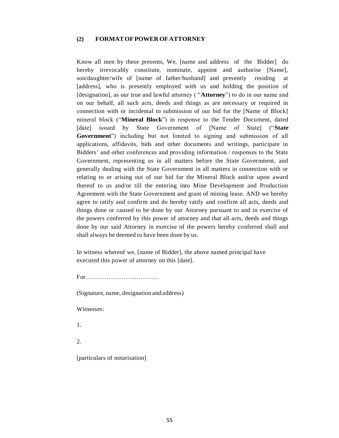#### **(2) FORMATOFPOWEROFATTORNEY**

Know all men by these presents, We, [name and address of the Bidder] do hereby irrevocably constitute, nominate, appoint and authorise [Name], son/daughter/wife of [name of father/husband] and presently residing at [address], who is presently employed with us and holding the position of [designation], as our true and lawful attorney ( "**Attorney**") to do in our name and on our behalf, all such acts, deeds and things as are necessary or required in connection with or incidental to submission of our bid for the [Name of Block] mineral block ("**Mineral Block**") in response to the Tender Document, dated [date] issued by State Government of [Name of State] ("**State Government**") including but not limited to signing and submission of all applications, affidavits, bids and other documents and writings, participate in Bidders' and other conferences and providing information / responses to the State Government, representing us in all matters before the State Government, and generally dealing with the State Government in all matters in connection with or relating to or arising out of our bid for the Mineral Block and/or upon award thereof to us and/or till the entering into Mine Development and Production Agreement with the State Government and grant of mining lease. AND we hereby agree to ratify and confirm and do hereby ratify and confirm all acts, deeds and things done or caused to be done by our Attorney pursuant to and in exercise of the powers conferred by this power of attorney and that all acts, deeds and things done by our said Attorney in exercise of the powers hereby conferred shall and shall always be deemed to have been done by us.

In witness whereof we, [name of Bidder], the above named principal have executed this power of attorney on this [date].

For……………………………..

(Signature, name, designation and address)

Witnesses:

1.

2.

[particulars of notarisation]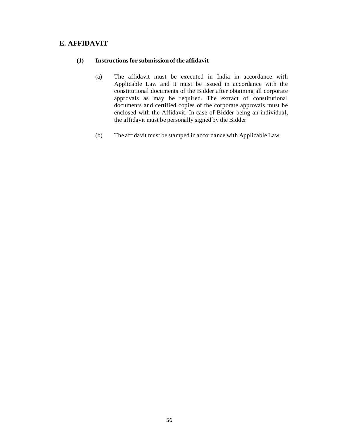## **E. AFFIDAVIT**

#### **(1) Instructionsfor submission ofthe affidavit**

- (a) The affidavit must be executed in India in accordance with Applicable Law and it must be issued in accordance with the constitutional documents of the Bidder after obtaining all corporate approvals as may be required. The extract of constitutional documents and certified copies of the corporate approvals must be enclosed with the Affidavit. In case of Bidder being an individual, the affidavit must be personally signed by the Bidder
- (b) The affidavit must be stamped in accordance with Applicable Law.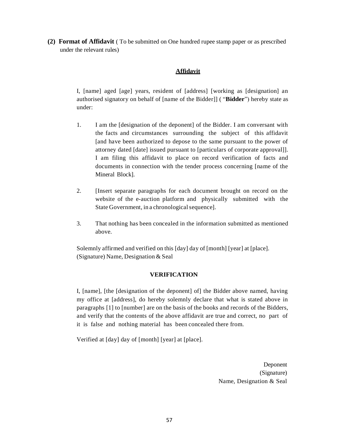**(2) Format of Affidavit** ( To be submitted on One hundred rupee stamp paper or as prescribed under the relevant rules)

#### **Affidavit**

I, [name] aged [age] years, resident of [address] [working as [designation] an authorised signatory on behalf of [name of the Bidder]] ( "**Bidder**") hereby state as under:

- 1. I am the [designation of the deponent] of the Bidder. I am conversant with the facts and circumstances surrounding the subject of this affidavit [and have been authorized to depose to the same pursuant to the power of attorney dated [date] issued pursuant to [particulars of corporate approval]]. I am filing this affidavit to place on record verification of facts and documents in connection with the tender process concerning [name of the Mineral Block].
- 2. [Insert separate paragraphs for each document brought on record on the website of the e-auction platform and physically submitted with the State Government, in a chronological sequence].
- 3. That nothing has been concealed in the information submitted as mentioned above.

Solemnly affirmed and verified on this [day] day of [month] [year] at [place]. (Signature) Name, Designation & Seal

#### **VERIFICATION**

I, [name], [the [designation of the deponent] of] the Bidder above named, having my office at [address], do hereby solemnly declare that what is stated above in paragraphs [1] to [number] are on the basis of the books and records of the Bidders, and verify that the contents of the above affidavit are true and correct, no part of it is false and nothing material has been concealed there from.

Verified at [day] day of [month] [year] at [place].

Deponent (Signature) Name, Designation & Seal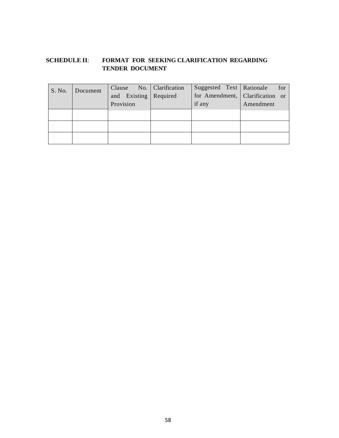## **SCHEDULE II**: **FORMAT FOR SEEKING CLARIFICATION REGARDING TENDER DOCUMENT**

| S. No. | Document | Clause No. Clarification | Suggested Text   Rationale | for                             |
|--------|----------|--------------------------|----------------------------|---------------------------------|
|        |          | and Existing   Required  |                            | for Amendment, Clarification or |
|        |          | Provision                | if any                     | Amendment                       |
|        |          |                          |                            |                                 |
|        |          |                          |                            |                                 |
|        |          |                          |                            |                                 |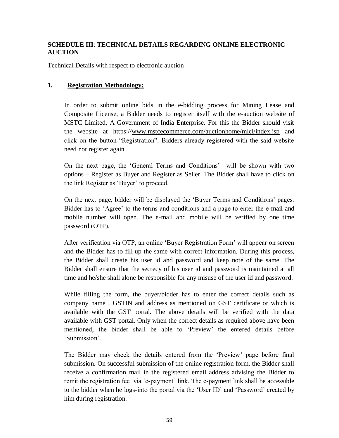## **SCHEDULE III**: **TECHNICAL DETAILS REGARDING ONLINE ELECTRONIC AUCTION**

Technical Details with respect to electronic auction

## **1. Registration Methodology:**

In order to submit online bids in the e-bidding process for Mining Lease and Composite License, a Bidder needs to register itself with the e-auction website of MSTC Limited, A Government of India Enterprise. For this the Bidder should visit the website at https://www.mstcecommerce.com/auctionhome/mlcl/index.jsp and click on the button "Registration". Bidders already registered with the said website need not register again.

On the next page, the 'General Terms and Conditions' will be shown with two options – Register as Buyer and Register as Seller. The Bidder shall have to click on the link Register as 'Buyer' to proceed.

On the next page, bidder will be displayed the 'Buyer Terms and Conditions' pages. Bidder has to 'Agree' to the terms and conditions and a page to enter the e-mail and mobile number will open. The e-mail and mobile will be verified by one time password (OTP).

After verification via OTP, an online 'Buyer Registration Form' will appear on screen and the Bidder has to fill up the same with correct information. During this process, the Bidder shall create his user id and password and keep note of the same. The Bidder shall ensure that the secrecy of his user id and password is maintained at all time and he/she shall alone be responsible for any misuse of the user id and password.

While filling the form, the buyer/bidder has to enter the correct details such as company name , GSTIN and address as mentioned on GST certificate or which is available with the GST portal. The above details will be verified with the data available with GST portal. Only when the correct details as required above have been mentioned, the bidder shall be able to 'Preview' the entered details before 'Submission'.

The Bidder may check the details entered from the 'Preview' page before final submission. On successful submission of the online registration form, the Bidder shall receive a confirmation mail in the registered email address advising the Bidder to remit the registration fee via 'e-payment' link. The e-payment link shall be accessible to the bidder when he logs-into the portal via the 'User ID' and 'Password' created by him during registration.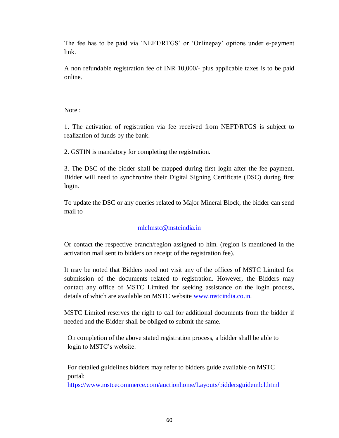The fee has to be paid via 'NEFT/RTGS' or 'Onlinepay' options under e-payment link.

A non refundable registration fee of INR 10,000/- plus applicable taxes is to be paid online.

Note :

1. The activation of registration via fee received from NEFT/RTGS is subject to realization of funds by the bank.

2. GSTIN is mandatory for completing the registration.

3. The DSC of the bidder shall be mapped during first login after the fee payment. Bidder will need to synchronize their Digital Signing Certificate (DSC) during first login.

To update the DSC or any queries related to Major Mineral Block, the bidder can send mail to

## [mlclmstc@mstcindia.in](mailto:mlclmstc@mstcindia.in)

Or contact the respective branch/region assigned to him. (region is mentioned in the activation mail sent to bidders on receipt of the registration fee).

It may be noted that Bidders need not visit any of the offices of MSTC Limited for submission of the documents related to registration. However, the Bidders may contact any office of MSTC Limited for seeking assistance on the login process, details of which are available on MSTC website [www.mstcindia.co.in.](http://www.mstcindia.co.in/)

MSTC Limited reserves the right to call for additional documents from the bidder if needed and the Bidder shall be obliged to submit the same.

On completion of the above stated registration process, a bidder shall be able to login to MSTC's website.

For detailed guidelines bidders may refer to bidders guide available on MSTC portal:

<https://www.mstcecommerce.com/auctionhome/Layouts/biddersguidemlcl.html>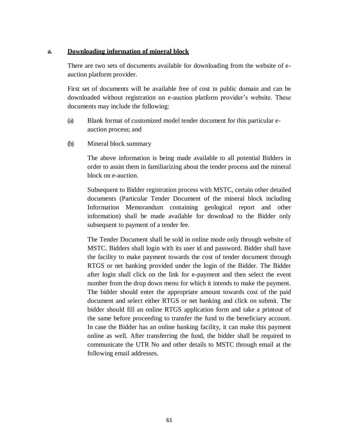#### **a. Downloading information of mineral block**

There are two sets of documents available for downloading from the website of eauction platform provider.

First set of documents will be available free of cost in public domain and can be downloaded without registration on e-auction platform provider's website. These documents may include the following:

- (a) Blank format of customized model tender document for this particular eauction process; and
- (b) Mineral block summary

The above information is being made available to all potential Bidders in order to assist them in familiarizing about the tender process and the mineral block on e-auction.

Subsequent to Bidder registration process with MSTC, certain other detailed documents (Particular Tender Document of the mineral block including Information Memorandum containing geological report and other information) shall be made available for download to the Bidder only subsequent to payment of a tender fee.

The Tender Document shall be sold in online mode only through website of MSTC. Bidders shall login with its user id and password. Bidder shall have the facility to make payment towards the cost of tender document through RTGS or net banking provided under the login of the Bidder. The Bidder after login shall click on the link for e-payment and then select the event number from the drop down menu for which it intends to make the payment. The bidder should enter the appropriate amount towards cost of the paid document and select either RTGS or net banking and click on submit. The bidder should fill an online RTGS application form and take a printout of the same before proceeding to transfer the fund to the beneficiary account. In case the Bidder has an online banking facility, it can make this payment online as well. After transferring the fund, the bidder shall be required to communicate the UTR No and other details to MSTC through email at the following email addresses.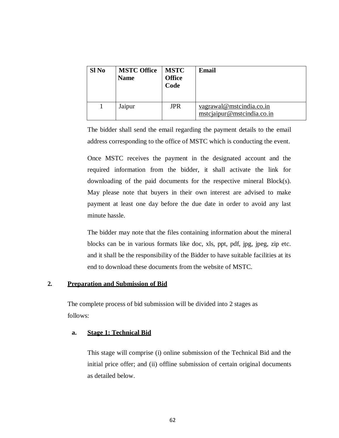| Sl No | <b>MSTC Office</b><br><b>Name</b> | <b>MSTC</b><br><b>Office</b><br>Code | Email                                                  |
|-------|-----------------------------------|--------------------------------------|--------------------------------------------------------|
|       | Jaipur                            | JPR                                  | vagrawal@mstcindia.co.in<br>mstcjaipur@mstcindia.co.in |

The bidder shall send the email regarding the payment details to the email address corresponding to the office of MSTC which is conducting the event.

Once MSTC receives the payment in the designated account and the required information from the bidder, it shall activate the link for downloading of the paid documents for the respective mineral Block(s). May please note that buyers in their own interest are advised to make payment at least one day before the due date in order to avoid any last minute hassle.

The bidder may note that the files containing information about the mineral blocks can be in various formats like doc, xls, ppt, pdf, jpg, jpeg, zip etc. and it shall be the responsibility of the Bidder to have suitable facilities at its end to download these documents from the website of MSTC.

## **2. Preparation and Submission of Bid**

The complete process of bid submission will be divided into 2 stages as follows:

## **a. Stage 1: Technical Bid**

This stage will comprise (i) online submission of the Technical Bid and the initial price offer; and (ii) offline submission of certain original documents as detailed below.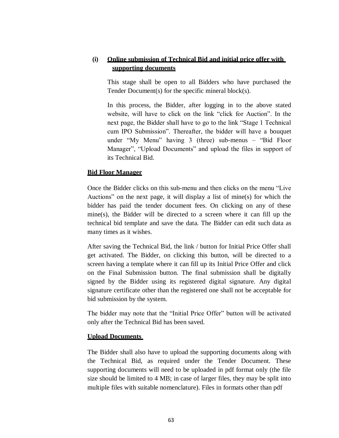## **(i) Online submission of Technical Bid and initial price offer with supporting documents**

This stage shall be open to all Bidders who have purchased the Tender Document(s) for the specific mineral block(s).

In this process, the Bidder, after logging in to the above stated website, will have to click on the link "click for Auction". In the next page, the Bidder shall have to go to the link "Stage 1 Technical cum IPO Submission". Thereafter, the bidder will have a bouquet under "My Menu" having 3 (three) sub-menus – "Bid Floor Manager", "Upload Documents" and upload the files in support of its Technical Bid.

## **Bid Floor Manager**

Once the Bidder clicks on this sub-menu and then clicks on the menu "Live Auctions" on the next page, it will display a list of mine(s) for which the bidder has paid the tender document fees. On clicking on any of these mine(s), the Bidder will be directed to a screen where it can fill up the technical bid template and save the data. The Bidder can edit such data as many times as it wishes.

After saving the Technical Bid, the link / button for Initial Price Offer shall get activated. The Bidder, on clicking this button, will be directed to a screen having a template where it can fill up its Initial Price Offer and click on the Final Submission button. The final submission shall be digitally signed by the Bidder using its registered digital signature. Any digital signature certificate other than the registered one shall not be acceptable for bid submission by the system.

The bidder may note that the "Initial Price Offer" button will be activated only after the Technical Bid has been saved.

#### **Upload Documents**

The Bidder shall also have to upload the supporting documents along with the Technical Bid, as required under the Tender Document. These supporting documents will need to be uploaded in pdf format only (the file size should be limited to 4 MB; in case of larger files, they may be split into multiple files with suitable nomenclature). Files in formats other than pdf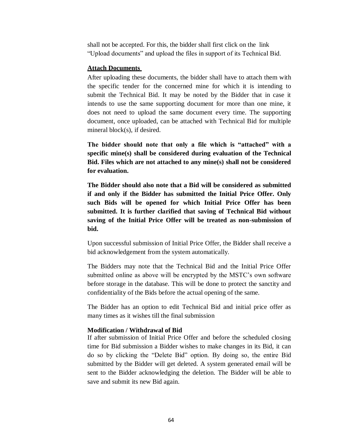shall not be accepted. For this, the bidder shall first click on the link "Upload documents" and upload the files in support of its Technical Bid.

#### **Attach Documents**

After uploading these documents, the bidder shall have to attach them with the specific tender for the concerned mine for which it is intending to submit the Technical Bid. It may be noted by the Bidder that in case it intends to use the same supporting document for more than one mine, it does not need to upload the same document every time. The supporting document, once uploaded, can be attached with Technical Bid for multiple mineral block(s), if desired.

**The bidder should note that only a file which is "attached" with a specific mine(s) shall be considered during evaluation of the Technical Bid. Files which are not attached to any mine(s) shall not be considered for evaluation.**

**The Bidder should also note that a Bid will be considered as submitted if and only if the Bidder has submitted the Initial Price Offer. Only such Bids will be opened for which Initial Price Offer has been submitted. It is further clarified that saving of Technical Bid without saving of the Initial Price Offer will be treated as non-submission of bid.**

Upon successful submission of Initial Price Offer, the Bidder shall receive a bid acknowledgement from the system automatically.

The Bidders may note that the Technical Bid and the Initial Price Offer submitted online as above will be encrypted by the MSTC's own software before storage in the database. This will be done to protect the sanctity and confidentiality of the Bids before the actual opening of the same.

The Bidder has an option to edit Technical Bid and initial price offer as many times as it wishes till the final submission

#### **Modification / Withdrawal of Bid**

If after submission of Initial Price Offer and before the scheduled closing time for Bid submission a Bidder wishes to make changes in its Bid, it can do so by clicking the "Delete Bid" option. By doing so, the entire Bid submitted by the Bidder will get deleted. A system generated email will be sent to the Bidder acknowledging the deletion. The Bidder will be able to save and submit its new Bid again.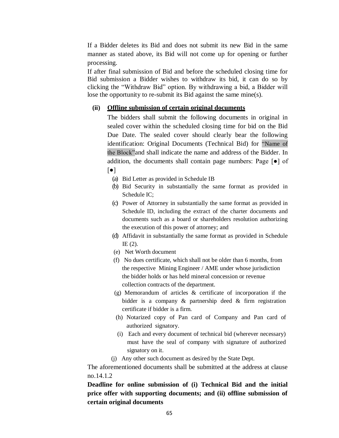If a Bidder deletes its Bid and does not submit its new Bid in the same manner as stated above, its Bid will not come up for opening or further processing.

If after final submission of Bid and before the scheduled closing time for Bid submission a Bidder wishes to withdraw its bid, it can do so by clicking the "Withdraw Bid" option. By withdrawing a bid, a Bidder will lose the opportunity to re-submit its Bid against the same mine(s).

#### **(ii) Offline submission of certain original documents**

The bidders shall submit the following documents in original in sealed cover within the scheduled closing time for bid on the Bid Due Date. The sealed cover should clearly bear the following identification: Original Documents (Technical Bid) for "Name of the Block"and shall indicate the name and address of the Bidder. In addition, the documents shall contain page numbers: Page [●] of [●]

- (a) Bid Letter as provided in Schedule IB
- (b) Bid Security in substantially the same format as provided in Schedule IC;
- (c) Power of Attorney in substantially the same format as provided in Schedule ID, including the extract of the charter documents and documents such as a board or shareholders resolution authorizing the execution of this power of attorney; and
- (d) Affidavit in substantially the same format as provided in Schedule IE (2).
- (e) Net Worth document
- (f) No dues certificate, which shall not be older than 6 months, from the respective Mining Engineer / AME under whose jurisdiction the bidder holds or has held mineral concession or revenue collection contracts of the department.
- (g) Memorandum of articles & certificate of incorporation if the bidder is a company & partnership deed & firm registration certificate if bidder is a firm.
- (h) Notarized copy of Pan card of Company and Pan card of authorized signatory.
- (i) Each and every document of technical bid (wherever necessary) must have the seal of company with signature of authorized signatory on it.
- (j) Any other such document as desired by the State Dept.

The aforementioned documents shall be submitted at the address at clause no.14.1.2

**Deadline for online submission of (i) Technical Bid and the initial price offer with supporting documents; and (ii) offline submission of certain original documents**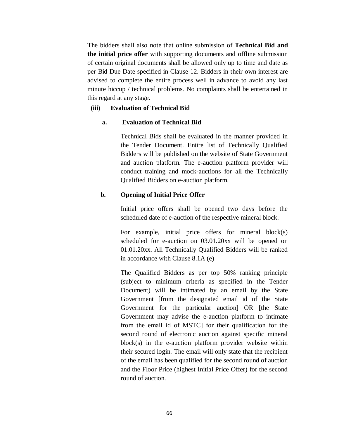The bidders shall also note that online submission of **Technical Bid and the initial price offer** with supporting documents and offline submission of certain original documents shall be allowed only up to time and date as per Bid Due Date specified in Clause 12. Bidders in their own interest are advised to complete the entire process well in advance to avoid any last minute hiccup / technical problems. No complaints shall be entertained in this regard at any stage.

#### **(iii) Evaluation of Technical Bid**

#### **a. Evaluation of Technical Bid**

Technical Bids shall be evaluated in the manner provided in the Tender Document. Entire list of Technically Qualified Bidders will be published on the website of State Government and auction platform. The e-auction platform provider will conduct training and mock-auctions for all the Technically Qualified Bidders on e-auction platform.

#### **b. Opening of Initial Price Offer**

Initial price offers shall be opened two days before the scheduled date of e-auction of the respective mineral block.

For example, initial price offers for mineral block(s) scheduled for e-auction on 03.01.20xx will be opened on 01.01.20xx. All Technically Qualified Bidders will be ranked in accordance with Clause 8.1A (e)

The Qualified Bidders as per top 50% ranking principle (subject to minimum criteria as specified in the Tender Document) will be intimated by an email by the State Government [from the designated email id of the State Government for the particular auction] OR [the State Government may advise the e-auction platform to intimate from the email id of MSTC] for their qualification for the second round of electronic auction against specific mineral block(s) in the e-auction platform provider website within their secured login. The email will only state that the recipient of the email has been qualified for the second round of auction and the Floor Price (highest Initial Price Offer) for the second round of auction.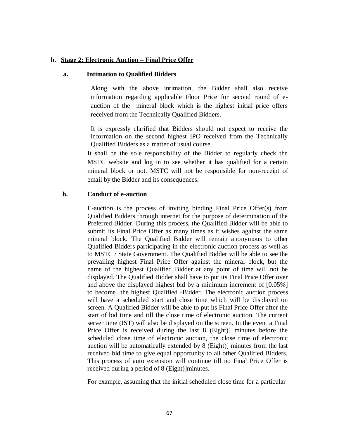#### **b. Stage 2: Electronic Auction – Final Price Offer**

#### **a. Intimation to Qualified Bidders**

Along with the above intimation, the Bidder shall also receive information regarding applicable Floor Price for second round of eauction of the mineral block which is the highest initial price offers received from the Technically Qualified Bidders.

It is expressly clarified that Bidders should not expect to receive the information on the second highest IPO received from the Technically Qualified Bidders as a matter of usual course.

It shall be the sole responsibility of the Bidder to regularly check the MSTC website and log in to see whether it has qualified for a certain mineral block or not. MSTC will not be responsible for non-receipt of email by the Bidder and its consequences.

#### **b. Conduct of e-auction**

E-auction is the process of inviting binding Final Price Offer(s) from Qualified Bidders through internet for the purpose of determination of the Preferred Bidder. During this process, the Qualified Bidder will be able to submit its Final Price Offer as many times as it wishes against the same mineral block. The Qualified Bidder will remain anonymous to other Qualified Bidders participating in the electronic auction process as well as to MSTC / State Government. The Qualified Bidder will be able to see the prevailing highest Final Price Offer against the mineral block, but the name of the highest Qualified Bidder at any point of time will not be displayed. The Qualified Bidder shall have to put its Final Price Offer over and above the displayed highest bid by a minimum increment of [0.05%] to become the highest Qualified -Bidder. The electronic auction process will have a scheduled start and close time which will be displayed on screen. A Qualified Bidder will be able to put its Final Price Offer after the start of bid time and till the close time of electronic auction. The current server time (IST) will also be displayed on the screen. In the event a Final Price Offer is received during the last 8 (Eight)] minutes before the scheduled close time of electronic auction, the close time of electronic auction will be automatically extended by 8 (Eight)] minutes from the last received bid time to give equal opportunity to all other Qualified Bidders. This process of auto extension will continue till no Final Price Offer is received during a period of 8 (Eight)]minutes.

For example, assuming that the initial scheduled close time for a particular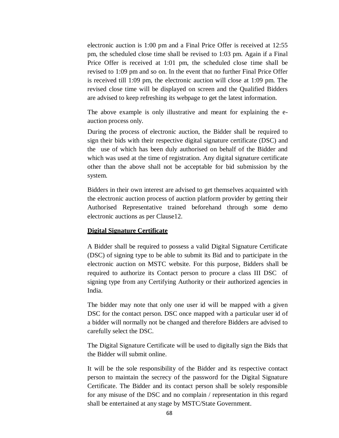electronic auction is 1:00 pm and a Final Price Offer is received at 12:55 pm, the scheduled close time shall be revised to 1:03 pm. Again if a Final Price Offer is received at 1:01 pm, the scheduled close time shall be revised to 1:09 pm and so on. In the event that no further Final Price Offer is received till 1:09 pm, the electronic auction will close at 1:09 pm. The revised close time will be displayed on screen and the Qualified Bidders are advised to keep refreshing its webpage to get the latest information.

The above example is only illustrative and meant for explaining the eauction process only.

During the process of electronic auction, the Bidder shall be required to sign their bids with their respective digital signature certificate (DSC) and the use of which has been duly authorised on behalf of the Bidder and which was used at the time of registration. Any digital signature certificate other than the above shall not be acceptable for bid submission by the system.

Bidders in their own interest are advised to get themselves acquainted with the electronic auction process of auction platform provider by getting their Authorised Representative trained beforehand through some demo electronic auctions as per Clause12.

#### **Digital Signature Certificate**

A Bidder shall be required to possess a valid Digital Signature Certificate (DSC) of signing type to be able to submit its Bid and to participate in the electronic auction on MSTC website. For this purpose, Bidders shall be required to authorize its Contact person to procure a class III DSC of signing type from any Certifying Authority or their authorized agencies in India.

The bidder may note that only one user id will be mapped with a given DSC for the contact person. DSC once mapped with a particular user id of a bidder will normally not be changed and therefore Bidders are advised to carefully select the DSC.

The Digital Signature Certificate will be used to digitally sign the Bids that the Bidder will submit online.

It will be the sole responsibility of the Bidder and its respective contact person to maintain the secrecy of the password for the Digital Signature Certificate. The Bidder and its contact person shall be solely responsible for any misuse of the DSC and no complain / representation in this regard shall be entertained at any stage by MSTC/State Government.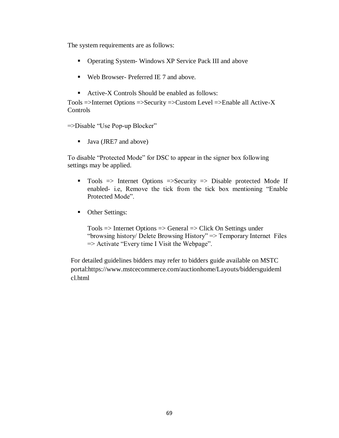The system requirements are as follows:

- Operating System- Windows XP Service Pack III and above
- Web Browser- Preferred IE 7 and above.
- Active-X Controls Should be enabled as follows:

Tools =>Internet Options =>Security =>Custom Level =>Enable all Active-X **Controls** 

=>Disable "Use Pop-up Blocker"

■ Java (JRE7 and above)

To disable "Protected Mode" for DSC to appear in the signer box following settings may be applied.

- Tools  $\Rightarrow$  Internet Options  $\Rightarrow$  Security  $\Rightarrow$  Disable protected Mode If enabled- i.e, Remove the tick from the tick box mentioning "Enable Protected Mode".
- Other Settings:

 $Tools$  => Internet Options => General => Click On Settings under "browsing history/ Delete Browsing History" => Temporary Internet Files  $\Rightarrow$  Activate "Every time I Visit the Webpage".

For detailed guidelines bidders may refer to bidders guide available on MSTC portal:https://www.mstcecommerce.com/auctionhome/Layouts/biddersguideml cl.html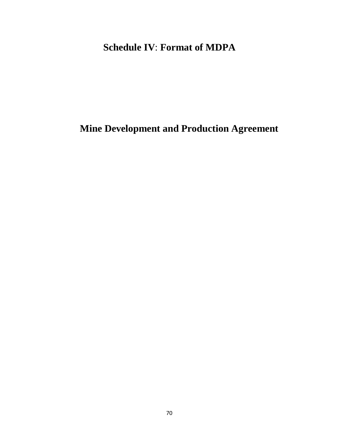## **Schedule IV**: **Format of MDPA**

# **Mine Development and Production Agreement**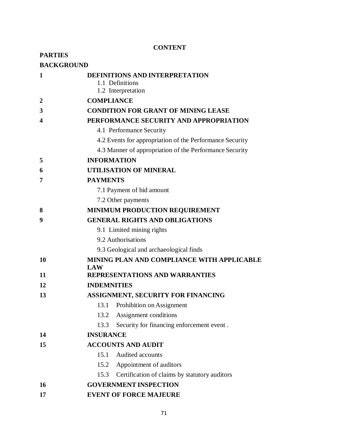## **CONTENT**

| <b>PARTIES</b>    |                                                                                |  |  |  |  |
|-------------------|--------------------------------------------------------------------------------|--|--|--|--|
| <b>BACKGROUND</b> |                                                                                |  |  |  |  |
| 1                 | <b>DEFINITIONS AND INTERPRETATION</b><br>1.1 Definitions<br>1.2 Interpretation |  |  |  |  |
| $\mathbf{2}$      | <b>COMPLIANCE</b>                                                              |  |  |  |  |
| 3                 | <b>CONDITION FOR GRANT OF MINING LEASE</b>                                     |  |  |  |  |
| 4                 | PERFORMANCE SECURITY AND APPROPRIATION                                         |  |  |  |  |
|                   | 4.1 Performance Security                                                       |  |  |  |  |
|                   | 4.2 Events for appropriation of the Performance Security                       |  |  |  |  |
|                   | 4.3 Manner of appropriation of the Performance Security                        |  |  |  |  |
| 5                 | <b>INFORMATION</b>                                                             |  |  |  |  |
| 6                 | <b>UTILISATION OF MINERAL</b>                                                  |  |  |  |  |
| 7                 | <b>PAYMENTS</b>                                                                |  |  |  |  |
|                   | 7.1 Payment of bid amount                                                      |  |  |  |  |
|                   | 7.2 Other payments                                                             |  |  |  |  |
| 8                 | <b>MINIMUM PRODUCTION REQUIREMENT</b>                                          |  |  |  |  |
| 9                 | <b>GENERAL RIGHTS AND OBLIGATIONS</b>                                          |  |  |  |  |
|                   | 9.1 Limited mining rights                                                      |  |  |  |  |
|                   | 9.2 Authorisations                                                             |  |  |  |  |
|                   | 9.3 Geological and archaeological finds                                        |  |  |  |  |
| 10                | MINING PLAN AND COMPLIANCE WITH APPLICABLE<br>LAW                              |  |  |  |  |
| 11                | REPRESENTATIONS AND WARRANTIES                                                 |  |  |  |  |
| 12                | <b>INDEMNITIES</b>                                                             |  |  |  |  |
| 13                | ASSIGNMENT, SECURITY FOR FINANCING                                             |  |  |  |  |
|                   | 13.1<br>Prohibition on Assignment                                              |  |  |  |  |
|                   | Assignment conditions<br>13.2                                                  |  |  |  |  |
|                   | Security for financing enforcement event.<br>13.3                              |  |  |  |  |
| 14                | <b>INSURANCE</b>                                                               |  |  |  |  |
| 15                | <b>ACCOUNTS AND AUDIT</b>                                                      |  |  |  |  |
|                   | Audited accounts<br>15.1                                                       |  |  |  |  |
|                   | 15.2 Appointment of auditors                                                   |  |  |  |  |
|                   | 15.3 Certification of claims by statutory auditors                             |  |  |  |  |
| 16                | <b>GOVERNMENT INSPECTION</b>                                                   |  |  |  |  |
| 17                | <b>EVENT OF FORCE MAJEURE</b>                                                  |  |  |  |  |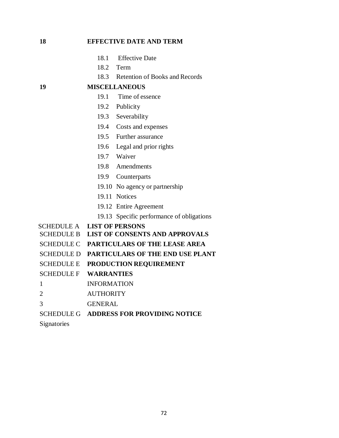18.1 Effective Date 18.2 Term 18.3 Retention of Books and Records **19 MISCELLANEOUS** 19.1 Time of essence 19.2 Publicity 19.3 Severability 19.4 Costs and expenses 19.5 Further assurance 19.6 Legal and prior rights 19.7 Waiver 19.8 Amendments 19.9 Counterparts 19.10 No agency or partnership 19.11 Notices 19.12 Entire Agreement 19.13 Specific performance of obligations SCHEDULE A **LIST OF PERSONS** SCHEDULE B **LIST OF CONSENTS AND APPROVALS** SCHEDULE C **PARTICULARS OF THE LEASE AREA** SCHEDULE D **PARTICULARS OF THE END USE PLANT**  SCHEDULE E **PRODUCTION REQUIREMENT** SCHEDULE F **WARRANTIES** 1 INFORMATION 2 AUTHORITY 3 GENERAL SCHEDULE G **ADDRESS FOR PROVIDING NOTICE Signatories** 

**18 EFFECTIVE DATE AND TERM**

72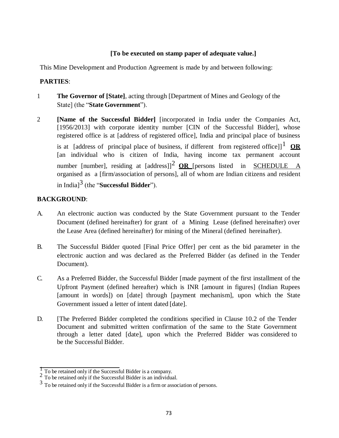# **[To be executed on stamp paper of adequate value.]**

This Mine Development and Production Agreement is made by and between following:

# **PARTIES**:

- 1 **The Governor of [State]**, acting through [Department of Mines and Geology of the State] (the "**State Government**").
- 2 **[Name of the Successful Bidder]** [incorporated in India under the Companies Act, [1956/2013] with corporate identity number [CIN of the Successful Bidder], whose registered office is at [address of registered office], India and principal place of business is at [address of principal place of business, if different from registered office]]<sup>1</sup> OR [an individual who is citizen of India, having income tax permanent account number [number], residing at  $\left[ \text{address} \right]^2$  **OR** [persons listed in SCHEDULE A organised as a [firm/association of persons], all of whom are Indian citizens and resident in India]3 (the "**Successful Bidder**").

# **BACKGROUND**:

- A. An electronic auction was conducted by the State Government pursuant to the Tender Document (defined hereinafter) for grant of a Mining Lease (defined hereinafter) over the Lease Area (defined hereinafter) for mining of the Mineral (defined hereinafter).
- B. The Successful Bidder quoted [Final Price Offer] per cent as the bid parameter in the electronic auction and was declared as the Preferred Bidder (as defined in the Tender Document).
- C. As a Preferred Bidder, the Successful Bidder [made payment of the first installment of the Upfront Payment (defined hereafter) which is INR [amount in figures] (Indian Rupees [amount in words]) on [date] through [payment mechanism], upon which the State Government issued a letter of intent dated [date].
- D. [The Preferred Bidder completed the conditions specified in Clause 10.2 of the Tender Document and submitted written confirmation of the same to the State Government through a letter dated [date], upon which the Preferred Bidder was considered to be the Successful Bidder.

 $\frac{1}{2}$  To be retained only if the Successful Bidder is a company.

 $2\degree$  To be retained only if the Successful Bidder is an individual.

<sup>&</sup>lt;sup>3</sup> To be retained only if the Successful Bidder is a firm or association of persons.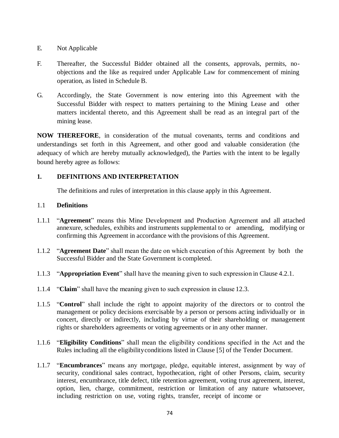## E. Not Applicable

- F. Thereafter, the Successful Bidder obtained all the consents, approvals, permits, noobjections and the like as required under Applicable Law for commencement of mining operation, as listed in Schedule B.
- G. Accordingly, the State Government is now entering into this Agreement with the Successful Bidder with respect to matters pertaining to the Mining Lease and other matters incidental thereto, and this Agreement shall be read as an integral part of the mining lease.

**NOW THEREFORE**, in consideration of the mutual covenants, terms and conditions and understandings set forth in this Agreement, and other good and valuable consideration (the adequacy of which are hereby mutually acknowledged), the Parties with the intent to be legally bound hereby agree as follows:

# **1. DEFINITIONS AND INTERPRETATION**

The definitions and rules of interpretation in this clause apply in this Agreement.

## 1.1 **Definitions**

- 1.1.1 "**Agreement**" means this Mine Development and Production Agreement and all attached annexure, schedules, exhibits and instruments supplemental to or amending, modifying or confirming this Agreement in accordance with the provisions of this Agreement.
- 1.1.2 "**Agreement Date**" shall mean the date on which execution of this Agreement by both the Successful Bidder and the State Government is completed.
- 1.1.3 "**Appropriation Event**" shall have the meaning given to such expression in Clause 4.2.1.
- 1.1.4 "**Claim**" shall have the meaning given to such expression in clause 12.3.
- 1.1.5 "**Control**" shall include the right to appoint majority of the directors or to control the management or policy decisions exercisable by a person or persons acting individually or in concert, directly or indirectly, including by virtue of their shareholding or management rights or shareholders agreements or voting agreements or in any other manner.
- 1.1.6 "**Eligibility Conditions**" shall mean the eligibility conditions specified in the Act and the Rules including all the eligibilityconditions listed in Clause [5] of the Tender Document.
- 1.1.7 "**Encumbrances**" means any mortgage, pledge, equitable interest, assignment by way of security, conditional sales contract, hypothecation, right of other Persons, claim, security interest, encumbrance, title defect, title retention agreement, voting trust agreement, interest, option, lien, charge, commitment, restriction or limitation of any nature whatsoever, including restriction on use, voting rights, transfer, receipt of income or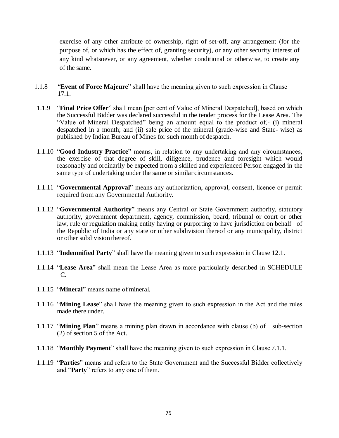exercise of any other attribute of ownership, right of set-off, any arrangement (for the purpose of, or which has the effect of, granting security), or any other security interest of any kind whatsoever, or any agreement, whether conditional or otherwise, to create any of the same.

- 1.1.8 "**Event of Force Majeure**" shall have the meaning given to such expression in Clause 17.1.
- 1.1.9 "**Final Price Offer**" shall mean [per cent of Value of Mineral Despatched], based on which the Successful Bidder was declared successful in the tender process for the Lease Area. The "Value of Mineral Despatched" being an amount equal to the product of,- (i) mineral despatched in a month; and (ii) sale price of the mineral (grade-wise and State- wise) as published by Indian Bureau of Mines for such month of despatch.
- 1.1.10 "**Good Industry Practice**" means, in relation to any undertaking and any circumstances, the exercise of that degree of skill, diligence, prudence and foresight which would reasonably and ordinarily be expected from a skilled and experienced Person engaged in the same type of undertaking under the same or similar circumstances.
- 1.1.11 "**Governmental Approval**" means any authorization, approval, consent, licence or permit required from any Governmental Authority.
- 1.1.12 "**Governmental Authority**" means any Central or State Government authority, statutory authority, government department, agency, commission, board, tribunal or court or other law, rule or regulation making entity having or purporting to have jurisdiction on behalf of the Republic of India or any state or other subdivision thereof or any municipality, district or other subdivision thereof.
- 1.1.13 "**Indemnified Party**" shall have the meaning given to such expression in Clause 12.1.
- 1.1.14 "**Lease Area**" shall mean the Lease Area as more particularly described in SCHEDULE C.
- 1.1.15 "**Mineral**" means name of mineral.
- 1.1.16 "**Mining Lease**" shall have the meaning given to such expression in the Act and the rules made there under.
- 1.1.17 "**Mining Plan**" means a mining plan drawn in accordance with clause (b) of sub-section (2) of section 5 of the Act.
- 1.1.18 "**Monthly Payment**" shall have the meaning given to such expression in Clause 7.1.1.
- 1.1.19 "**Parties**" means and refers to the State Government and the Successful Bidder collectively and "**Party**" refers to any one ofthem.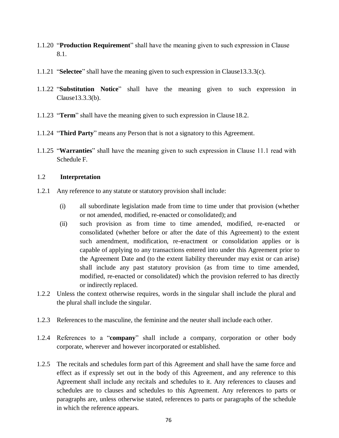- 1.1.20 "**Production Requirement**" shall have the meaning given to such expression in Clause 8.1.
- 1.1.21 "**Selectee**" shall have the meaning given to such expression in Clause13.3.3(c).
- 1.1.22 "**Substitution Notice**" shall have the meaning given to such expression in Clause13.3.3(b).
- 1.1.23 "**Term**" shall have the meaning given to such expression in Clause18.2.
- 1.1.24 "**Third Party**" means any Person that is not a signatory to this Agreement.
- 1.1.25 "**Warranties**" shall have the meaning given to such expression in Clause 11.1 read with Schedule F.

#### 1.2 **Interpretation**

- 1.2.1 Any reference to any statute or statutory provision shall include:
	- (i) all subordinate legislation made from time to time under that provision (whether or not amended, modified, re-enacted or consolidated); and
	- (ii) such provision as from time to time amended, modified, re-enacted or consolidated (whether before or after the date of this Agreement) to the extent such amendment, modification, re-enactment or consolidation applies or is capable of applying to any transactions entered into under this Agreement prior to the Agreement Date and (to the extent liability thereunder may exist or can arise) shall include any past statutory provision (as from time to time amended, modified, re-enacted or consolidated) which the provision referred to has directly or indirectly replaced.
- 1.2.2 Unless the context otherwise requires, words in the singular shall include the plural and the plural shall include the singular.
- 1.2.3 References to the masculine, the feminine and the neuter shall include each other.
- 1.2.4 References to a "**company**" shall include a company, corporation or other body corporate, wherever and however incorporated or established.
- 1.2.5 The recitals and schedules form part of this Agreement and shall have the same force and effect as if expressly set out in the body of this Agreement, and any reference to this Agreement shall include any recitals and schedules to it. Any references to clauses and schedules are to clauses and schedules to this Agreement. Any references to parts or paragraphs are, unless otherwise stated, references to parts or paragraphs of the schedule in which the reference appears.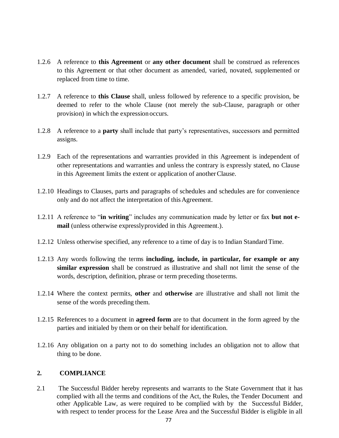- 1.2.6 A reference to **this Agreement** or **any other document** shall be construed as references to this Agreement or that other document as amended, varied, novated, supplemented or replaced from time to time.
- 1.2.7 A reference to **this Clause** shall, unless followed by reference to a specific provision, be deemed to refer to the whole Clause (not merely the sub-Clause, paragraph or other provision) in which the expressionoccurs.
- 1.2.8 A reference to a **party** shall include that party's representatives, successors and permitted assigns.
- 1.2.9 Each of the representations and warranties provided in this Agreement is independent of other representations and warranties and unless the contrary is expressly stated, no Clause in this Agreement limits the extent or application of anotherClause.
- 1.2.10 Headings to Clauses, parts and paragraphs of schedules and schedules are for convenience only and do not affect the interpretation of this Agreement.
- 1.2.11 A reference to "**in writing**" includes any communication made by letter or fax **but not email** (unless otherwise expresslyprovided in this Agreement.).
- 1.2.12 Unless otherwise specified, any reference to a time of day is to Indian StandardTime.
- 1.2.13 Any words following the terms **including, include, in particular, for example or any similar expression** shall be construed as illustrative and shall not limit the sense of the words, description, definition, phrase or term preceding thoseterms.
- 1.2.14 Where the context permits, **other** and **otherwise** are illustrative and shall not limit the sense of the words preceding them.
- 1.2.15 References to a document in **agreed form** are to that document in the form agreed by the parties and initialed by them or on their behalf for identification.
- 1.2.16 Any obligation on a party not to do something includes an obligation not to allow that thing to be done.

#### **2. COMPLIANCE**

2.1 The Successful Bidder hereby represents and warrants to the State Government that it has complied with all the terms and conditions of the Act, the Rules, the Tender Document and other Applicable Law, as were required to be complied with by the Successful Bidder, with respect to tender process for the Lease Area and the Successful Bidder is eligible in all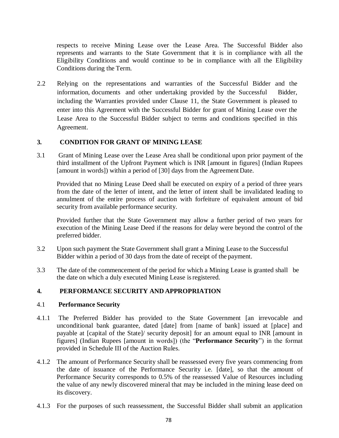respects to receive Mining Lease over the Lease Area. The Successful Bidder also represents and warrants to the State Government that it is in compliance with all the Eligibility Conditions and would continue to be in compliance with all the Eligibility Conditions during the Term.

2.2 Relying on the representations and warranties of the Successful Bidder and the information, documents and other undertaking provided by the Successful Bidder, including the Warranties provided under Clause 11, the State Government is pleased to enter into this Agreement with the Successful Bidder for grant of Mining Lease over the Lease Area to the Successful Bidder subject to terms and conditions specified in this Agreement.

#### **3. CONDITION FOR GRANT OF MINING LEASE**

3.1 Grant of Mining Lease over the Lease Area shall be conditional upon prior payment of the third installment of the Upfront Payment which is INR [amount in figures] (Indian Rupees [amount in words]) within a period of [30] days from the Agreement Date.

Provided that no Mining Lease Deed shall be executed on expiry of a period of three years from the date of the letter of intent, and the letter of intent shall be invalidated leading to annulment of the entire process of auction with forfeiture of equivalent amount of bid security from available performance security.

Provided further that the State Government may allow a further period of two years for execution of the Mining Lease Deed if the reasons for delay were beyond the control of the preferred bidder.

- 3.2 Upon such payment the State Government shall grant a Mining Lease to the Successful Bidder within a period of 30 days from the date of receipt of the payment.
- 3.3 The date of the commencement of the period for which a Mining Lease is granted shall be the date on which a duly executed Mining Lease isregistered.

#### **4. PERFORMANCE SECURITY AND APPROPRIATION**

#### 4.1 **Performance Security**

- 4.1.1 The Preferred Bidder has provided to the State Government [an irrevocable and unconditional bank guarantee, dated [date] from [name of bank] issued at [place] and payable at [capital of the State]/ security deposit] for an amount equal to INR [amount in figures] (Indian Rupees [amount in words]) (the "**Performance Security**") in the format provided in Schedule III of the Auction Rules.
- 4.1.2 The amount of Performance Security shall be reassessed every five years commencing from the date of issuance of the Performance Security i.e. [date], so that the amount of Performance Security corresponds to 0.5% of the reassessed Value of Resources including the value of any newly discovered mineral that may be included in the mining lease deed on its discovery.
- 4.1.3 For the purposes of such reassessment, the Successful Bidder shall submit an application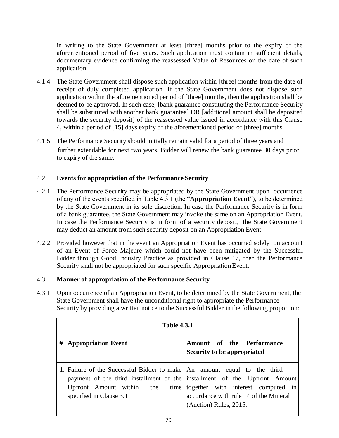in writing to the State Government at least [three] months prior to the expiry of the aforementioned period of five years. Such application must contain in sufficient details, documentary evidence confirming the reassessed Value of Resources on the date of such application.

- 4.1.4 The State Government shall dispose such application within [three] months from the date of receipt of duly completed application. If the State Government does not dispose such application within the aforementioned period of [three] months, then the application shall be deemed to be approved. In such case, [bank guarantee constituting the Performance Security shall be substituted with another bank guarantee] OR [additional amount shall be deposited towards the security deposit] of the reassessed value issued in accordance with this Clause 4, within a period of [15] days expiry of the aforementioned period of [three] months.
- 4.1.5 The Performance Security should initially remain valid for a period of three years and further extendable for next two years. Bidder will renew the bank guarantee 30 days prior to expiry of the same.

## 4.2 **Events for appropriation of the Performance Security**

- 4.2.1 The Performance Security may be appropriated by the State Government upon occurrence of any of the events specified in Table 4.3.1 (the "**Appropriation Event**"), to be determined by the State Government in its sole discretion. In case the Performance Security is in form of a bank guarantee, the State Government may invoke the same on an Appropriation Event. In case the Performance Security is in form of a security deposit, the State Government may deduct an amount from such security deposit on an Appropriation Event.
- 4.2.2 Provided however that in the event an Appropriation Event has occurred solely on account of an Event of Force Majeure which could not have been mitigated by the Successful Bidder through Good Industry Practice as provided in Clause 17, then the Performance Security shall not be appropriated for such specific Appropriation Event.

#### 4.3 **Manner of appropriation of the Performance Security**

4.3.1 Upon occurrence of an Appropriation Event, to be determined by the State Government, the State Government shall have the unconditional right to appropriate the Performance Security by providing a written notice to the Successful Bidder in the following proportion:

| <b>Table 4.3.1</b> |                                                                                                                                                                                                                |                                                                                                             |  |
|--------------------|----------------------------------------------------------------------------------------------------------------------------------------------------------------------------------------------------------------|-------------------------------------------------------------------------------------------------------------|--|
| #                  | <b>Appropriation Event</b>                                                                                                                                                                                     | Amount of the Performance<br>Security to be appropriated                                                    |  |
|                    | 1. Failure of the Successful Bidder to make An amount equal to the third<br>payment of the third installment of the linstallment of the Upfront Amount<br>Upfront Amount within the<br>specified in Clause 3.1 | time together with interest computed in<br>accordance with rule 14 of the Mineral<br>(Auction) Rules, 2015. |  |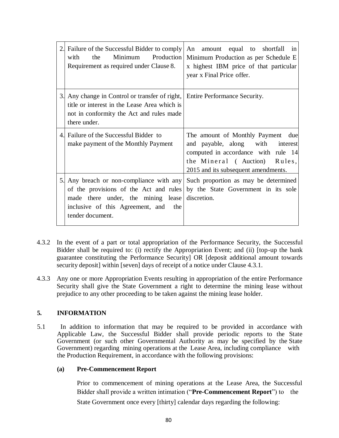| 2. Failure of the Successful Bidder to comply<br>Minimum Production<br>the<br>with<br>Requirement as required under Clause 8.                                                           | An amount equal to shortfall in<br>Minimum Production as per Schedule E<br>x highest IBM price of that particular<br>year x Final Price offer.                                      |
|-----------------------------------------------------------------------------------------------------------------------------------------------------------------------------------------|-------------------------------------------------------------------------------------------------------------------------------------------------------------------------------------|
| 3. Any change in Control or transfer of right, Entire Performance Security.<br>title or interest in the Lease Area which is<br>not in conformity the Act and rules made<br>there under. |                                                                                                                                                                                     |
| 4. Failure of the Successful Bidder to<br>make payment of the Monthly Payment                                                                                                           | The amount of Monthly Payment due<br>and payable, along with interest<br>computed in accordance with rule 14<br>the Mineral (Auction) Rules,<br>2015 and its subsequent amendments. |
| 5. Any breach or non-compliance with any<br>of the provisions of the Act and rules<br>made there under, the mining lease<br>inclusive of this Agreement, and the<br>tender document.    | Such proportion as may be determined<br>by the State Government in its sole<br>discretion.                                                                                          |

- 4.3.2 In the event of a part or total appropriation of the Performance Security, the Successful Bidder shall be required to: (i) rectify the Appropriation Event; and (ii) [top-up the bank guarantee constituting the Performance Security] OR [deposit additional amount towards security deposit] within [seven] days of receipt of a notice under Clause 4.3.1.
- 4.3.3 Any one or more Appropriation Events resulting in appropriation of the entire Performance Security shall give the State Government a right to determine the mining lease without prejudice to any other proceeding to be taken against the mining lease holder.

# **5. INFORMATION**

5.1 In addition to information that may be required to be provided in accordance with Applicable Law, the Successful Bidder shall provide periodic reports to the State Government (or such other Governmental Authority as may be specified by the State Government) regarding mining operations at the Lease Area, including compliance with the Production Requirement, in accordance with the following provisions:

# **(a) Pre-Commencement Report**

Prior to commencement of mining operations at the Lease Area, the Successful Bidder shall provide a written intimation ("**Pre-Commencement Report**") to the State Government once every [thirty] calendar days regarding the following: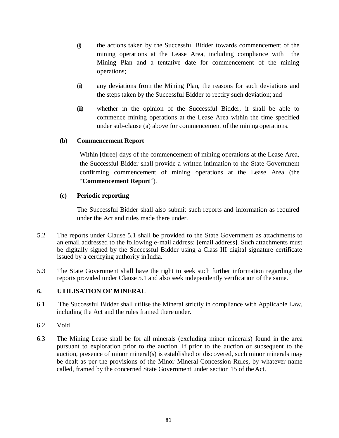- (i) the actions taken by the Successful Bidder towards commencement of the mining operations at the Lease Area, including compliance with the Mining Plan and a tentative date for commencement of the mining operations;
- (ii) any deviations from the Mining Plan, the reasons for such deviations and the steps taken by the Successful Bidder to rectify such deviation; and
- (iii) whether in the opinion of the Successful Bidder, it shall be able to commence mining operations at the Lease Area within the time specified under sub-clause (a) above for commencement of the mining operations.

## **(b) Commencement Report**

Within [three] days of the commencement of mining operations at the Lease Area, the Successful Bidder shall provide a written intimation to the State Government confirming commencement of mining operations at the Lease Area (the "**Commencement Report**").

## **(c) Periodic reporting**

The Successful Bidder shall also submit such reports and information as required under the Act and rules made there under.

- 5.2 The reports under Clause 5.1 shall be provided to the State Government as attachments to an email addressed to the following e-mail address: [email address]. Such attachments must be digitally signed by the Successful Bidder using a Class III digital signature certificate issued by a certifying authority in India.
- 5.3 The State Government shall have the right to seek such further information regarding the reports provided under Clause 5.1 and also seek independently verification of the same.

# **6. UTILISATION OF MINERAL**

- 6.1 The Successful Bidder shall utilise the Mineral strictly in compliance with Applicable Law, including the Act and the rules framed there under.
- 6.2 Void
- 6.3 The Mining Lease shall be for all minerals (excluding minor minerals) found in the area pursuant to exploration prior to the auction. If prior to the auction or subsequent to the auction, presence of minor mineral(s) is established or discovered, such minor minerals may be dealt as per the provisions of the Minor Mineral Concession Rules, by whatever name called, framed by the concerned State Government under section 15 of theAct.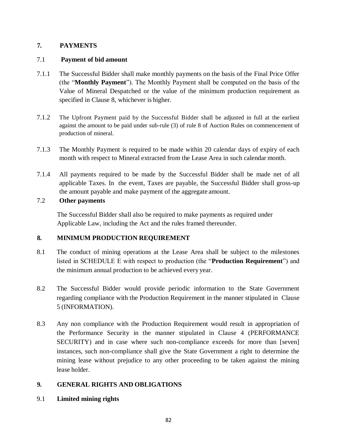# **7. PAYMENTS**

# 7.1 **Payment of bid amount**

- 7.1.1 The Successful Bidder shall make monthly payments on the basis of the Final Price Offer (the "**Monthly Payment**"). The Monthly Payment shall be computed on the basis of the Value of Mineral Despatched or the value of the minimum production requirement as specified in Clause 8, whichever is higher.
- 7.1.2 The Upfront Payment paid by the Successful Bidder shall be adjusted in full at the earliest against the amount to be paid under sub-rule (3) of rule 8 of Auction Rules on commencement of production of mineral.
- 7.1.3 The Monthly Payment is required to be made within 20 calendar days of expiry of each month with respect to Mineral extracted from the Lease Area in such calendar month.
- 7.1.4 All payments required to be made by the Successful Bidder shall be made net of all applicable Taxes. In the event, Taxes are payable, the Successful Bidder shall gross-up the amount payable and make payment of the aggregate amount.

## 7.2 **Other payments**

The Successful Bidder shall also be required to make payments as required under Applicable Law, including the Act and the rules framed thereunder.

# **8. MINIMUM PRODUCTION REQUIREMENT**

- 8.1 The conduct of mining operations at the Lease Area shall be subject to the milestones listed in SCHEDULE E with respect to production (the "**Production Requirement**") and the minimum annual production to be achieved every year.
- 8.2 The Successful Bidder would provide periodic information to the State Government regarding compliance with the Production Requirement in the manner stipulated in Clause 5 (INFORMATION).
- 8.3 Any non compliance with the Production Requirement would result in appropriation of the Performance Security in the manner stipulated in Clause 4 (PERFORMANCE SECURITY) and in case where such non-compliance exceeds for more than [seven] instances, such non-compliance shall give the State Government a right to determine the mining lease without prejudice to any other proceeding to be taken against the mining lease holder.

# **9. GENERAL RIGHTS AND OBLIGATIONS**

9.1 **Limited mining rights**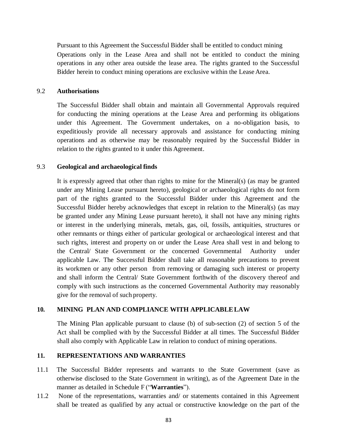Pursuant to this Agreement the Successful Bidder shall be entitled to conduct mining Operations only in the Lease Area and shall not be entitled to conduct the mining operations in any other area outside the lease area. The rights granted to the Successful Bidder herein to conduct mining operations are exclusive within the Lease Area.

#### 9.2 **Authorisations**

The Successful Bidder shall obtain and maintain all Governmental Approvals required for conducting the mining operations at the Lease Area and performing its obligations under this Agreement. The Government undertakes, on a no-obligation basis, to expeditiously provide all necessary approvals and assistance for conducting mining operations and as otherwise may be reasonably required by the Successful Bidder in relation to the rights granted to it under this Agreement.

#### 9.3 **Geological and archaeological finds**

It is expressly agreed that other than rights to mine for the Mineral(s) (as may be granted under any Mining Lease pursuant hereto), geological or archaeological rights do not form part of the rights granted to the Successful Bidder under this Agreement and the Successful Bidder hereby acknowledges that except in relation to the Mineral(s) (as may be granted under any Mining Lease pursuant hereto), it shall not have any mining rights or interest in the underlying minerals, metals, gas, oil, fossils, antiquities, structures or other remnants or things either of particular geological or archaeological interest and that such rights, interest and property on or under the Lease Area shall vest in and belong to the Central/ State Government or the concerned Governmental Authority under applicable Law. The Successful Bidder shall take all reasonable precautions to prevent its workmen or any other person from removing or damaging such interest or property and shall inform the Central/ State Government forthwith of the discovery thereof and comply with such instructions as the concerned Governmental Authority may reasonably give for the removal of such property.

#### **10. MINING PLAN AND COMPLIANCE WITH APPLICABLELAW**

The Mining Plan applicable pursuant to clause (b) of sub-section (2) of section 5 of the Act shall be complied with by the Successful Bidder at all times. The Successful Bidder shall also comply with Applicable Law in relation to conduct of mining operations.

#### **11. REPRESENTATIONS AND WARRANTIES**

- 11.1 The Successful Bidder represents and warrants to the State Government (save as otherwise disclosed to the State Government in writing), as of the Agreement Date in the manner as detailed in Schedule F ("**Warranties**").
- 11.2 None of the representations, warranties and/ or statements contained in this Agreement shall be treated as qualified by any actual or constructive knowledge on the part of the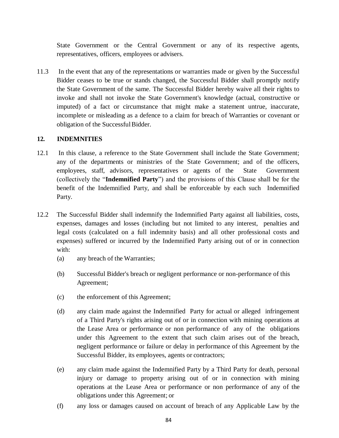State Government or the Central Government or any of its respective agents, representatives, officers, employees or advisers.

11.3 In the event that any of the representations or warranties made or given by the Successful Bidder ceases to be true or stands changed, the Successful Bidder shall promptly notify the State Government of the same. The Successful Bidder hereby waive all their rights to invoke and shall not invoke the State Government's knowledge (actual, constructive or imputed) of a fact or circumstance that might make a statement untrue, inaccurate, incomplete or misleading as a defence to a claim for breach of Warranties or covenant or obligation of the Successful Bidder.

#### **12. INDEMNITIES**

- 12.1 In this clause, a reference to the State Government shall include the State Government; any of the departments or ministries of the State Government; and of the officers, employees, staff, advisors, representatives or agents of the State Government (collectively the "**Indemnified Party**") and the provisions of this Clause shall be for the benefit of the Indemnified Party, and shall be enforceable by each such Indemnified Party.
- 12.2 The Successful Bidder shall indemnify the Indemnified Party against all liabilities, costs, expenses, damages and losses (including but not limited to any interest, penalties and legal costs (calculated on a full indemnity basis) and all other professional costs and expenses) suffered or incurred by the Indemnified Party arising out of or in connection with:
	- (a) any breach of the Warranties;
	- (b) Successful Bidder's breach or negligent performance or non-performance of this Agreement;
	- (c) the enforcement of this Agreement;
	- (d) any claim made against the Indemnified Party for actual or alleged infringement of a Third Party's rights arising out of or in connection with mining operations at the Lease Area or performance or non performance of any of the obligations under this Agreement to the extent that such claim arises out of the breach, negligent performance or failure or delay in performance of this Agreement by the Successful Bidder, its employees, agents or contractors;
	- (e) any claim made against the Indemnified Party by a Third Party for death, personal injury or damage to property arising out of or in connection with mining operations at the Lease Area or performance or non performance of any of the obligations under this Agreement; or
	- (f) any loss or damages caused on account of breach of any Applicable Law by the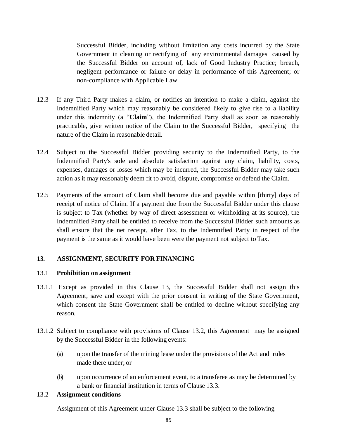Successful Bidder, including without limitation any costs incurred by the State Government in cleaning or rectifying of any environmental damages caused by the Successful Bidder on account of, lack of Good Industry Practice; breach, negligent performance or failure or delay in performance of this Agreement; or non-compliance with Applicable Law.

- 12.3 If any Third Party makes a claim, or notifies an intention to make a claim, against the Indemnified Party which may reasonably be considered likely to give rise to a liability under this indemnity (a "**Claim**"), the Indemnified Party shall as soon as reasonably practicable, give written notice of the Claim to the Successful Bidder, specifying the nature of the Claim in reasonable detail.
- 12.4 Subject to the Successful Bidder providing security to the Indemnified Party, to the Indemnified Party's sole and absolute satisfaction against any claim, liability, costs, expenses, damages or losses which may be incurred, the Successful Bidder may take such action as it may reasonably deem fit to avoid, dispute, compromise or defend the Claim.
- 12.5 Payments of the amount of Claim shall become due and payable within [thirty] days of receipt of notice of Claim. If a payment due from the Successful Bidder under this clause is subject to Tax (whether by way of direct assessment or withholding at its source), the Indemnified Party shall be entitled to receive from the Successful Bidder such amounts as shall ensure that the net receipt, after Tax, to the Indemnified Party in respect of the payment is the same as it would have been were the payment not subject to Tax.

#### **13. ASSIGNMENT, SECURITY FOR FINANCING**

#### 13.1 **Prohibition on assignment**

- 13.1.1 Except as provided in this Clause 13, the Successful Bidder shall not assign this Agreement, save and except with the prior consent in writing of the State Government, which consent the State Government shall be entitled to decline without specifying any reason.
- 13.1.2 Subject to compliance with provisions of Clause 13.2, this Agreement may be assigned by the Successful Bidder in the following events:
	- (a) upon the transfer of the mining lease under the provisions of the Act and rules made there under; or
	- (b) upon occurrence of an enforcement event, to a transferee as may be determined by a bank or financial institution in terms of Clause 13.3.

#### 13.2 **Assignment conditions**

Assignment of this Agreement under Clause 13.3 shall be subject to the following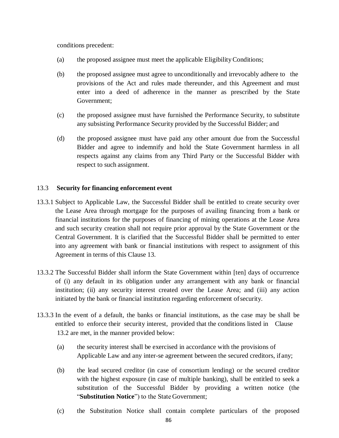conditions precedent:

- (a) the proposed assignee must meet the applicable EligibilityConditions;
- (b) the proposed assignee must agree to unconditionally and irrevocably adhere to the provisions of the Act and rules made thereunder, and this Agreement and must enter into a deed of adherence in the manner as prescribed by the State Government;
- (c) the proposed assignee must have furnished the Performance Security, to substitute any subsisting Performance Security provided by the Successful Bidder; and
- (d) the proposed assignee must have paid any other amount due from the Successful Bidder and agree to indemnify and hold the State Government harmless in all respects against any claims from any Third Party or the Successful Bidder with respect to such assignment.

# 13.3 **Security for financing enforcement event**

- 13.3.1 Subject to Applicable Law, the Successful Bidder shall be entitled to create security over the Lease Area through mortgage for the purposes of availing financing from a bank or financial institutions for the purposes of financing of mining operations at the Lease Area and such security creation shall not require prior approval by the State Government or the Central Government. It is clarified that the Successful Bidder shall be permitted to enter into any agreement with bank or financial institutions with respect to assignment of this Agreement in terms of this Clause 13.
- 13.3.2 The Successful Bidder shall inform the State Government within [ten] days of occurrence of (i) any default in its obligation under any arrangement with any bank or financial institution; (ii) any security interest created over the Lease Area; and (iii) any action initiated by the bank or financial institution regarding enforcement ofsecurity.
- 13.3.3 In the event of a default, the banks or financial institutions, as the case may be shall be entitled to enforce their security interest, provided that the conditions listed in Clause 13.2 are met, in the manner provided below:
	- (a) the security interest shall be exercised in accordance with the provisions of Applicable Law and any inter-se agreement between the secured creditors, ifany;
	- (b) the lead secured creditor (in case of consortium lending) or the secured creditor with the highest exposure (in case of multiple banking), shall be entitled to seek a substitution of the Successful Bidder by providing a written notice (the "**Substitution Notice**") to the State Government;
	- (c) the Substitution Notice shall contain complete particulars of the proposed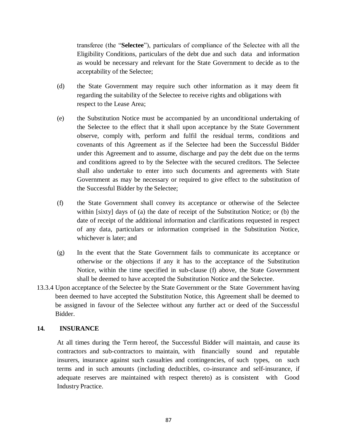transferee (the "**Selectee**"), particulars of compliance of the Selectee with all the Eligibility Conditions, particulars of the debt due and such data and information as would be necessary and relevant for the State Government to decide as to the acceptability of the Selectee;

- (d) the State Government may require such other information as it may deem fit regarding the suitability of the Selectee to receive rights and obligations with respect to the Lease Area;
- (e) the Substitution Notice must be accompanied by an unconditional undertaking of the Selectee to the effect that it shall upon acceptance by the State Government observe, comply with, perform and fulfil the residual terms, conditions and covenants of this Agreement as if the Selectee had been the Successful Bidder under this Agreement and to assume, discharge and pay the debt due on the terms and conditions agreed to by the Selectee with the secured creditors. The Selectee shall also undertake to enter into such documents and agreements with State Government as may be necessary or required to give effect to the substitution of the Successful Bidder by the Selectee;
- (f) the State Government shall convey its acceptance or otherwise of the Selectee within [sixty] days of (a) the date of receipt of the Substitution Notice; or (b) the date of receipt of the additional information and clarifications requested in respect of any data, particulars or information comprised in the Substitution Notice, whichever is later; and
- (g) In the event that the State Government fails to communicate its acceptance or otherwise or the objections if any it has to the acceptance of the Substitution Notice, within the time specified in sub-clause (f) above, the State Government shall be deemed to have accepted the Substitution Notice and the Selectee.
- 13.3.4 Upon acceptance of the Selectee by the State Government or the State Government having been deemed to have accepted the Substitution Notice, this Agreement shall be deemed to be assigned in favour of the Selectee without any further act or deed of the Successful Bidder.

#### **14. INSURANCE**

At all times during the Term hereof, the Successful Bidder will maintain, and cause its contractors and sub-contractors to maintain, with financially sound and reputable insurers, insurance against such casualties and contingencies, of such types, on such terms and in such amounts (including deductibles, co-insurance and self-insurance, if adequate reserves are maintained with respect thereto) as is consistent with Good Industry Practice.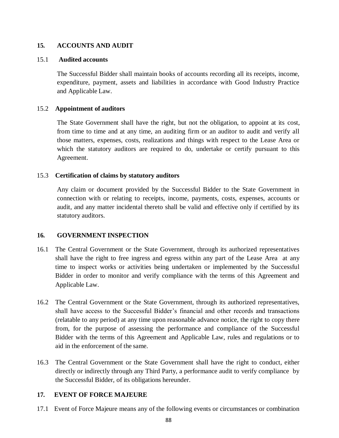## **15. ACCOUNTS AND AUDIT**

#### 15.1 **Audited accounts**

The Successful Bidder shall maintain books of accounts recording all its receipts, income, expenditure, payment, assets and liabilities in accordance with Good Industry Practice and Applicable Law.

#### 15.2 **Appointment of auditors**

The State Government shall have the right, but not the obligation, to appoint at its cost, from time to time and at any time, an auditing firm or an auditor to audit and verify all those matters, expenses, costs, realizations and things with respect to the Lease Area or which the statutory auditors are required to do, undertake or certify pursuant to this Agreement.

#### 15.3 **Certification of claims by statutory auditors**

Any claim or document provided by the Successful Bidder to the State Government in connection with or relating to receipts, income, payments, costs, expenses, accounts or audit, and any matter incidental thereto shall be valid and effective only if certified by its statutory auditors.

#### **16. GOVERNMENT INSPECTION**

- 16.1 The Central Government or the State Government, through its authorized representatives shall have the right to free ingress and egress within any part of the Lease Area at any time to inspect works or activities being undertaken or implemented by the Successful Bidder in order to monitor and verify compliance with the terms of this Agreement and Applicable Law.
- 16.2 The Central Government or the State Government, through its authorized representatives, shall have access to the Successful Bidder's financial and other records and transactions (relatable to any period) at any time upon reasonable advance notice, the right to copy there from, for the purpose of assessing the performance and compliance of the Successful Bidder with the terms of this Agreement and Applicable Law, rules and regulations or to aid in the enforcement of the same.
- 16.3 The Central Government or the State Government shall have the right to conduct, either directly or indirectly through any Third Party, a performance audit to verify compliance by the Successful Bidder, of its obligations hereunder.

#### **17. EVENT OF FORCE MAJEURE**

17.1 Event of Force Majeure means any of the following events or circumstances or combination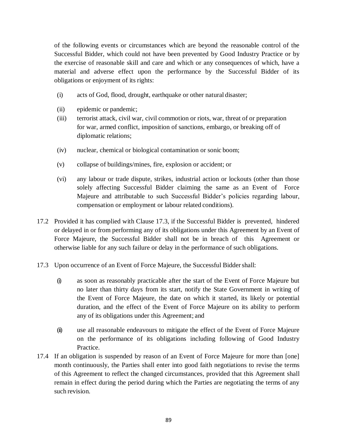of the following events or circumstances which are beyond the reasonable control of the Successful Bidder, which could not have been prevented by Good Industry Practice or by the exercise of reasonable skill and care and which or any consequences of which, have a material and adverse effect upon the performance by the Successful Bidder of its obligations or enjoyment of its rights:

- (i) acts of God, flood, drought, earthquake or other natural disaster;
- (ii) epidemic or pandemic;
- (iii) terrorist attack, civil war, civil commotion or riots, war, threat of or preparation for war, armed conflict, imposition of sanctions, embargo, or breaking off of diplomatic relations;
- (iv) nuclear, chemical or biological contamination or sonic boom;
- (v) collapse of buildings/mines, fire, explosion or accident; or
- (vi) any labour or trade dispute, strikes, industrial action or lockouts (other than those solely affecting Successful Bidder claiming the same as an Event of Force Majeure and attributable to such Successful Bidder's policies regarding labour, compensation or employment or labour related conditions).
- 17.2 Provided it has complied with Clause 17.3, if the Successful Bidder is prevented, hindered or delayed in or from performing any of its obligations under this Agreement by an Event of Force Majeure, the Successful Bidder shall not be in breach of this Agreement or otherwise liable for any such failure or delay in the performance of such obligations.
- 17.3 Upon occurrence of an Event of Force Majeure, the Successful Biddershall:
	- (i) as soon as reasonably practicable after the start of the Event of Force Majeure but no later than thirty days from its start, notify the State Government in writing of the Event of Force Majeure, the date on which it started, its likely or potential duration, and the effect of the Event of Force Majeure on its ability to perform any of its obligations under this Agreement; and
	- (ii) use all reasonable endeavours to mitigate the effect of the Event of Force Majeure on the performance of its obligations including following of Good Industry Practice.
- 17.4 If an obligation is suspended by reason of an Event of Force Majeure for more than [one] month continuously, the Parties shall enter into good faith negotiations to revise the terms of this Agreement to reflect the changed circumstances, provided that this Agreement shall remain in effect during the period during which the Parties are negotiating the terms of any such revision.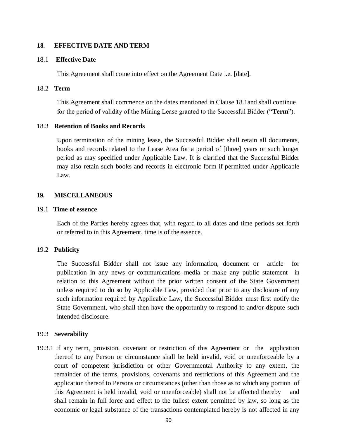#### **18. EFFECTIVE DATE AND TERM**

#### 18.1 **Effective Date**

This Agreement shall come into effect on the Agreement Date i.e. [date].

#### 18.2 **Term**

This Agreement shall commence on the dates mentioned in Clause 18.1and shall continue for the period of validity of the Mining Lease granted to the Successful Bidder ("**Term**").

#### 18.3 **Retention of Books and Records**

Upon termination of the mining lease, the Successful Bidder shall retain all documents, books and records related to the Lease Area for a period of [three] years or such longer period as may specified under Applicable Law. It is clarified that the Successful Bidder may also retain such books and records in electronic form if permitted under Applicable Law.

#### **19. MISCELLANEOUS**

#### 19.1 **Time of essence**

Each of the Parties hereby agrees that, with regard to all dates and time periods set forth or referred to in this Agreement, time is of the essence.

#### 19.2 **Publicity**

The Successful Bidder shall not issue any information, document or article for publication in any news or communications media or make any public statement in relation to this Agreement without the prior written consent of the State Government unless required to do so by Applicable Law, provided that prior to any disclosure of any such information required by Applicable Law, the Successful Bidder must first notify the State Government, who shall then have the opportunity to respond to and/or dispute such intended disclosure.

#### 19.3 **Severability**

19.3.1 If any term, provision, covenant or restriction of this Agreement or the application thereof to any Person or circumstance shall be held invalid, void or unenforceable by a court of competent jurisdiction or other Governmental Authority to any extent, the remainder of the terms, provisions, covenants and restrictions of this Agreement and the application thereof to Persons or circumstances (other than those as to which any portion of this Agreement is held invalid, void or unenforceable) shall not be affected thereby and shall remain in full force and effect to the fullest extent permitted by law, so long as the economic or legal substance of the transactions contemplated hereby is not affected in any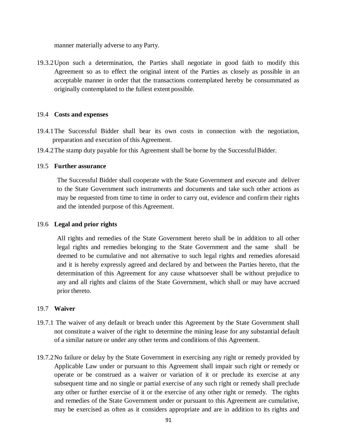manner materially adverse to any Party.

19.3.2Upon such a determination, the Parties shall negotiate in good faith to modify this Agreement so as to effect the original intent of the Parties as closely as possible in an acceptable manner in order that the transactions contemplated hereby be consummated as originally contemplated to the fullest extent possible.

#### 19.4 **Costs and expenses**

- 19.4.1The Successful Bidder shall bear its own costs in connection with the negotiation, preparation and execution of this Agreement.
- 19.4.2The stamp duty payable for this Agreement shall be borne by the SuccessfulBidder.

#### 19.5 **Further assurance**

The Successful Bidder shall cooperate with the State Government and execute and deliver to the State Government such instruments and documents and take such other actions as may be requested from time to time in order to carry out, evidence and confirm their rights and the intended purpose of this Agreement.

#### 19.6 **Legal and prior rights**

All rights and remedies of the State Government hereto shall be in addition to all other legal rights and remedies belonging to the State Government and the same shall be deemed to be cumulative and not alternative to such legal rights and remedies aforesaid and it is hereby expressly agreed and declared by and between the Parties hereto, that the determination of this Agreement for any cause whatsoever shall be without prejudice to any and all rights and claims of the State Government, which shall or may have accrued prior thereto.

#### 19.7 **Waiver**

- 19.7.1 The waiver of any default or breach under this Agreement by the State Government shall not constitute a waiver of the right to determine the mining lease for any substantial default of a similar nature or under any other terms and conditions of this Agreement.
- 19.7.2No failure or delay by the State Government in exercising any right or remedy provided by Applicable Law under or pursuant to this Agreement shall impair such right or remedy or operate or be construed as a waiver or variation of it or preclude its exercise at any subsequent time and no single or partial exercise of any such right or remedy shall preclude any other or further exercise of it or the exercise of any other right or remedy. The rights and remedies of the State Government under or pursuant to this Agreement are cumulative, may be exercised as often as it considers appropriate and are in addition to its rights and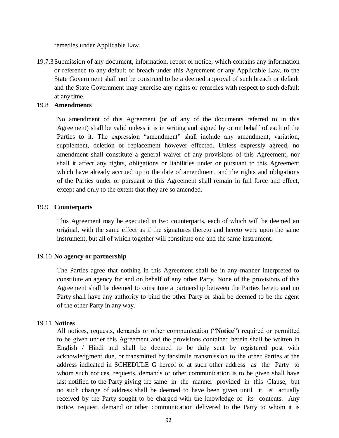remedies under Applicable Law.

19.7.3Submission of any document, information, report or notice, which contains any information or reference to any default or breach under this Agreement or any Applicable Law, to the State Government shall not be construed to be a deemed approval of such breach or default and the State Government may exercise any rights or remedies with respect to such default at anytime.

#### 19.8 **Amendments**

No amendment of this Agreement (or of any of the documents referred to in this Agreement) shall be valid unless it is in writing and signed by or on behalf of each of the Parties to it. The expression "amendment" shall include any amendment, variation, supplement, deletion or replacement however effected. Unless expressly agreed, no amendment shall constitute a general waiver of any provisions of this Agreement, nor shall it affect any rights, obligations or liabilities under or pursuant to this Agreement which have already accrued up to the date of amendment, and the rights and obligations of the Parties under or pursuant to this Agreement shall remain in full force and effect, except and only to the extent that they are so amended.

#### 19.9 **Counterparts**

This Agreement may be executed in two counterparts, each of which will be deemed an original, with the same effect as if the signatures thereto and hereto were upon the same instrument, but all of which together will constitute one and the same instrument.

#### 19.10 **No agency or partnership**

The Parties agree that nothing in this Agreement shall be in any manner interpreted to constitute an agency for and on behalf of any other Party. None of the provisions of this Agreement shall be deemed to constitute a partnership between the Parties hereto and no Party shall have any authority to bind the other Party or shall be deemed to be the agent of the other Party in any way.

#### 19.11 **Notices**

All notices, requests, demands or other communication ("**Notice**") required or permitted to be given under this Agreement and the provisions contained herein shall be written in English / Hindi and shall be deemed to be duly sent by registered post with acknowledgment due, or transmitted by facsimile transmission to the other Parties at the address indicated in SCHEDULE G hereof or at such other address as the Party to whom such notices, requests, demands or other communication is to be given shall have last notified to the Party giving the same in the manner provided in this Clause, but no such change of address shall be deemed to have been given until it is actually received by the Party sought to be charged with the knowledge of its contents. Any notice, request, demand or other communication delivered to the Party to whom it is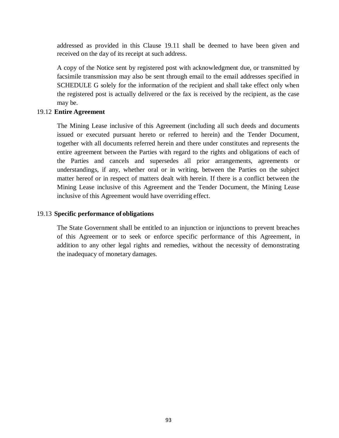addressed as provided in this Clause 19.11 shall be deemed to have been given and received on the day of its receipt at such address.

A copy of the Notice sent by registered post with acknowledgment due, or transmitted by facsimile transmission may also be sent through email to the email addresses specified in SCHEDULE G solely for the information of the recipient and shall take effect only when the registered post is actually delivered or the fax is received by the recipient, as the case may be.

#### 19.12 **Entire Agreement**

The Mining Lease inclusive of this Agreement (including all such deeds and documents issued or executed pursuant hereto or referred to herein) and the Tender Document, together with all documents referred herein and there under constitutes and represents the entire agreement between the Parties with regard to the rights and obligations of each of the Parties and cancels and supersedes all prior arrangements, agreements or understandings, if any, whether oral or in writing, between the Parties on the subject matter hereof or in respect of matters dealt with herein. If there is a conflict between the Mining Lease inclusive of this Agreement and the Tender Document, the Mining Lease inclusive of this Agreement would have overriding effect.

#### 19.13 **Specific performance of obligations**

The State Government shall be entitled to an injunction or injunctions to prevent breaches of this Agreement or to seek or enforce specific performance of this Agreement, in addition to any other legal rights and remedies, without the necessity of demonstrating the inadequacy of monetary damages.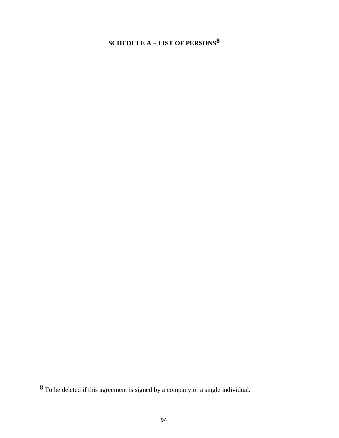# **SCHEDULE A – LIST OF PERSONS8**

To be deleted if this agreement is signed by a company or a single individual.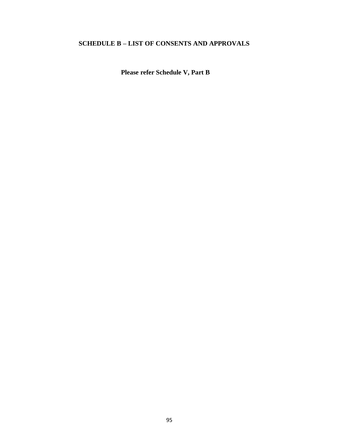# **SCHEDULE B – LIST OF CONSENTS AND APPROVALS**

**Please refer Schedule V, Part B**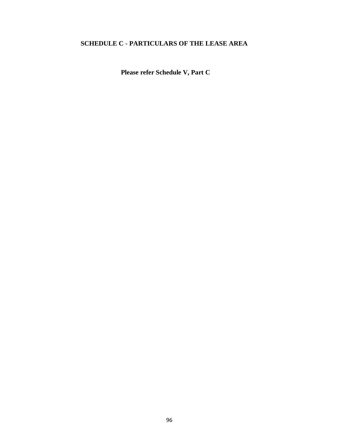# **SCHEDULE C - PARTICULARS OF THE LEASE AREA**

**Please refer Schedule V, Part C**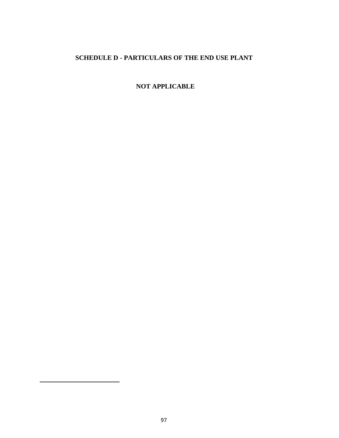# **SCHEDULE D - PARTICULARS OF THE END USE PLANT**

**NOT APPLICABLE**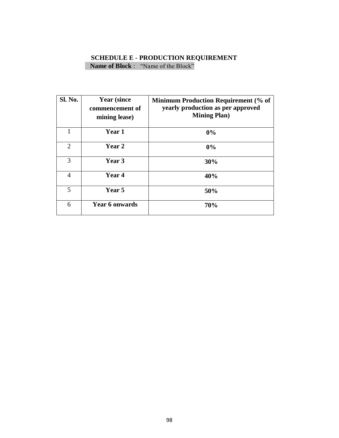# **SCHEDULE E - PRODUCTION REQUIREMENT Name of Block** : "Name of the Block"

| Sl. No.        | <b>Year (since)</b><br>commencement of<br>mining lease) | <b>Minimum Production Requirement (% of</b><br>yearly production as per approved<br><b>Mining Plan</b> ) |
|----------------|---------------------------------------------------------|----------------------------------------------------------------------------------------------------------|
|                | Year 1                                                  | 0%                                                                                                       |
| 2              | <b>Year 2</b>                                           | 0%                                                                                                       |
| 3              | Year 3                                                  | 30%                                                                                                      |
| $\overline{4}$ | Year 4                                                  | 40%                                                                                                      |
| 5              | Year 5                                                  | 50%                                                                                                      |
| 6              | <b>Year 6 onwards</b>                                   | 70%                                                                                                      |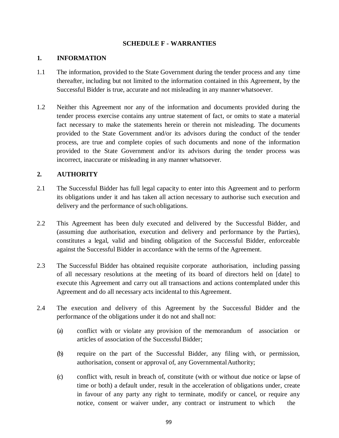#### **SCHEDULE F - WARRANTIES**

## **1. INFORMATION**

- 1.1 The information, provided to the State Government during the tender process and any time thereafter, including but not limited to the information contained in this Agreement, by the Successful Bidder is true, accurate and not misleading in any mannerwhatsoever.
- 1.2 Neither this Agreement nor any of the information and documents provided during the tender process exercise contains any untrue statement of fact, or omits to state a material fact necessary to make the statements herein or therein not misleading. The documents provided to the State Government and/or its advisors during the conduct of the tender process, are true and complete copies of such documents and none of the information provided to the State Government and/or its advisors during the tender process was incorrect, inaccurate or misleading in any manner whatsoever.

# **2. AUTHORITY**

- 2.1 The Successful Bidder has full legal capacity to enter into this Agreement and to perform its obligations under it and has taken all action necessary to authorise such execution and delivery and the performance of such obligations.
- 2.2 This Agreement has been duly executed and delivered by the Successful Bidder, and (assuming due authorisation, execution and delivery and performance by the Parties), constitutes a legal, valid and binding obligation of the Successful Bidder, enforceable against the Successful Bidder in accordance with the terms of the Agreement.
- 2.3 The Successful Bidder has obtained requisite corporate authorisation, including passing of all necessary resolutions at the meeting of its board of directors held on [date] to execute this Agreement and carry out all transactions and actions contemplated under this Agreement and do all necessary acts incidental to this Agreement.
- 2.4 The execution and delivery of this Agreement by the Successful Bidder and the performance of the obligations under it do not and shall not:
	- (a) conflict with or violate any provision of the memorandum of association or articles of association of the Successful Bidder;
	- (b) require on the part of the Successful Bidder, any filing with, or permission, authorisation, consent or approval of, any Governmental Authority;
	- (c) conflict with, result in breach of, constitute (with or without due notice or lapse of time or both) a default under, result in the acceleration of obligations under, create in favour of any party any right to terminate, modify or cancel, or require any notice, consent or waiver under, any contract or instrument to which the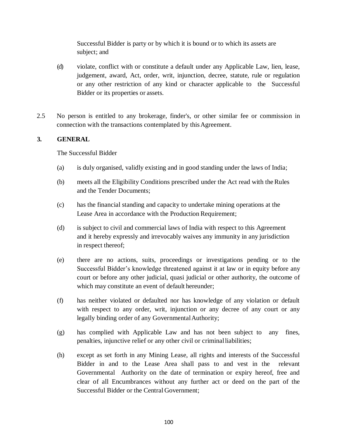Successful Bidder is party or by which it is bound or to which its assets are subject; and

- (d) violate, conflict with or constitute a default under any Applicable Law, lien, lease, judgement, award, Act, order, writ, injunction, decree, statute, rule or regulation or any other restriction of any kind or character applicable to the Successful Bidder or its properties or assets.
- 2.5 No person is entitled to any brokerage, finder's, or other similar fee or commission in connection with the transactions contemplated by this Agreement.

# **3. GENERAL**

The Successful Bidder

- (a) is duly organised, validly existing and in good standing under the laws of India;
- (b) meets all the Eligibility Conditions prescribed under the Act read with the Rules and the Tender Documents;
- (c) has the financial standing and capacity to undertake mining operations at the Lease Area in accordance with the Production Requirement;
- (d) is subject to civil and commercial laws of India with respect to this Agreement and it hereby expressly and irrevocably waives any immunity in any jurisdiction in respect thereof;
- (e) there are no actions, suits, proceedings or investigations pending or to the Successful Bidder's knowledge threatened against it at law or in equity before any court or before any other judicial, quasi judicial or other authority, the outcome of which may constitute an event of default hereunder;
- (f) has neither violated or defaulted nor has knowledge of any violation or default with respect to any order, writ, injunction or any decree of any court or any legally binding order of any Governmental Authority;
- (g) has complied with Applicable Law and has not been subject to any fines, penalties, injunctive relief or any other civil or criminalliabilities;
- (h) except as set forth in any Mining Lease, all rights and interests of the Successful Bidder in and to the Lease Area shall pass to and vest in the relevant Governmental Authority on the date of termination or expiry hereof, free and clear of all Encumbrances without any further act or deed on the part of the Successful Bidder or the Central Government;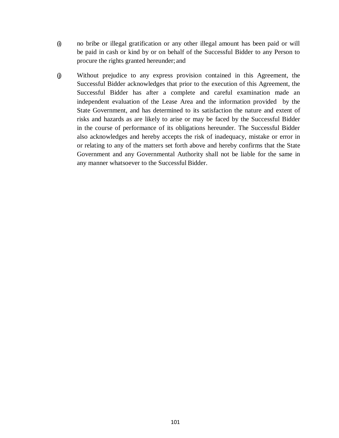- (i) no bribe or illegal gratification or any other illegal amount has been paid or will be paid in cash or kind by or on behalf of the Successful Bidder to any Person to procure the rights granted hereunder; and
- (j) Without prejudice to any express provision contained in this Agreement, the Successful Bidder acknowledges that prior to the execution of this Agreement, the Successful Bidder has after a complete and careful examination made an independent evaluation of the Lease Area and the information provided by the State Government, and has determined to its satisfaction the nature and extent of risks and hazards as are likely to arise or may be faced by the Successful Bidder in the course of performance of its obligations hereunder. The Successful Bidder also acknowledges and hereby accepts the risk of inadequacy, mistake or error in or relating to any of the matters set forth above and hereby confirms that the State Government and any Governmental Authority shall not be liable for the same in any manner whatsoever to the Successful Bidder.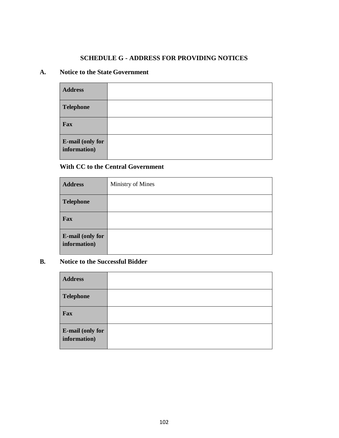#### **SCHEDULE G - ADDRESS FOR PROVIDING NOTICES**

#### **A. Notice to the State Government**

| <b>Address</b>                   |  |
|----------------------------------|--|
| <b>Telephone</b>                 |  |
| Fax                              |  |
| E-mail (only for<br>information) |  |

# **With CC to the Central Government**

| <b>Address</b>                          | Ministry of Mines |
|-----------------------------------------|-------------------|
| <b>Telephone</b>                        |                   |
| Fax                                     |                   |
| <b>E-mail (only for</b><br>information) |                   |

# **B. Notice to the Successful Bidder**

| <b>Address</b>                          |  |
|-----------------------------------------|--|
| <b>Telephone</b>                        |  |
| Fax                                     |  |
| <b>E-mail (only for</b><br>information) |  |